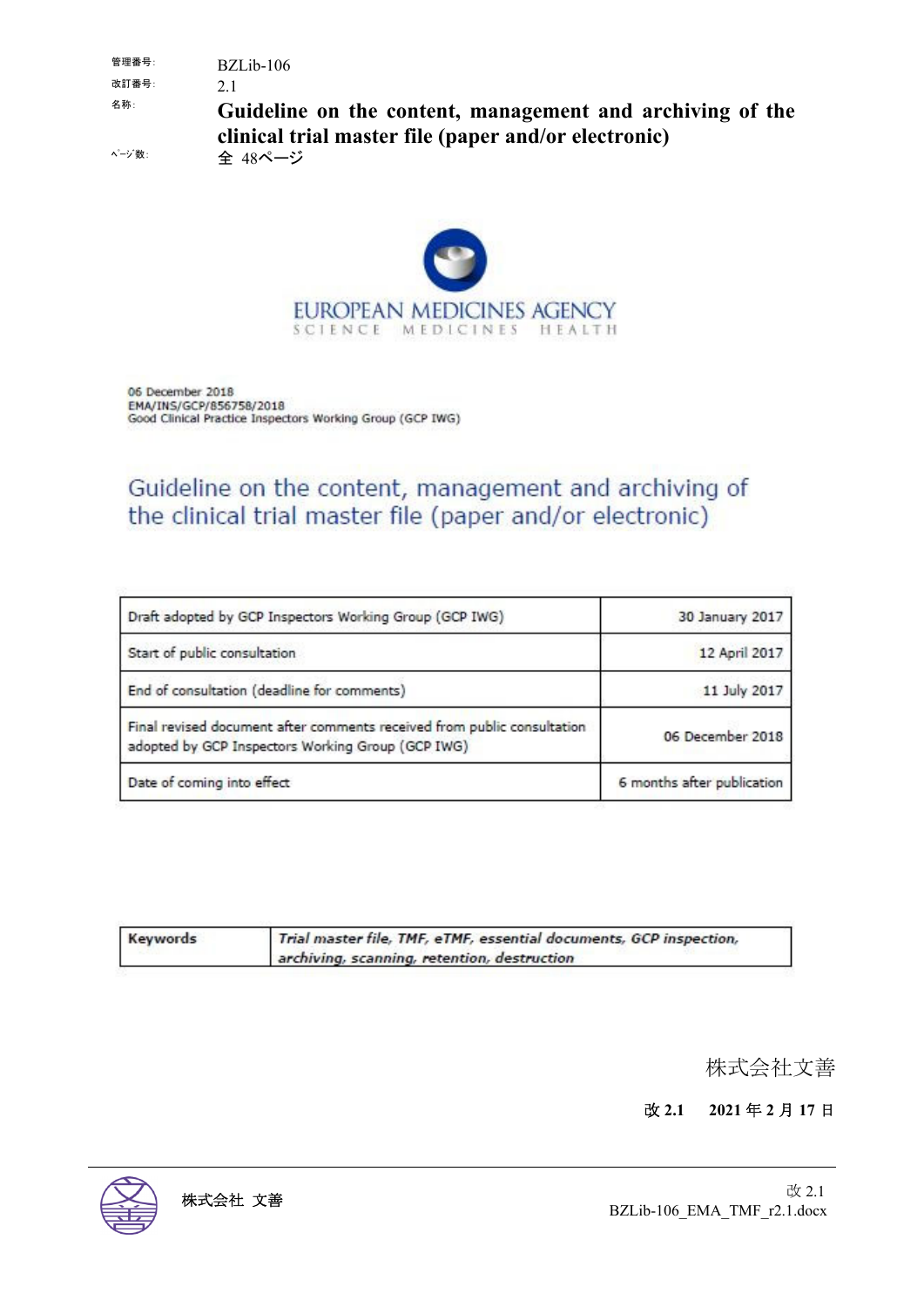管理番号: BZLib-106 改訂番号: 2.1 名称: **Guideline on the content, management and archiving of the clinical trial master file (paper and/or electronic)**

ページ数: 全 48ページ



06 December 2018 EMA/INS/GCP/856758/2018 Good Clinical Practice Inspectors Working Group (GCP IWG)

## Guideline on the content, management and archiving of the clinical trial master file (paper and/or electronic)

| Draft adopted by GCP Inspectors Working Group (GCP IWG)                                                                      | 30 January 2017            |
|------------------------------------------------------------------------------------------------------------------------------|----------------------------|
| Start of public consultation                                                                                                 | 12 April 2017              |
| End of consultation (deadline for comments)                                                                                  | 11 July 2017               |
| Final revised document after comments received from public consultation<br>adopted by GCP Inspectors Working Group (GCP IWG) | 06 December 2018           |
| Date of coming into effect                                                                                                   | 6 months after publication |

| Keywords | Trial master file, TMF, eTMF, essential documents, GCP inspection, |
|----------|--------------------------------------------------------------------|
|          | archiving, scanning, retention, destruction                        |

株式会社文善

改 **2.1 2021** 年 **2** 月 **17** 日

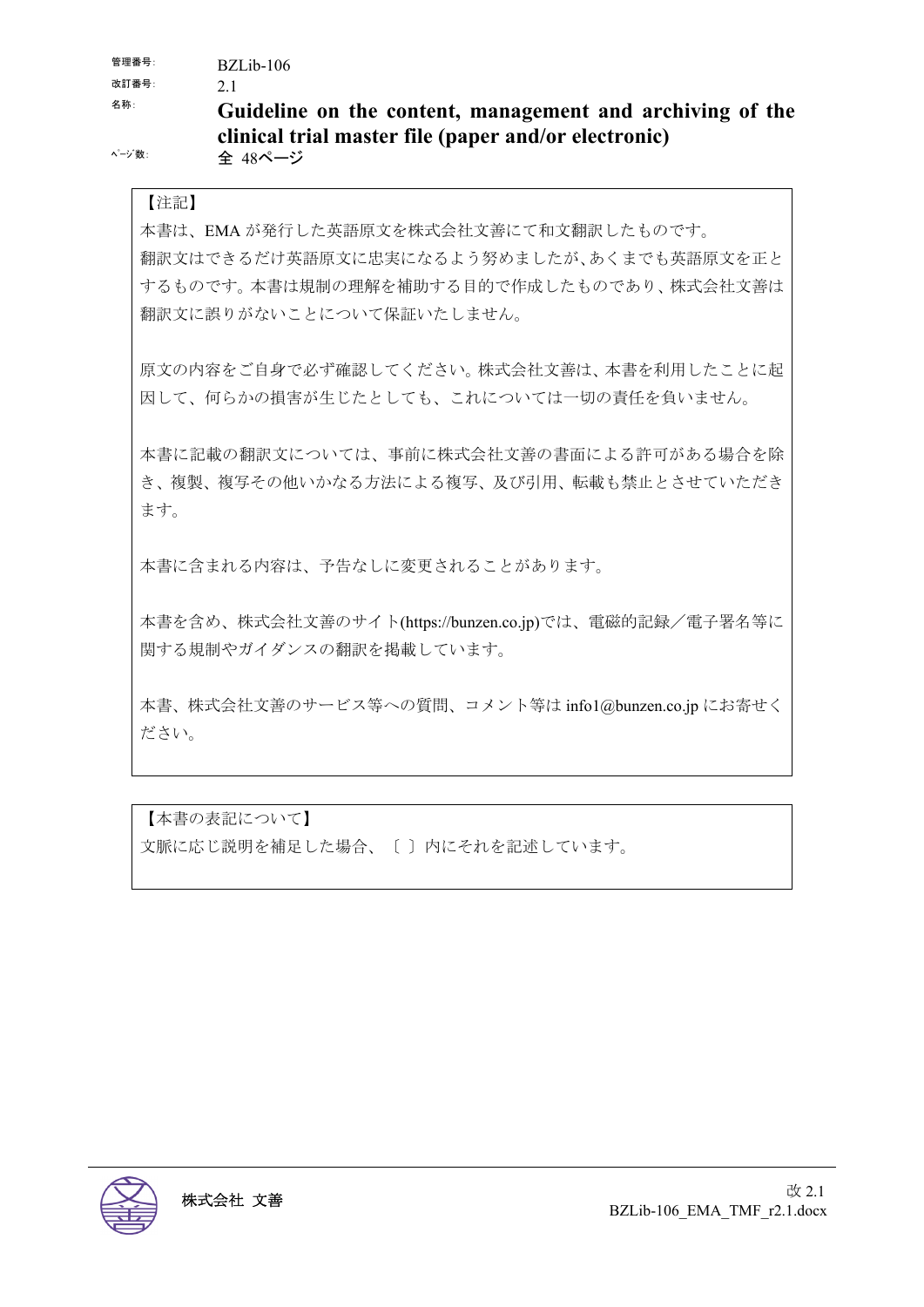管理番号: BZLib-106

改訂番号: 2.1

## 名称: **Guideline on the content, management and archiving of the clinical trial master file (paper and/or electronic)**

ページ数: 全 48ページ

#### 【注記】

本書は、EMA が発行した英語原文を株式会社文善にて和文翻訳したものです。 翻訳文はできるだけ英語原文に忠実になるよう努めましたが、あくまでも英語原文を正と するものです。本書は規制の理解を補助する目的で作成したものであり、株式会社文善は 翻訳文に誤りがないことについて保証いたしません。

原文の内容をご自身で必ず確認してください。株式会社文善は、本書を利用したことに起 因して、何らかの損害が生じたとしても、これについては一切の責任を負いません。

本書に記載の翻訳文については、事前に株式会社文善の書面による許可がある場合を除 き、複製、複写その他いかなる方法による複写、及び引用、転載も禁止とさせていただき ます。

本書に含まれる内容は、予告なしに変更されることがあります。

本書を含め、株式会社文善のサイト(https://bunzen.co.jp)では、電磁的記録/電子署名等に 関する規制やガイダンスの翻訳を掲載しています。

本書、株式会社文善のサービス等への質問、コメント等は info1@bunzen.co.jp にお寄せく ださい。

【本書の表記について】 文脈に応じ説明を補足した場合、〔 〕内にそれを記述しています。

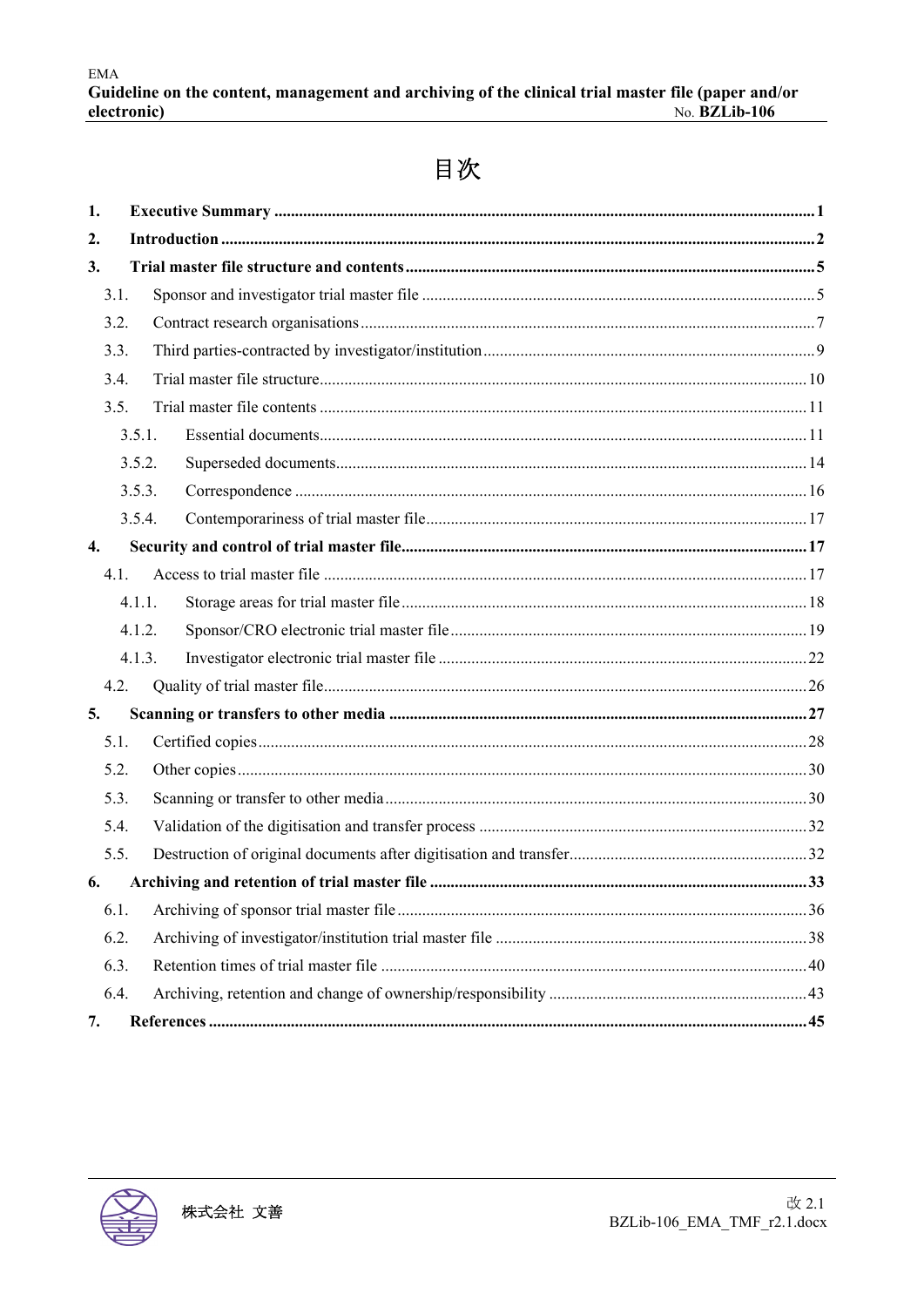## 目次

| 1.               |        |  |  |
|------------------|--------|--|--|
| 2.               |        |  |  |
| 3.               |        |  |  |
| 3.1.             |        |  |  |
| 3.2.             |        |  |  |
| 3.3.             |        |  |  |
| 3.4.             |        |  |  |
| 3.5.             |        |  |  |
|                  | 3.5.1. |  |  |
|                  | 3.5.2. |  |  |
|                  | 3.5.3. |  |  |
|                  | 3.5.4. |  |  |
| $\overline{4}$ . |        |  |  |
| 4.1.             |        |  |  |
|                  | 4.1.1. |  |  |
|                  | 4.1.2. |  |  |
|                  | 4.1.3. |  |  |
| 4.2.             |        |  |  |
| 5.               |        |  |  |
| 5.1.             |        |  |  |
| 5.2.             |        |  |  |
| 5.3.             |        |  |  |
| 5.4.             |        |  |  |
| 5.5.             |        |  |  |
| 6.               |        |  |  |
| 6.1.             |        |  |  |
| 6.2.             |        |  |  |
| 6.3.             |        |  |  |
| 6.4.             |        |  |  |
| 7.               |        |  |  |

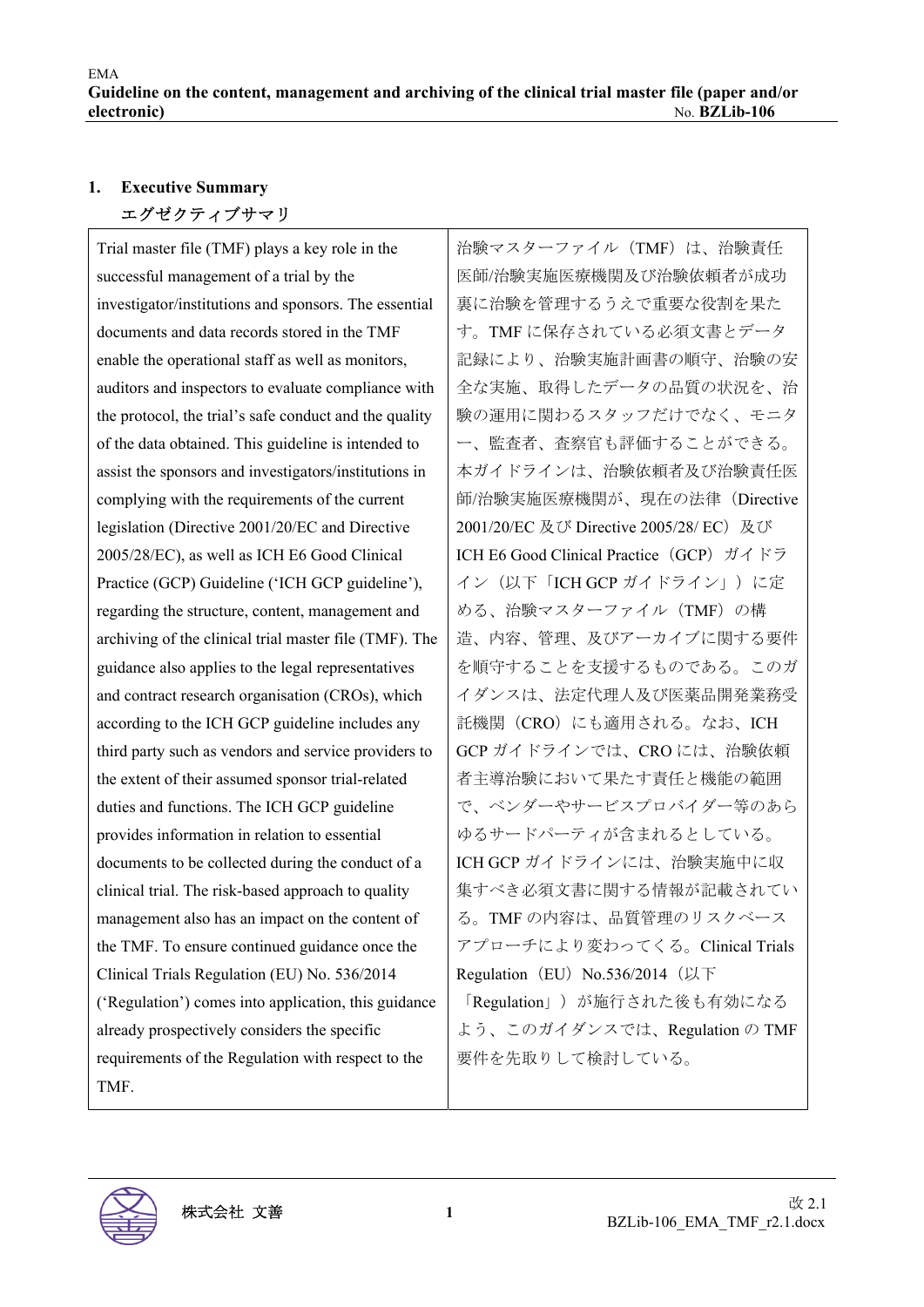## **1. Executive Summary**  エグゼクティブサマリ

Trial master file (TMF) plays a key role in the successful management of a trial by the investigator/institutions and sponsors. The essential documents and data records stored in the TMF enable the operational staff as well as monitors, auditors and inspectors to evaluate compliance with the protocol, the trial's safe conduct and the quality of the data obtained. This guideline is intended to assist the sponsors and investigators/institutions in complying with the requirements of the current legislation (Directive 2001/20/EC and Directive 2005/28/EC), as well as ICH E6 Good Clinical Practice (GCP) Guideline ('ICH GCP guideline'), regarding the structure, content, management and archiving of the clinical trial master file (TMF). The guidance also applies to the legal representatives and contract research organisation (CROs), which according to the ICH GCP guideline includes any third party such as vendors and service providers to the extent of their assumed sponsor trial-related duties and functions. The ICH GCP guideline provides information in relation to essential documents to be collected during the conduct of a clinical trial. The risk-based approach to quality management also has an impact on the content of the TMF. To ensure continued guidance once the Clinical Trials Regulation (EU) No. 536/2014 ('Regulation') comes into application, this guidance already prospectively considers the specific requirements of the Regulation with respect to the TMF.

治験マスターファイル(TMF)は、治験責任 医師/治験実施医療機関及び治験依頼者が成功 裏に治験を管理するうえで重要な役割を果た す。TMF に保存されている必須文書とデータ 記録により、治験実施計画書の順守、治験の安 全な実施、取得したデータの品質の状況を、治 験の運用に関わるスタッフだけでなく、モニタ ー、監査者、査察官も評価することができる。 本ガイドラインは、治験依頼者及び治験責任医 師/治験実施医療機関が、現在の法律(Directive 2001/20/EC 及び Directive 2005/28/ EC) 及び ICH E6 Good Clinical Practice (GCP) ガイドラ イン(以下「ICH GCP ガイドライン」)に定 める、治験マスターファイル(TMF)の構 造、内容、管理、及びアーカイブに関する要件 を順守することを支援するものである。このガ イダンスは、法定代理人及び医薬品開発業務受 託機関(CRO)にも適用される。なお、ICH GCP ガイドラインでは、CRO には、治験依頼 者主導治験において果たす責任と機能の範囲 で、ベンダーやサービスプロバイダー等のあら ゆるサードパーティが含まれるとしている。 ICH GCP ガイドラインには、治験実施中に収 集すべき必須文書に関する情報が記載されてい る。TMF の内容は、品質管理のリスクベース アプローチにより変わってくる。Clinical Trials Regulation (EU) No.536/2014 (以下 「Regulation」)が施行された後も有効になる よう、このガイダンスでは、Regulation の TMF 要件を先取りして検討している。

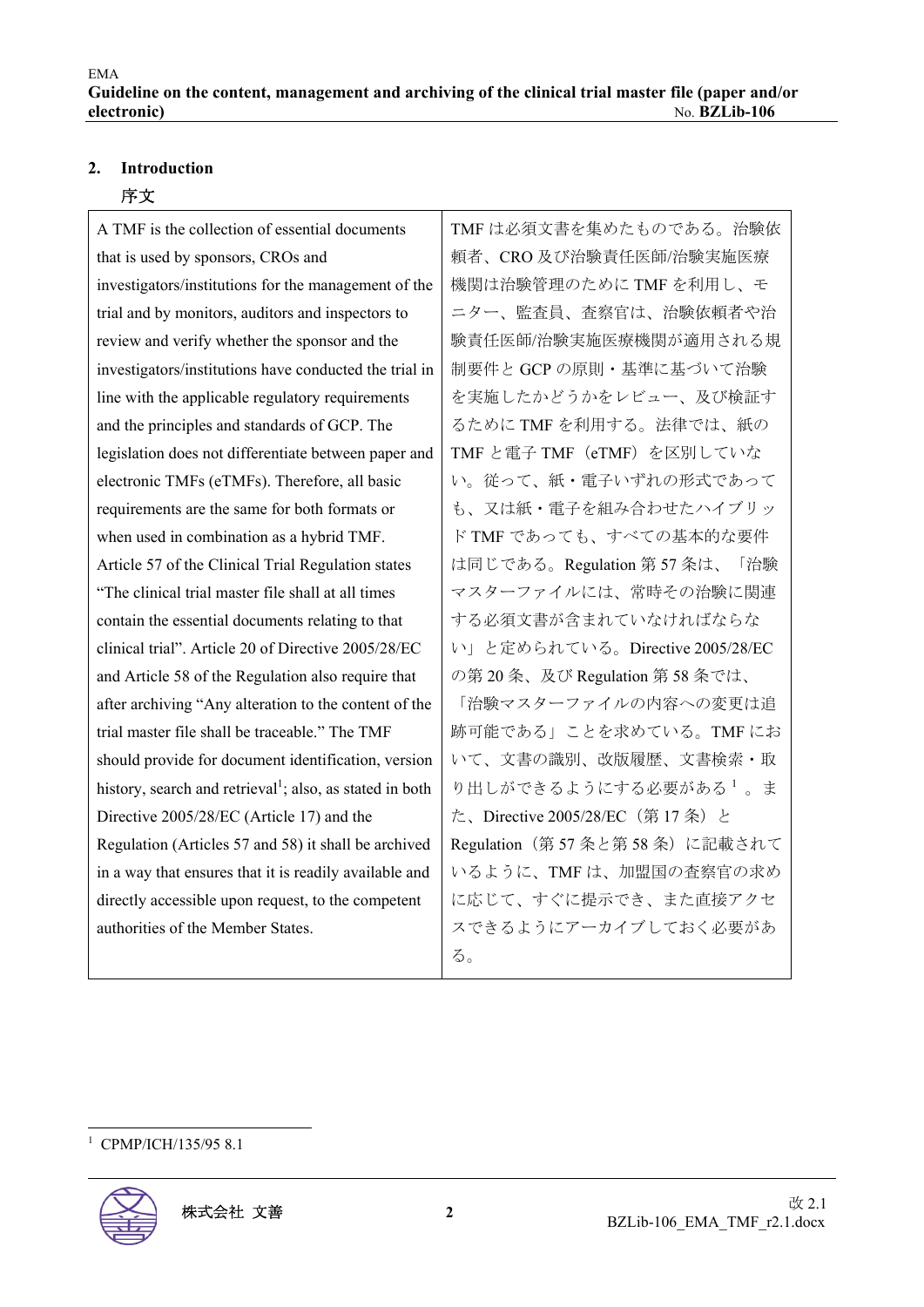#### **2. Introduction**

#### 序文

A TMF is the collection of essential documents that is used by sponsors, CROs and investigators/institutions for the management of the trial and by monitors, auditors and inspectors to review and verify whether the sponsor and the investigators/institutions have conducted the trial in line with the applicable regulatory requirements and the principles and standards of GCP. The legislation does not differentiate between paper and electronic TMFs (eTMFs). Therefore, all basic requirements are the same for both formats or when used in combination as a hybrid TMF. Article 57 of the Clinical Trial Regulation states "The clinical trial master file shall at all times contain the essential documents relating to that clinical trial". Article 20 of Directive 2005/28/EC and Article 58 of the Regulation also require that after archiving "Any alteration to the content of the trial master file shall be traceable." The TMF should provide for document identification, version history, search and retrieval<sup>1</sup>; also, as stated in both Directive 2005/28/EC (Article 17) and the Regulation (Articles 57 and 58) it shall be archived in a way that ensures that it is readily available and directly accessible upon request, to the competent authorities of the Member States.

TMF は必須文書を集めたものである。治験依 頼者、CRO 及び治験責任医師/治験実施医療 機関は治験管理のために TMF を利用し、モ ニター、監査員、査察官は、治験依頼者や治 験責任医師/治験実施医療機関が適用される規 制要件と GCP の原則・基準に基づいて治験 を実施したかどうかをレビュー、及び検証す るために TMF を利用する。法律では、紙の TMFと電子 TMF (eTMF) を区別していな い。従って、紙・電子いずれの形式であって も、又は紙・電子を組み合わせたハイブリッ ド TMF であっても、すべての基本的な要件 は同じである。Regulation 第 57 条は、「治験 マスターファイルには、常時その治験に関連 する必須文書が含まれていなければならな い」と定められている。Directive 2005/28/EC の第 20 条、及び Regulation 第 58 条では、 「治験マスターファイルの内容への変更は追 跡可能である」ことを求めている。TMF にお いて、文書の識別、改版履歴、文書検索・取 り出しができるようにする必要がある1。ま た、Directive 2005/28/EC (第 17 条)と Regulation (第 57 条と第 58 条) に記載されて いるように、TMF は、加盟国の査察官の求め に応じて、すぐに提示でき、また直接アクセ スできるようにアーカイブしておく必要があ る。

<sup>1</sup> CPMP/ICH/135/95 8.1

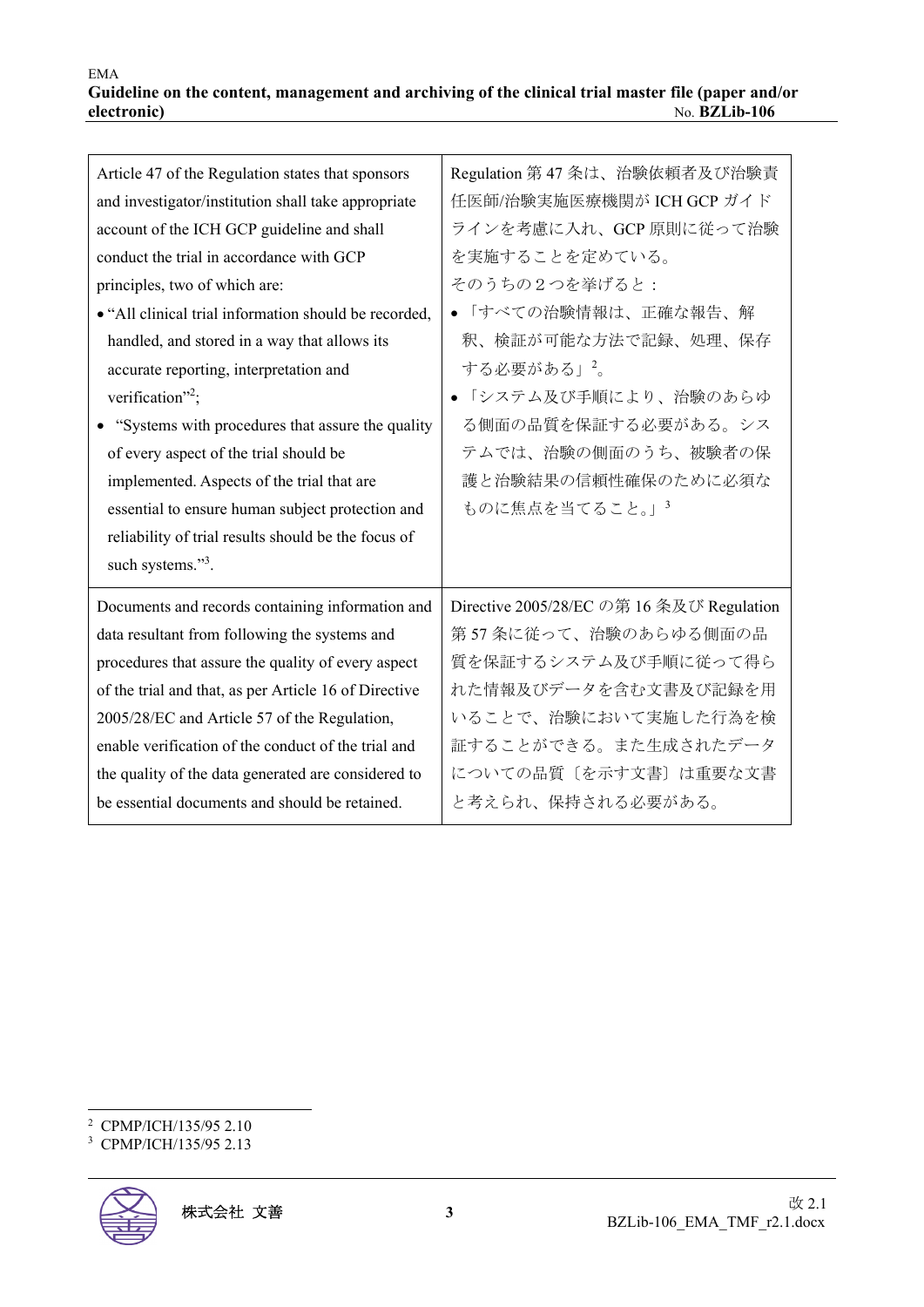| Article 47 of the Regulation states that sponsors     | Regulation 第47 条は、治験依頼者及び治験責              |
|-------------------------------------------------------|-------------------------------------------|
| and investigator/institution shall take appropriate   | 任医師/治験実施医療機関が ICH GCP ガイド                 |
| account of the ICH GCP guideline and shall            | ラインを考慮に入れ、GCP 原則に従って治験                    |
| conduct the trial in accordance with GCP              | を実施することを定めている。                            |
| principles, two of which are:                         | そのうちの2つを挙げると:                             |
| • "All clinical trial information should be recorded, | •「すべての治験情報は、正確な報告、解                       |
| handled, and stored in a way that allows its          | 釈、検証が可能な方法で記録、処理、保存                       |
| accurate reporting, interpretation and                | する必要がある」2。                                |
| verification" <sup>2</sup> ;                          | • 「システム及び手順により、治験のあらゆ                     |
| • "Systems with procedures that assure the quality    | る側面の品質を保証する必要がある。シス                       |
| of every aspect of the trial should be                | テムでは、治験の側面のうち、被験者の保                       |
| implemented. Aspects of the trial that are            | 護と治験結果の信頼性確保のために必須な                       |
| essential to ensure human subject protection and      | ものに焦点を当てること。」 <sup>3</sup>                |
| reliability of trial results should be the focus of   |                                           |
| such systems." <sup>3</sup> .                         |                                           |
| Documents and records containing information and      | Directive 2005/28/EC の第 16 条及び Regulation |
| data resultant from following the systems and         | 第57条に従って、治験のあらゆる側面の品                      |
| procedures that assure the quality of every aspect    | 質を保証するシステム及び手順に従って得ら                      |
| of the trial and that, as per Article 16 of Directive | れた情報及びデータを含む文書及び記録を用                      |
| 2005/28/EC and Article 57 of the Regulation,          | いることで、治験において実施した行為を検                      |
| enable verification of the conduct of the trial and   | 証することができる。また生成されたデータ                      |
| the quality of the data generated are considered to   | についての品質〔を示す文書〕は重要な文書                      |
| be essential documents and should be retained.        | と考えられ、保持される必要がある。                         |

<sup>2</sup> CPMP/ICH/135/95 2.10

<sup>3</sup> CPMP/ICH/135/95 2.13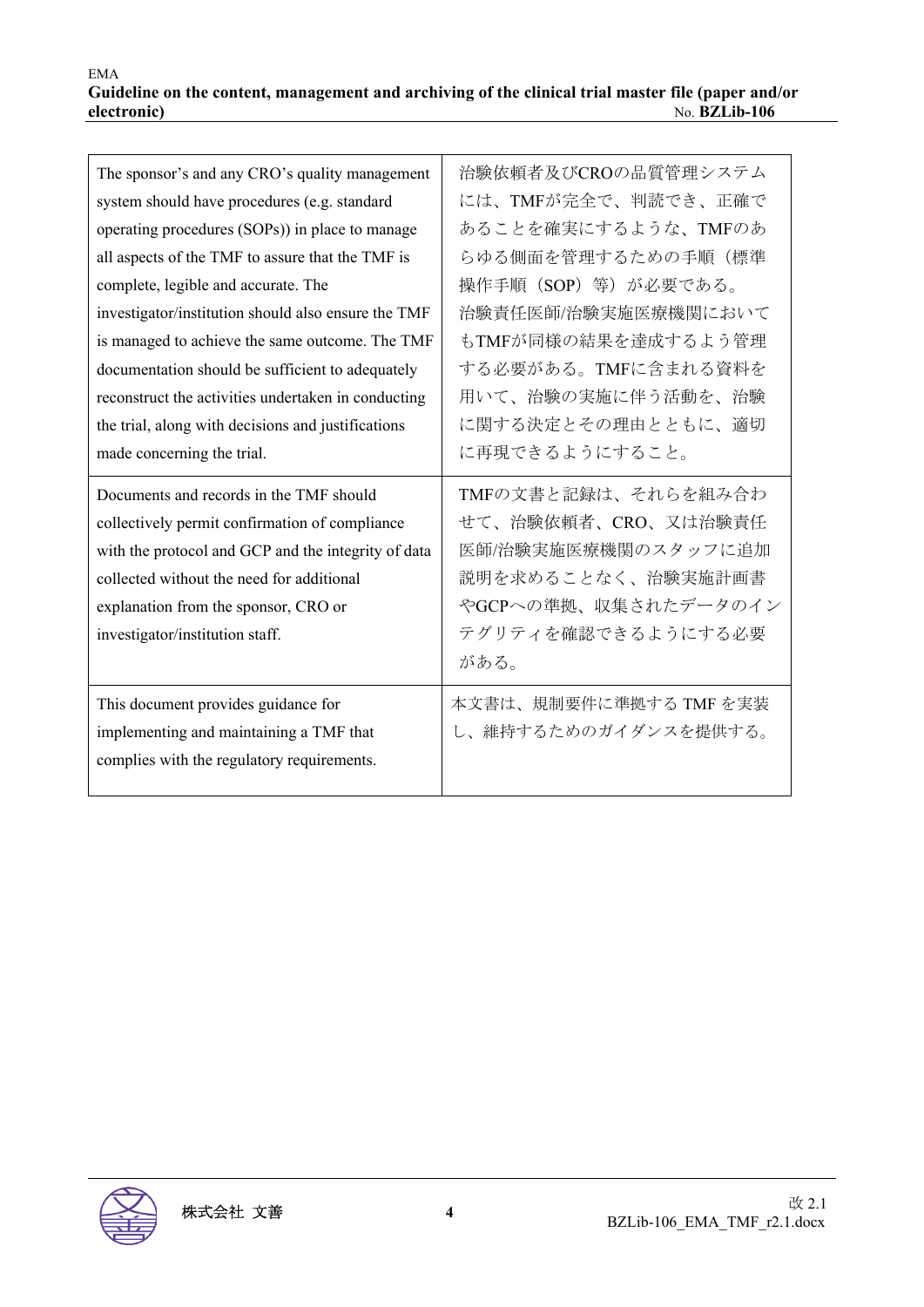| The sponsor's and any CRO's quality management<br>system should have procedures (e.g. standard<br>operating procedures (SOPs)) in place to manage<br>all aspects of the TMF to assure that the TMF is<br>complete, legible and accurate. The<br>investigator/institution should also ensure the TMF<br>is managed to achieve the same outcome. The TMF<br>documentation should be sufficient to adequately<br>reconstruct the activities undertaken in conducting<br>the trial, along with decisions and justifications<br>made concerning the trial.<br>Documents and records in the TMF should<br>collectively permit confirmation of compliance | 治験依頼者及びCROの品質管理システム<br>には、TMFが完全で、判読でき、正確で<br>あることを確実にするような、TMFのあ<br>らゆる側面を管理するための手順(標準<br>操作手順 (SOP) 等) が必要である。<br>治験責任医師/治験実施医療機関において<br>もTMFが同様の結果を達成するよう管理<br>する必要がある。TMFに含まれる資料を<br>用いて、治験の実施に伴う活動を、治験<br>に関する決定とその理由とともに、適切<br>に再現できるようにすること。<br>TMFの文書と記録は、それらを組み合わ<br>せて、治験依頼者、CRO、又は治験責任 |
|----------------------------------------------------------------------------------------------------------------------------------------------------------------------------------------------------------------------------------------------------------------------------------------------------------------------------------------------------------------------------------------------------------------------------------------------------------------------------------------------------------------------------------------------------------------------------------------------------------------------------------------------------|---------------------------------------------------------------------------------------------------------------------------------------------------------------------------------------------------------------------------------------------------------------------------------------------------|
| with the protocol and GCP and the integrity of data<br>collected without the need for additional<br>explanation from the sponsor, CRO or<br>investigator/institution staff.                                                                                                                                                                                                                                                                                                                                                                                                                                                                        | 医師/治験実施医療機関のスタッフに追加<br>説明を求めることなく、治験実施計画書<br>やGCPへの準拠、収集されたデータのイン<br>テグリティを確認できるようにする必要<br>がある。                                                                                                                                                                                                   |
| This document provides guidance for<br>implementing and maintaining a TMF that<br>complies with the regulatory requirements.                                                                                                                                                                                                                                                                                                                                                                                                                                                                                                                       | 本文書は、規制要件に準拠する TMF を実装<br>し、維持するためのガイダンスを提供する。                                                                                                                                                                                                                                                    |

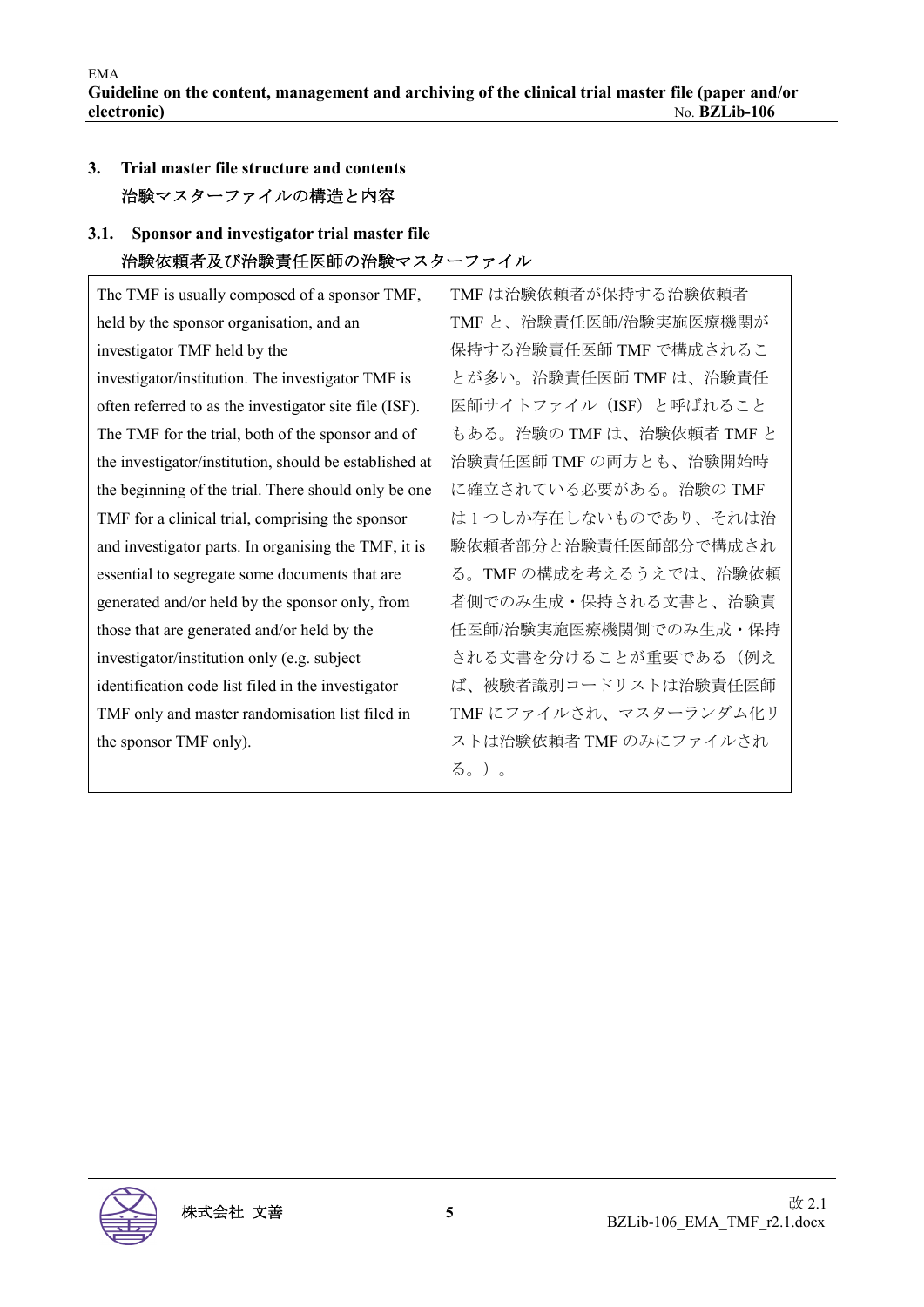## **3. Trial master file structure and contents**  治験マスターファイルの構造と内容

## **3.1. Sponsor and investigator trial master file**  治験依頼者及び治験責任医師の治験マスターファイル

| The TMF is usually composed of a sponsor TMF,          | TMF は治験依頼者が保持する治験依頼者      |
|--------------------------------------------------------|---------------------------|
| held by the sponsor organisation, and an               | TMFと、治験責任医師/治験実施医療機関が     |
| investigator TMF held by the                           | 保持する治験責任医師 TMF で構成されるこ    |
| investigator/institution. The investigator TMF is      | とが多い。治験責任医師 TMF は、治験責任    |
| often referred to as the investigator site file (ISF). | 医師サイトファイル (ISF) と呼ばれること   |
| The TMF for the trial, both of the sponsor and of      | もある。治験の TMF は、治験依頼者 TMF と |
| the investigator/institution, should be established at | 治験責任医師 TMF の両方とも、治験開始時    |
| the beginning of the trial. There should only be one   | に確立されている必要がある。治験の TMF     |
| TMF for a clinical trial, comprising the sponsor       | は1つしか存在しないものであり、それは治      |
| and investigator parts. In organising the TMF, it is   | 験依頼者部分と治験責任医師部分で構成され      |
| essential to segregate some documents that are         | る。TMF の構成を考えるうえでは、治験依頼    |
| generated and/or held by the sponsor only, from        | 者側でのみ生成・保持される文書と、治験責      |
| those that are generated and/or held by the            | 任医師/治験実施医療機関側でのみ生成・保持     |
| investigator/institution only (e.g. subject            | される文書を分けることが重要である(例え      |
| identification code list filed in the investigator     | ば、被験者識別コードリストは治験責任医師      |
| TMF only and master randomisation list filed in        | TMFにファイルされ、マスターランダム化リ     |
| the sponsor TMF only).                                 | ストは治験依頼者 TMF のみにファイルされ    |
|                                                        | る。)。                      |

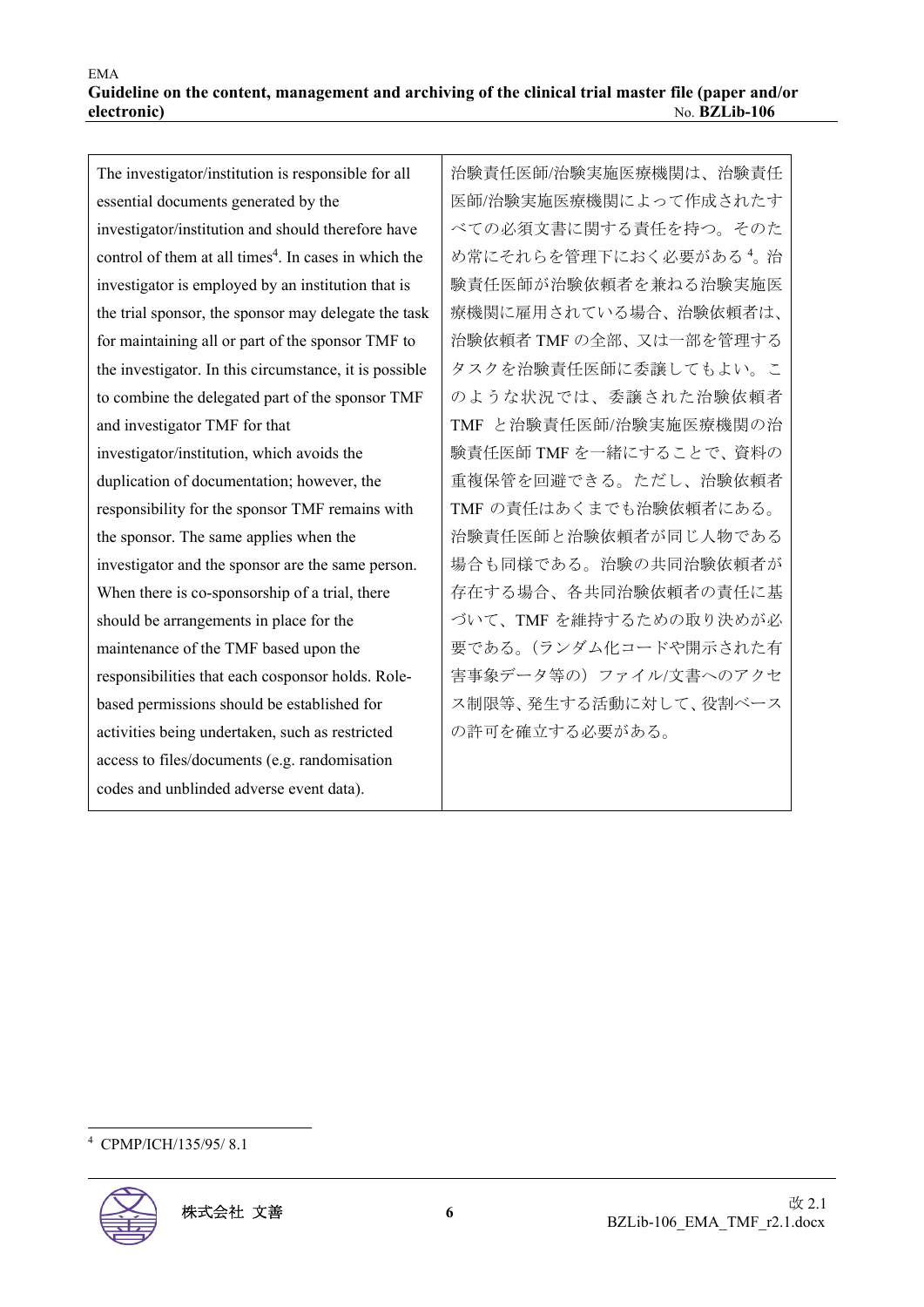The investigator/institution is responsible for all essential documents generated by the investigator/institution and should therefore have control of them at all times<sup>4</sup>. In cases in which the investigator is employed by an institution that is the trial sponsor, the sponsor may delegate the task for maintaining all or part of the sponsor TMF to the investigator. In this circumstance, it is possible to combine the delegated part of the sponsor TMF and investigator TMF for that investigator/institution, which avoids the duplication of documentation; however, the responsibility for the sponsor TMF remains with the sponsor. The same applies when the investigator and the sponsor are the same person. When there is co-sponsorship of a trial, there should be arrangements in place for the maintenance of the TMF based upon the responsibilities that each cosponsor holds. Rolebased permissions should be established for activities being undertaken, such as restricted access to files/documents (e.g. randomisation codes and unblinded adverse event data).

治験責任医師/治験実施医療機関は、治験責任 医師/治験実施医療機関によって作成されたす べての必須文書に関する責任を持つ。そのた め常にそれらを管理下におく必要がある<sup>4</sup>。治 験責任医師が治験依頼者を兼ねる治験実施医 療機関に雇用されている場合、治験依頼者は、 治験依頼者 TMF の全部、又は一部を管理する タスクを治験責任医師に委譲してもよい。こ のような状況では、委譲された治験依頼者 TMF と治験責任医師/治験実施医療機関の治 験責任医師 TMF を一緒にすることで、資料の 重複保管を回避できる。ただし、治験依頼者 TMF の責任はあくまでも治験依頼者にある。 治験責任医師と治験依頼者が同じ人物である 場合も同様である。治験の共同治験依頼者が 存在する場合、各共同治験依頼者の責任に基 づいて、TMF を維持するための取り決めが必 要である。(ランダム化コードや開示された有 害事象データ等の)ファイル/文書へのアクセ ス制限等、発生する活動に対して、役割ベース の許可を確立する必要がある。

<sup>4</sup> CPMP/ICH/135/95/ 8.1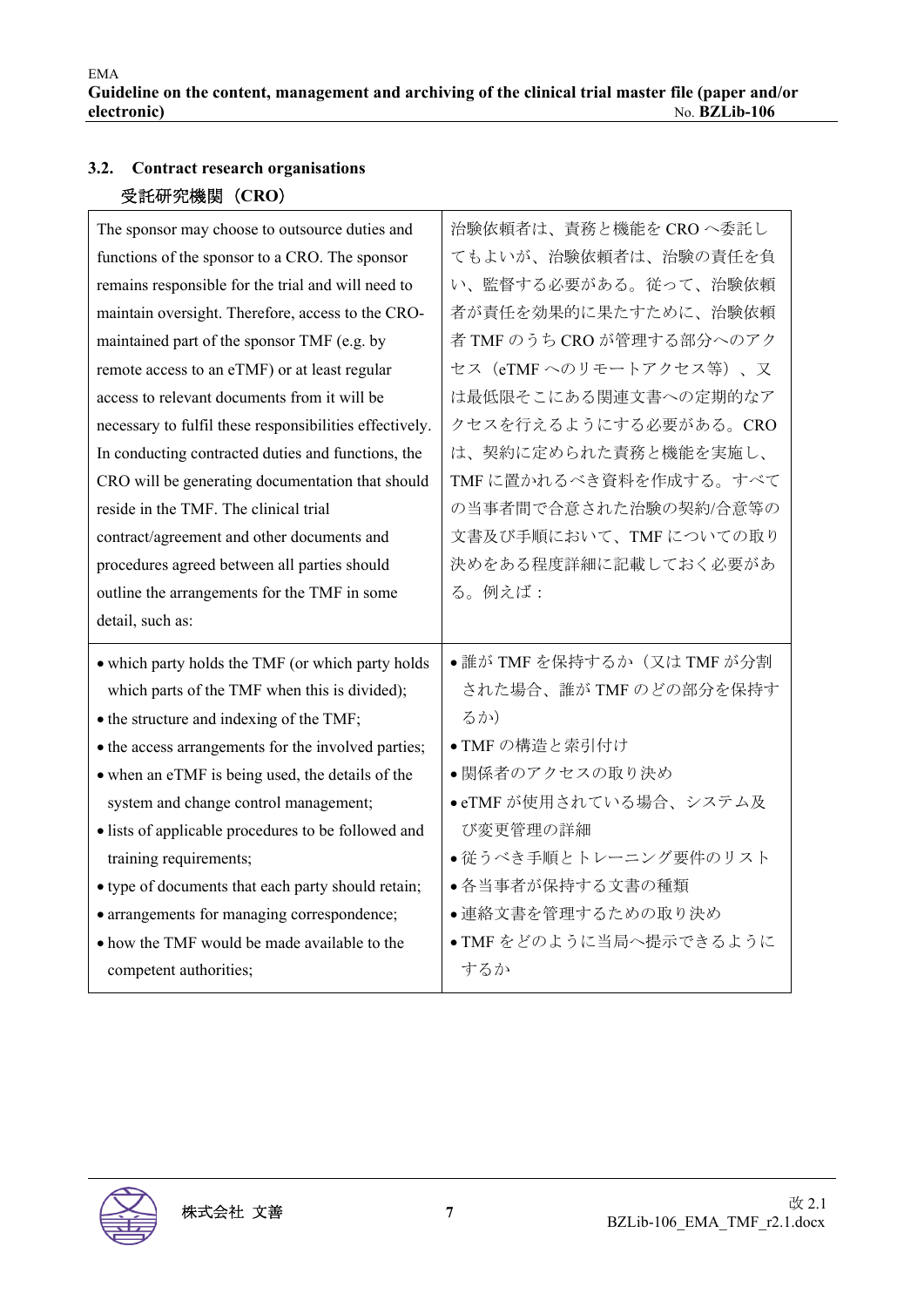## **3.2. Contract research organisations**  受託研究機関(**CRO**)

| The sponsor may choose to outsource duties and          | 治験依頼者は、責務と機能を CRO へ委託し     |
|---------------------------------------------------------|----------------------------|
| functions of the sponsor to a CRO. The sponsor          | てもよいが、治験依頼者は、治験の責任を負       |
| remains responsible for the trial and will need to      | い、監督する必要がある。従って、治験依頼       |
| maintain oversight. Therefore, access to the CRO-       | 者が責任を効果的に果たすために、治験依頼       |
| maintained part of the sponsor TMF (e.g. by             | 者 TMF のうち CRO が管理する部分へのアク  |
| remote access to an eTMF) or at least regular           | セス (eTMFへのリモートアクセス等)、又     |
| access to relevant documents from it will be            | は最低限そこにある関連文書への定期的なア       |
| necessary to fulfil these responsibilities effectively. | クセスを行えるようにする必要がある。CRO      |
| In conducting contracted duties and functions, the      | は、契約に定められた責務と機能を実施し、       |
| CRO will be generating documentation that should        | TMFに置かれるべき資料を作成する。すべて      |
| reside in the TMF. The clinical trial                   | の当事者間で合意された治験の契約/合意等の      |
| contract/agreement and other documents and              | 文書及び手順において、TMFについての取り      |
| procedures agreed between all parties should            | 決めをある程度詳細に記載しておく必要があ       |
| outline the arrangements for the TMF in some            | る。例えば:                     |
| detail, such as:                                        |                            |
| • which party holds the TMF (or which party holds       | ●誰が TMF を保持するか (又は TMF が分割 |
| which parts of the TMF when this is divided);           | された場合、誰が TMF のどの部分を保持す     |
| • the structure and indexing of the TMF;                | るか)                        |
| • the access arrangements for the involved parties;     | ● TMF の構造と索引付け             |
| • when an eTMF is being used, the details of the        | •関係者のアクセスの取り決め             |
| system and change control management;                   | ● eTMF が使用されている場合、システム及    |
| • lists of applicable procedures to be followed and     | び変更管理の詳細                   |
| training requirements;                                  | ●従うべき手順とトレーニング要件のリスト       |
| • type of documents that each party should retain;      | ●各当事者が保持する文書の種類            |
| · arrangements for managing correspondence;             | ●連絡文書を管理するための取り決め          |
| • how the TMF would be made available to the            | ● TMF をどのように当局へ提示できるように    |
| competent authorities;                                  |                            |

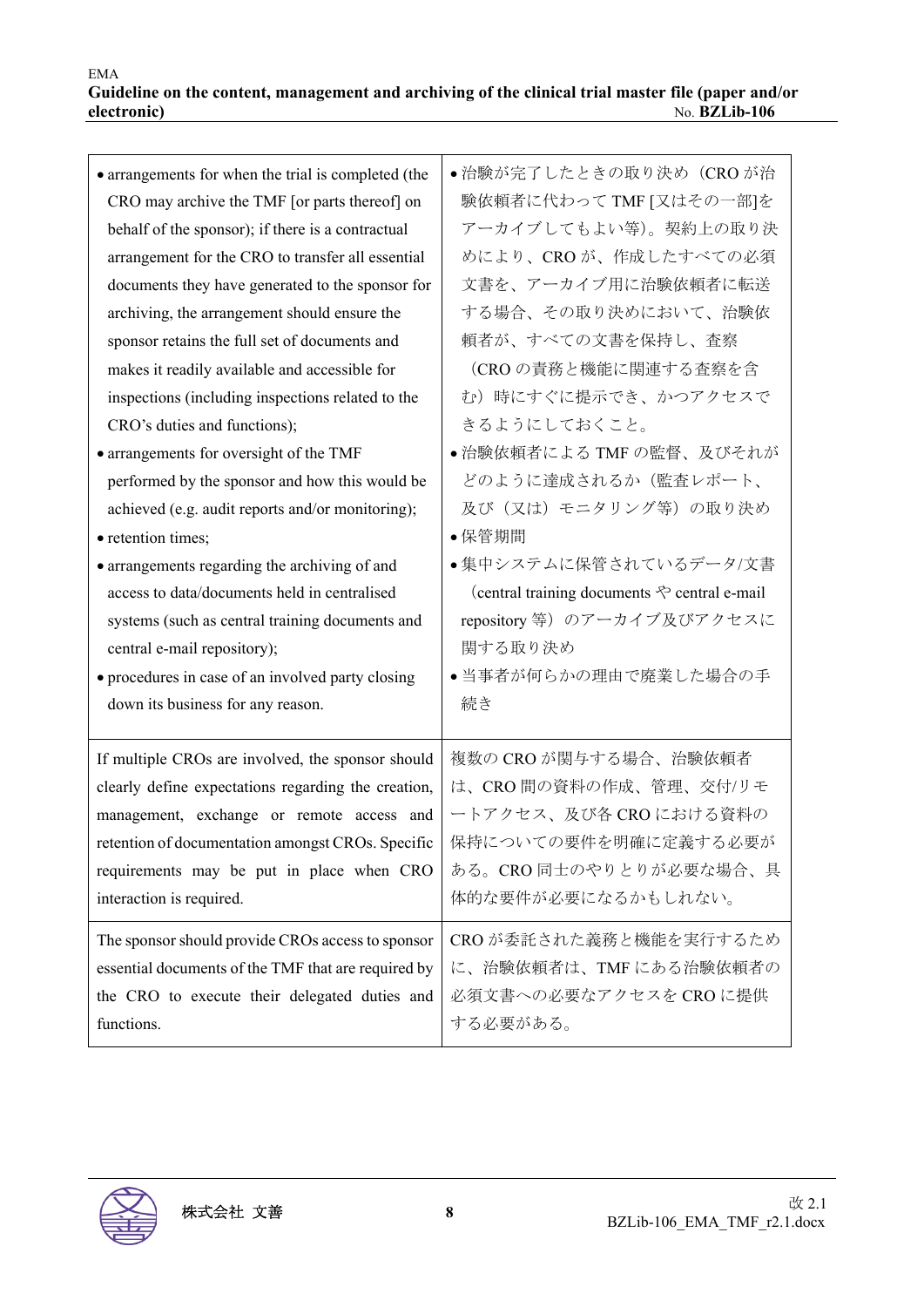| • arrangements for when the trial is completed (the | ● 治験が完了したときの取り決め(CRO が治                               |
|-----------------------------------------------------|-------------------------------------------------------|
| CRO may archive the TMF [or parts thereof] on       | 験依頼者に代わって TMF [又はその一部]を                               |
| behalf of the sponsor); if there is a contractual   | アーカイブしてもよい等)。契約上の取り決                                  |
| arrangement for the CRO to transfer all essential   | めにより、CROが、作成したすべての必須                                  |
| documents they have generated to the sponsor for    | 文書を、アーカイブ用に治験依頼者に転送                                   |
| archiving, the arrangement should ensure the        | する場合、その取り決めにおいて、治験依                                   |
| sponsor retains the full set of documents and       | 頼者が、すべての文書を保持し、査察                                     |
| makes it readily available and accessible for       | (CROの責務と機能に関連する査察を含                                   |
| inspections (including inspections related to the   | む)時にすぐに提示でき、かつアクセスで                                   |
| CRO's duties and functions);                        | きるようにしておくこと。                                          |
| • arrangements for oversight of the TMF             | ● 治験依頼者による TMF の監督、及びそれが                              |
| performed by the sponsor and how this would be      | どのように達成されるか(監査レポート、                                   |
| achieved (e.g. audit reports and/or monitoring);    | 及び(又は)モニタリング等)の取り決め                                   |
| • retention times;                                  | • 保管期間                                                |
| • arrangements regarding the archiving of and       | ●集中システムに保管されているデータ/文書                                 |
| access to data/documents held in centralised        | (central training documents $\Diamond$ central e-mail |
| systems (such as central training documents and     | repository 等)のアーカイブ及びアクセスに                            |
| central e-mail repository);                         | 関する取り決め                                               |
| • procedures in case of an involved party closing   | ●当事者が何らかの理由で廃業した場合の手                                  |
| down its business for any reason.                   | 続き                                                    |
|                                                     |                                                       |
| If multiple CROs are involved, the sponsor should   | 複数の CRO が関与する場合、治験依頼者                                 |
| clearly define expectations regarding the creation, | は、CRO間の資料の作成、管理、交付/リモ                                 |
| management, exchange or remote access and           | ートアクセス、及び各 CRO における資料の                                |
| retention of documentation amongst CROs. Specific   | 保持についての要件を明確に定義する必要が                                  |
| requirements may be put in place when CRO           | ある。CRO同士のやりとりが必要な場合、具                                 |
| interaction is required.                            | 体的な要件が必要になるかもしれない。                                    |
|                                                     |                                                       |
| The sponsor should provide CROs access to sponsor   | CROが委託された義務と機能を実行するため                                 |
| essential documents of the TMF that are required by | に、治験依頼者は、TMF にある治験依頼者の                                |
| the CRO to execute their delegated duties and       | 必須文書への必要なアクセスを CRO に提供                                |
| functions.                                          | する必要がある。                                              |
|                                                     |                                                       |

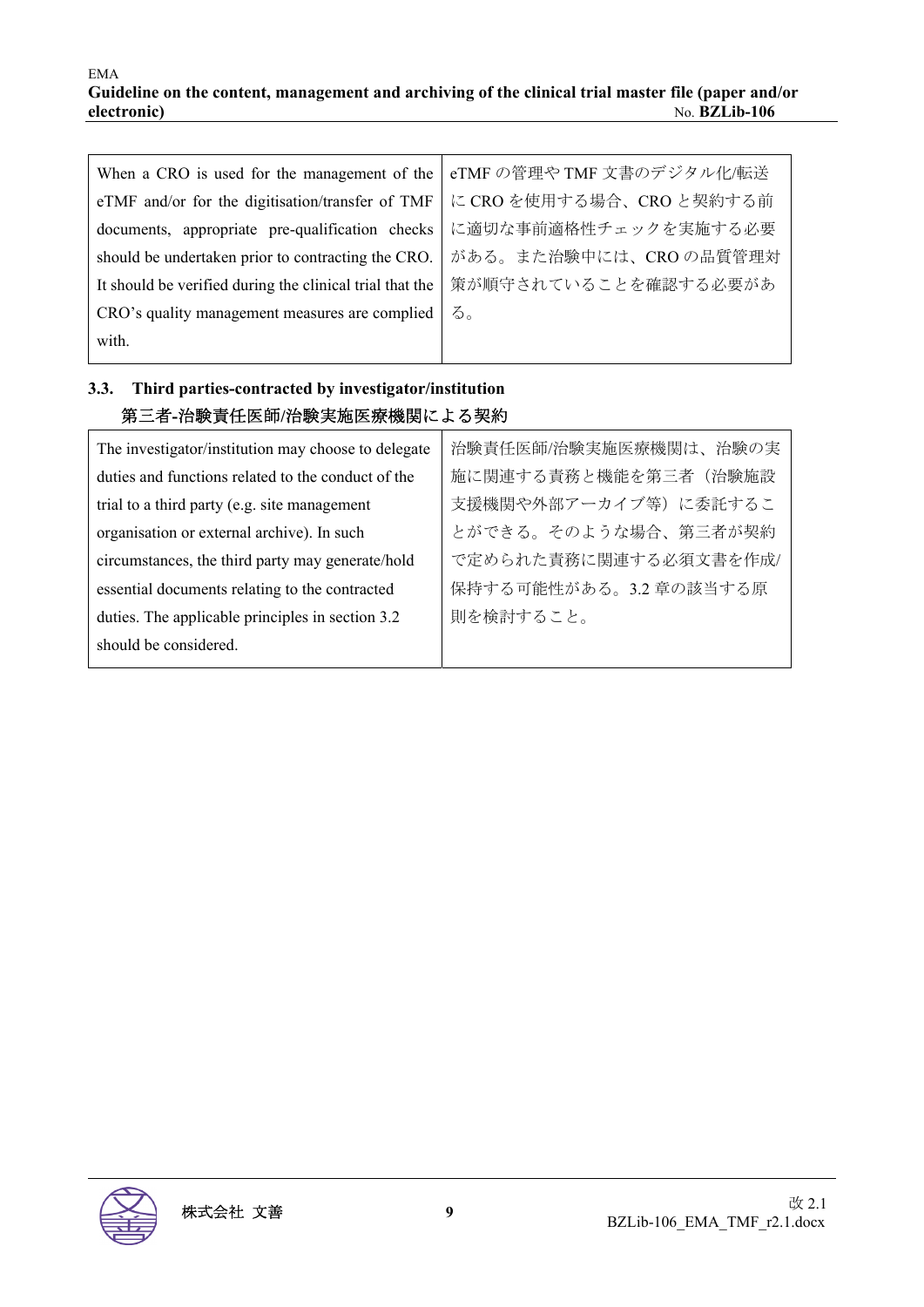| When a CRO is used for the management of the             | eTMF の管理や TMF 文書のデジタル化/転送 |
|----------------------------------------------------------|---------------------------|
| eTMF and/or for the digitisation/transfer of TMF         | に CRO を使用する場合、CRO と契約する前  |
| documents, appropriate pre-qualification checks          | に適切な事前適格性チェックを実施する必要      |
| should be undertaken prior to contracting the CRO.       | がある。また治験中には、CROの品質管理対     |
| It should be verified during the clinical trial that the | 策が順守されていることを確認する必要があ      |
| CRO's quality management measures are complied           | る。                        |
| with.                                                    |                           |

## **3.3. Third parties-contracted by investigator/institution**  第三者**-**治験責任医師**/**治験実施医療機関による契約

| The investigator/institution may choose to delegate | 治験責任医師/治験実施医療機関は、治験の実  |
|-----------------------------------------------------|------------------------|
| duties and functions related to the conduct of the  | 施に関連する責務と機能を第三者(治験施設   |
| trial to a third party (e.g. site management        | 支援機関や外部アーカイブ等)に委託するこ   |
| organisation or external archive). In such          | とができる。そのような場合、第三者が契約   |
| circumstances, the third party may generate/hold    | で定められた責務に関連する必須文書を作成/  |
| essential documents relating to the contracted      | 保持する可能性がある。3.2 章の該当する原 |
| duties. The applicable principles in section 3.2    | 則を検討すること。              |
| should be considered.                               |                        |
|                                                     |                        |

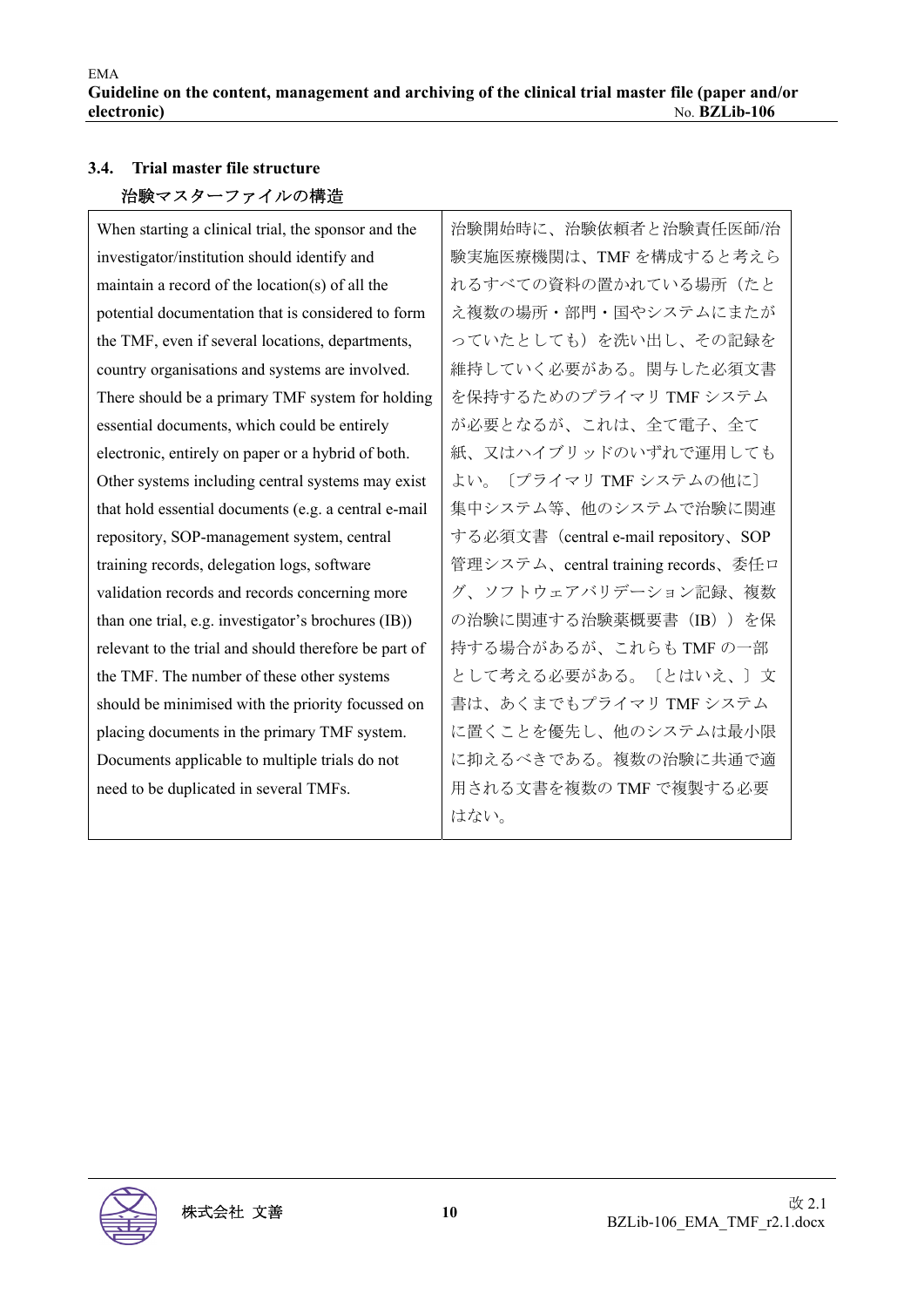## **3.4. Trial master file structure**  治験マスターファイルの構造

When starting a clinical trial, the sponsor and the investigator/institution should identify and maintain a record of the location(s) of all the potential documentation that is considered to form the TMF, even if several locations, departments, country organisations and systems are involved. There should be a primary TMF system for holding essential documents, which could be entirely electronic, entirely on paper or a hybrid of both. Other systems including central systems may exist that hold essential documents (e.g. a central e-mail repository, SOP-management system, central training records, delegation logs, software validation records and records concerning more than one trial, e.g. investigator's brochures (IB)) relevant to the trial and should therefore be part of the TMF. The number of these other systems should be minimised with the priority focussed on placing documents in the primary TMF system. Documents applicable to multiple trials do not need to be duplicated in several TMFs.

治験開始時に、治験依頼者と治験責任医師/治 験実施医療機関は、TMF を構成すると考えら れるすべての資料の置かれている場所(たと え複数の場所・部門・国やシステムにまたが っていたとしても)を洗い出し、その記録を 維持していく必要がある。関与した必須文書 を保持するためのプライマリ TMF システム が必要となるが、これは、全て電子、全て 紙、又はハイブリッドのいずれで運用しても よい。〔プライマリ TMF システムの他に〕 集中システム等、他のシステムで治験に関連 する必須文書(central e-mail repository、SOP 管理システム、central training records、委任ロ グ、ソフトウェアバリデーション記録、複数 の治験に関連する治験薬概要書(IB))を保 持する場合があるが、これらも TMF の一部 として考える必要がある。〔とはいえ、〕文 書は、あくまでもプライマリ TMF システム に置くことを優先し、他のシステムは最小限 に抑えるべきである。複数の治験に共通で適 用される文書を複数の TMF で複製する必要 はない。

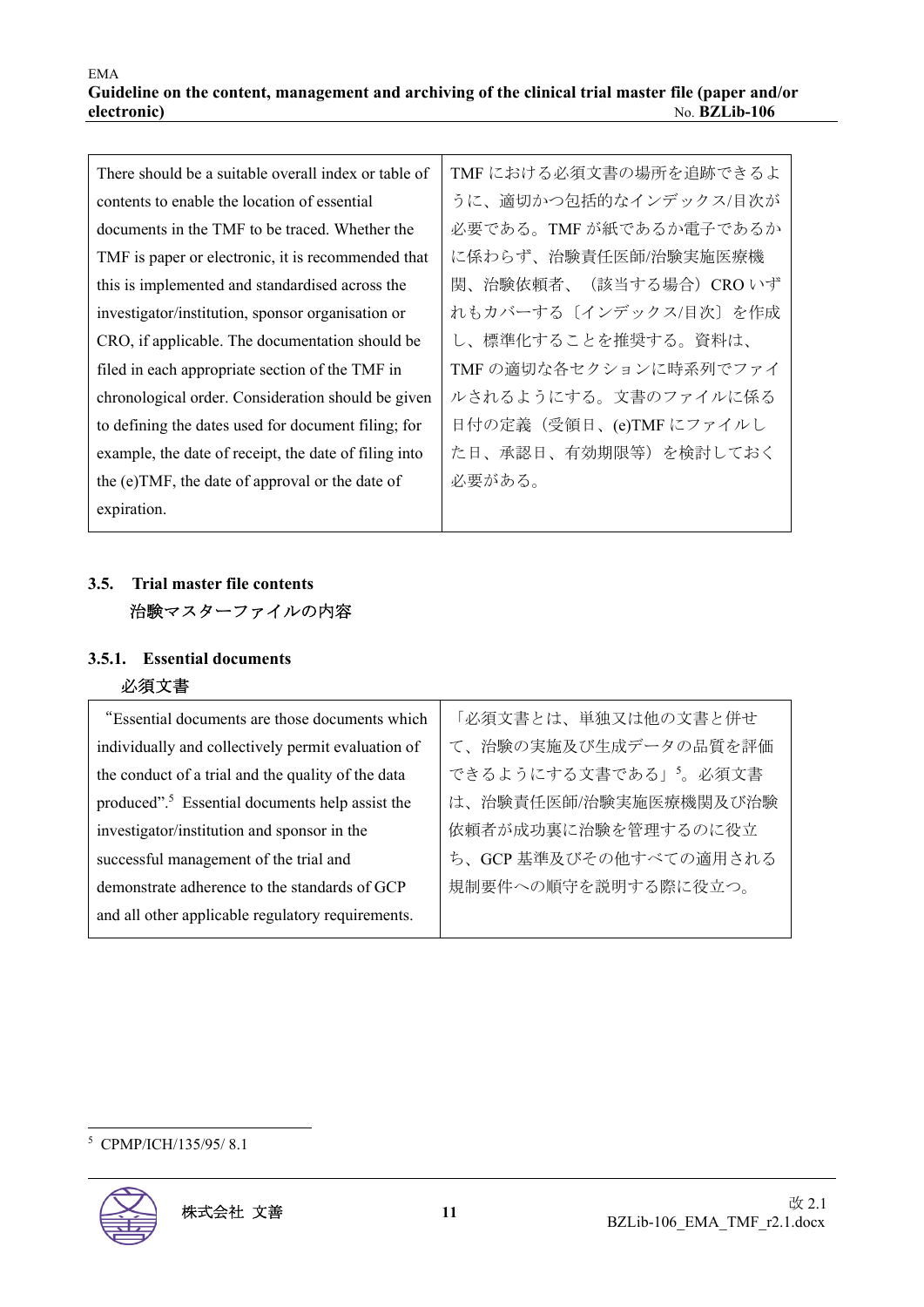| There should be a suitable overall index or table of  | TMF における必須文書の場所を追跡できるよ  |
|-------------------------------------------------------|-------------------------|
| contents to enable the location of essential          | うに、適切かつ包括的なインデックス/目次が   |
| documents in the TMF to be traced. Whether the        | 必要である。TMF が紙であるか電子であるか  |
| TMF is paper or electronic, it is recommended that    | に係わらず、治験責任医師/治験実施医療機    |
| this is implemented and standardised across the       | 関、治験依頼者、(該当する場合) CRO いず |
| investigator/institution, sponsor organisation or     | れもカバーする〔インデックス/目次〕を作成   |
| CRO, if applicable. The documentation should be       | し、標準化することを推奨する。資料は、     |
| filed in each appropriate section of the TMF in       | TMF の適切な各セクションに時系列でファイ  |
| chronological order. Consideration should be given    | ルされるようにする。文書のファイルに係る    |
| to defining the dates used for document filing; for   | 日付の定義(受領日、(e)TMFにファイルし  |
| example, the date of receipt, the date of filing into | た日、承認日、有効期限等)を検討しておく    |
| the (e)TMF, the date of approval or the date of       | 必要がある。                  |
| expiration.                                           |                         |

## **3.5. Trial master file contents**  治験マスターファイルの内容

## **3.5.1. Essential documents**  必須文書

| "Essential documents are those documents which              | 「必須文書とは、単独又は他の文書と併せ   |
|-------------------------------------------------------------|-----------------------|
| individually and collectively permit evaluation of          | て、治験の実施及び生成データの品質を評価  |
| the conduct of a trial and the quality of the data          | できるようにする文書である」5。必須文書  |
| produced". <sup>5</sup> Essential documents help assist the | は、治験責任医師/治験実施医療機関及び治験 |
| investigator/institution and sponsor in the                 | 依頼者が成功裏に治験を管理するのに役立   |
| successful management of the trial and                      | ち、GCP基準及びその他すべての適用される |
| demonstrate adherence to the standards of GCP               | 規制要件への順守を説明する際に役立つ。   |
| and all other applicable regulatory requirements.           |                       |
|                                                             |                       |

<sup>5</sup> CPMP/ICH/135/95/ 8.1

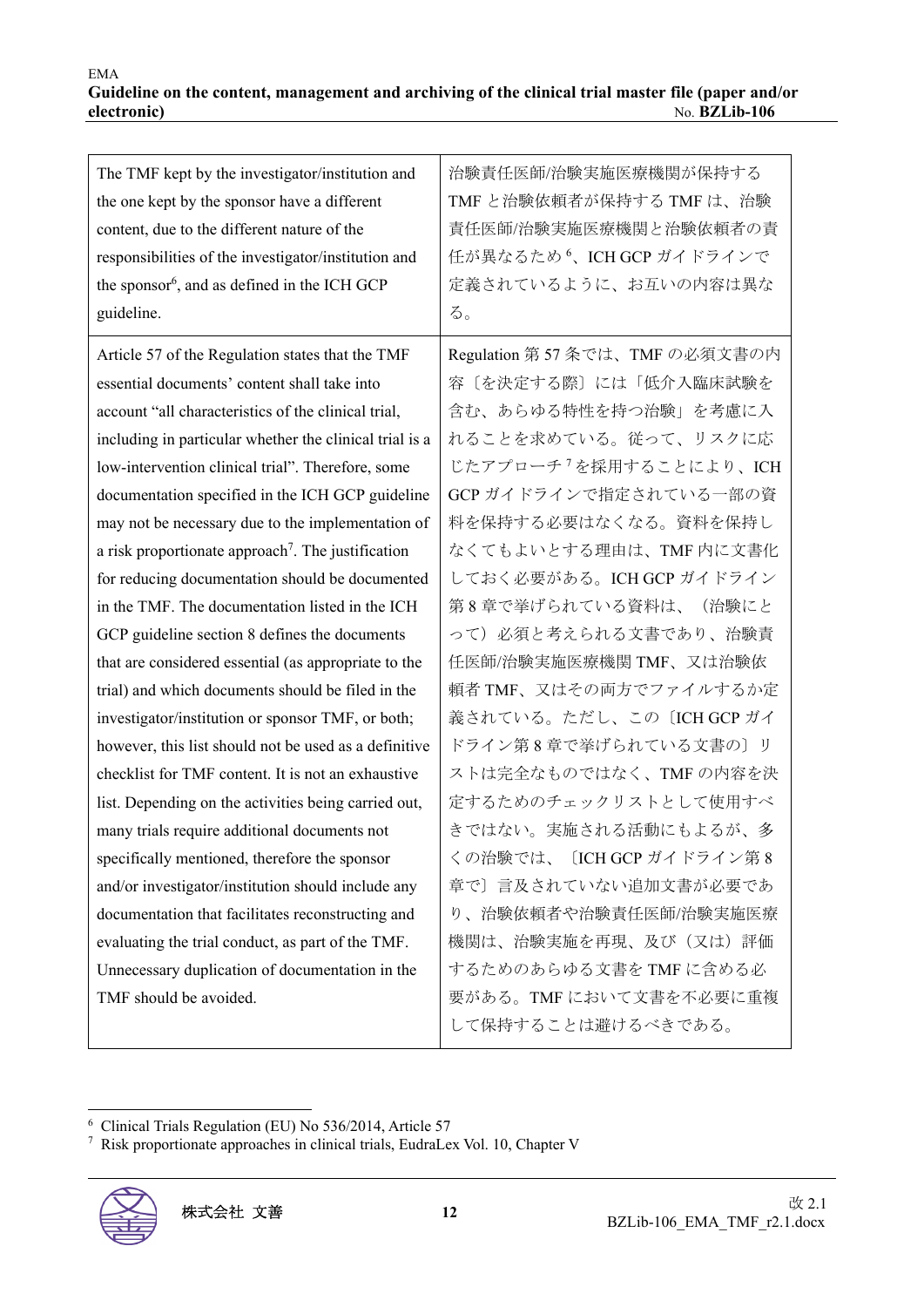| The TMF kept by the investigator/institution and               | 治験責任医師/治験実施医療機関が保持する                        |
|----------------------------------------------------------------|---------------------------------------------|
| the one kept by the sponsor have a different                   | TMFと治験依頼者が保持する TMF は、治験                     |
| content, due to the different nature of the                    | 責任医師/治験実施医療機関と治験依頼者の責                       |
| responsibilities of the investigator/institution and           | 任が異なるため <sup>6</sup> 、ICH GCP ガイドラインで       |
| the sponsor <sup>6</sup> , and as defined in the ICH GCP       | 定義されているように、お互いの内容は異な                        |
| guideline.                                                     | る。                                          |
| Article 57 of the Regulation states that the TMF               | Regulation 第57条では、TMF の必須文書の内               |
| essential documents' content shall take into                   | 容〔を決定する際〕には「低介入臨床試験を                        |
| account "all characteristics of the clinical trial,            | 含む、あらゆる特性を持つ治験」を考慮に入                        |
| including in particular whether the clinical trial is a        | れることを求めている。従って、リスクに応                        |
| low-intervention clinical trial". Therefore, some              | じたアプローチ <sup>7</sup> を採用することにより、ICH         |
| documentation specified in the ICH GCP guideline               | GCP ガイドラインで指定されている一部の資                      |
| may not be necessary due to the implementation of              | 料を保持する必要はなくなる。資料を保持し                        |
| a risk proportionate approach <sup>7</sup> . The justification | なくてもよいとする理由は、TMF内に文書化                       |
| for reducing documentation should be documented                | しておく必要がある。ICH GCP ガイドライン                    |
| in the TMF. The documentation listed in the ICH                | 第8章で挙げられている資料は、(治験にと                        |
| GCP guideline section 8 defines the documents                  | って)必須と考えられる文書であり、治験責                        |
| that are considered essential (as appropriate to the           | 任医師/治験実施医療機関 TMF、又は治験依                      |
| trial) and which documents should be filed in the              | 頼者 TMF、又はその両方でファイルするか定                      |
| investigator/institution or sponsor TMF, or both;              | 義されている。ただし、この〔ICH GCP ガイ                    |
| however, this list should not be used as a definitive          | ドライン第8章で挙げられている文書の〕リ                        |
| checklist for TMF content. It is not an exhaustive             | ストは完全なものではなく、TMFの内容を決                       |
| list. Depending on the activities being carried out,           | 定するためのチェックリストとして使用すべ                        |
| many trials require additional documents not                   | きではない。実施される活動にもよるが、多                        |
| specifically mentioned, therefore the sponsor                  | くの治験では、〔ICH GCP ガイドライン第8                    |
| and/or investigator/institution should include any             | 章で〕言及されていない追加文書が必要であ                        |
| documentation that facilitates reconstructing and              | り、治験依頼者や治験責任医師/治験実施医療                       |
| evaluating the trial conduct, as part of the TMF.              | 機関は、治験実施を再現、及び(又は)評価                        |
| Unnecessary duplication of documentation in the                | するためのあらゆる文書を TMF に含める必                      |
| TMF should be avoided.                                         | 要がある。TMFにおいて文書を不必要に重複<br>して保持することは避けるべきである。 |

<sup>7</sup> Risk proportionate approaches in clinical trials, EudraLex Vol. 10, Chapter V



<sup>6</sup> Clinical Trials Regulation (EU) No 536/2014, Article 57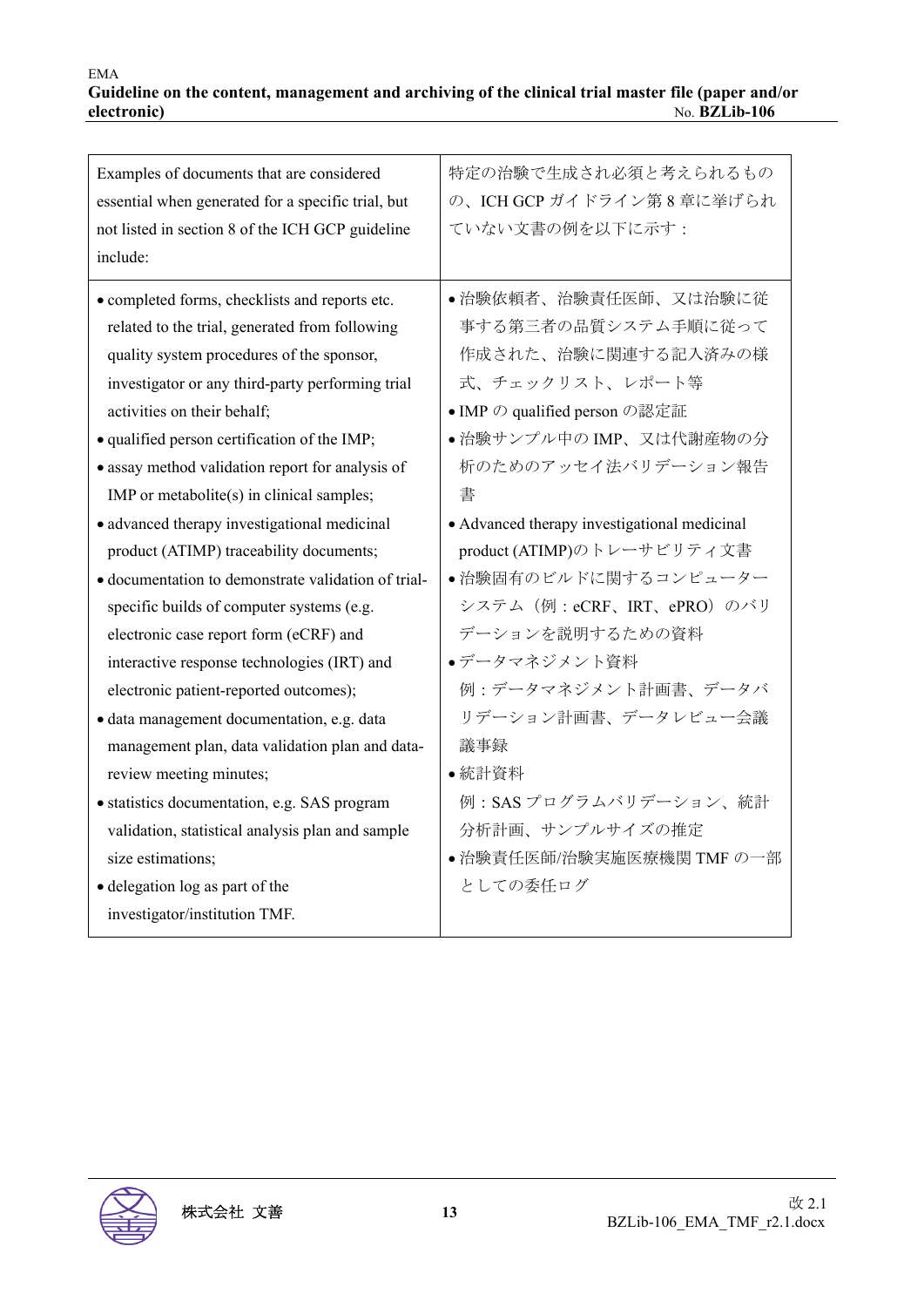| Examples of documents that are considered           | 特定の治験で生成され必須と考えられるもの                         |
|-----------------------------------------------------|----------------------------------------------|
| essential when generated for a specific trial, but  | の、ICH GCP ガイドライン第8章に挙げられ                     |
| not listed in section 8 of the ICH GCP guideline    | ていない文書の例を以下に示す:                              |
| include:                                            |                                              |
| • completed forms, checklists and reports etc.      | • 治験依頼者、治験責任医師、又は治験に従                        |
| related to the trial, generated from following      | 事する第三者の品質システム手順に従って                          |
| quality system procedures of the sponsor,           | 作成された、治験に関連する記入済みの様                          |
| investigator or any third-party performing trial    | 式、チェックリスト、レポート等                              |
| activities on their behalf;                         | • IMP の qualified person の認定証                |
| · qualified person certification of the IMP;        | ● 治験サンプル中の IMP、又は代謝産物の分                      |
| • assay method validation report for analysis of    | 析のためのアッセイ法バリデーション報告                          |
| IMP or metabolite $(s)$ in clinical samples;        | 書                                            |
| • advanced therapy investigational medicinal        | • Advanced therapy investigational medicinal |
| product (ATIMP) traceability documents;             | product (ATIMP)のトレーサビリティ文書                   |
| · documentation to demonstrate validation of trial- | ●治験固有のビルドに関するコンピューター                         |
| specific builds of computer systems (e.g.           | システム (例:eCRF、IRT、ePRO) のバリ                   |
| electronic case report form (eCRF) and              | デーションを説明するための資料                              |
| interactive response technologies (IRT) and         | ●データマネジメント資料                                 |
| electronic patient-reported outcomes);              | 例:データマネジメント計画書、データバ                          |
| · data management documentation, e.g. data          | リデーション計画書、データレビュー会議                          |
| management plan, data validation plan and data-     | 議事録                                          |
| review meeting minutes;                             | •統計資料                                        |
| • statistics documentation, e.g. SAS program        | 例: SASプログラムバリデーション、統計                        |
| validation, statistical analysis plan and sample    | 分析計画、サンプルサイズの推定                              |
| size estimations;                                   | ● 治験責任医師/治験実施医療機関 TMF の一部                    |
| • delegation log as part of the                     | としての委任ログ                                     |
| investigator/institution TMF.                       |                                              |
|                                                     |                                              |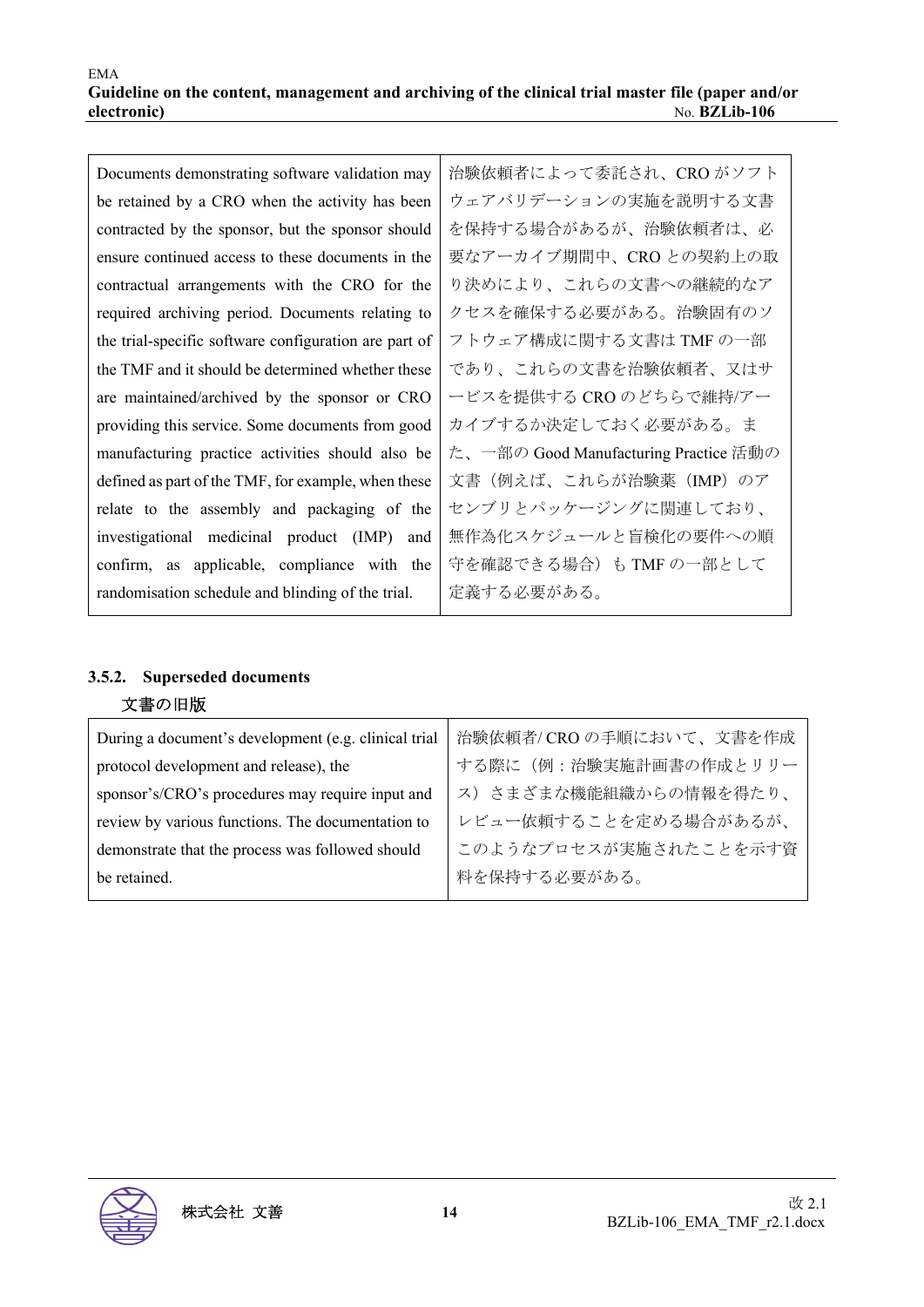| Documents demonstrating software validation may       | 治験依頼者によって委託され、CRO がソフト                |
|-------------------------------------------------------|---------------------------------------|
| be retained by a CRO when the activity has been       | ウェアバリデーションの実施を説明する文書                  |
| contracted by the sponsor, but the sponsor should     | を保持する場合があるが、治験依頼者は、必                  |
| ensure continued access to these documents in the     | 要なアーカイブ期間中、CRO との契約上の取                |
| contractual arrangements with the CRO for the         | り決めにより、これらの文書への継続的なア                  |
| required archiving period. Documents relating to      | クセスを確保する必要がある。治験固有のソ                  |
| the trial-specific software configuration are part of | フトウェア構成に関する文書は TMF の一部                |
| the TMF and it should be determined whether these     | であり、これらの文書を治験依頼者、又はサ                  |
| are maintained/archived by the sponsor or CRO         | ービスを提供する CRO のどちらで維持/アー               |
| providing this service. Some documents from good      | カイブするか決定しておく必要がある。ま                   |
| manufacturing practice activities should also be      | た、一部の Good Manufacturing Practice 活動の |
| defined as part of the TMF, for example, when these   | 文書(例えば、これらが治験薬(IMP)のア                 |
| relate to the assembly and packaging of the           | センブリとパッケージングに関連しており、                  |
| investigational medicinal product (IMP) and           | 無作為化スケジュールと盲検化の要件への順                  |
| confirm, as applicable, compliance with the           | 守を確認できる場合)も TMF の一部として                |
| randomisation schedule and blinding of the trial.     | 定義する必要がある。                            |
|                                                       |                                       |

#### **3.5.2. Superseded documents**

## 文書の旧版

| During a document's development (e.g. clinical trial | 治験依頼者/CROの手順において、文書を作成 |
|------------------------------------------------------|------------------------|
| protocol development and release), the               | する際に(例:治験実施計画書の作成とリリー  |
| sponsor's/CRO's procedures may require input and     | ス)さまざまな機能組織からの情報を得たり、  |
| review by various functions. The documentation to    | レビュー依頼することを定める場合があるが、  |
| demonstrate that the process was followed should     | このようなプロセスが実施されたことを示す資  |
| be retained.                                         | 料を保持する必要がある。           |

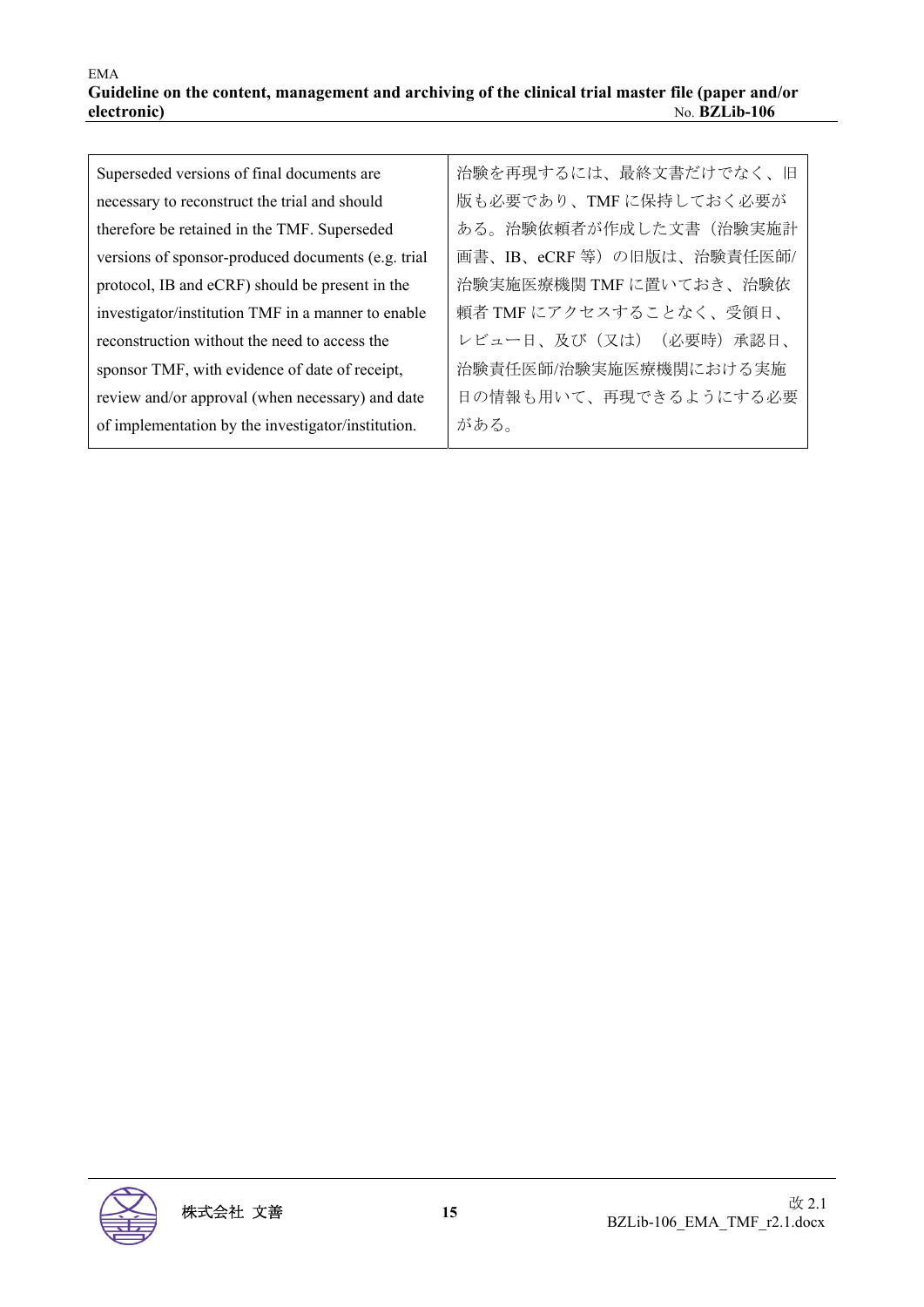| Superseded versions of final documents are         | 治験を再現するには、最終文書だけでなく、旧     |
|----------------------------------------------------|---------------------------|
| necessary to reconstruct the trial and should      | 版も必要であり、TMFに保持しておく必要が     |
| therefore be retained in the TMF. Superseded       | ある。治験依頼者が作成した文書(治験実施計     |
| versions of sponsor-produced documents (e.g. trial | 画書、IB、eCRF 等)の旧版は、治験責任医師/ |
| protocol, IB and eCRF) should be present in the    | 治験実施医療機関 TMF に置いておき、治験依   |
| investigator/institution TMF in a manner to enable | 頼者 TMF にアクセスすることなく、受領日、   |
| reconstruction without the need to access the      | レビュー日、及び (又は) (必要時)承認日、   |
| sponsor TMF, with evidence of date of receipt,     | 治験責任医師/治験実施医療機関における実施     |
| review and/or approval (when necessary) and date   | 日の情報も用いて、再現できるようにする必要     |
| of implementation by the investigator/institution. | がある。                      |

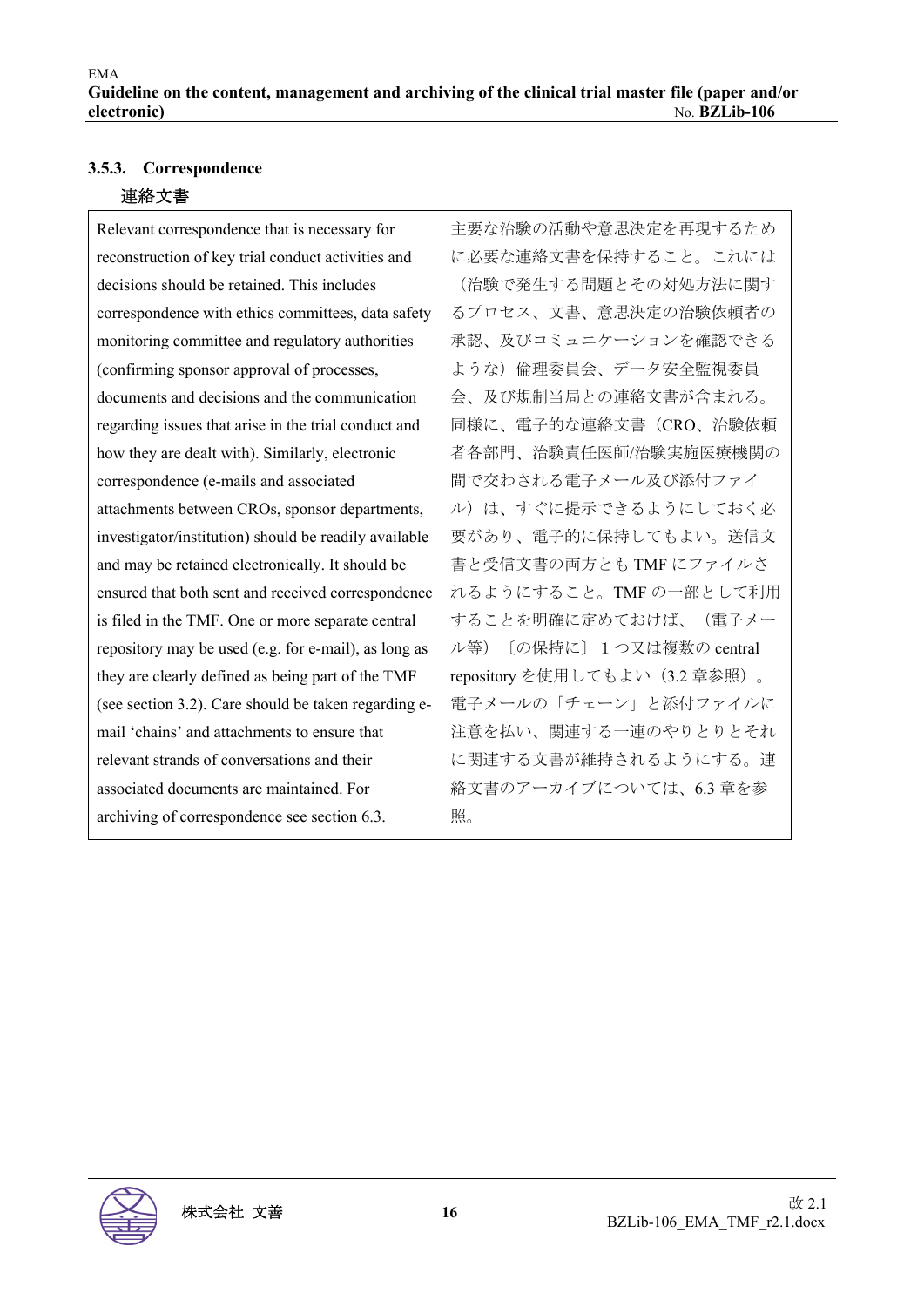### **3.5.3. Correspondence**

#### 連絡文書

Relevant correspondence that is necessary for reconstruction of key trial conduct activities and decisions should be retained. This includes correspondence with ethics committees, data safety monitoring committee and regulatory authorities (confirming sponsor approval of processes, documents and decisions and the communication regarding issues that arise in the trial conduct and how they are dealt with). Similarly, electronic correspondence (e-mails and associated attachments between CROs, sponsor departments, investigator/institution) should be readily available and may be retained electronically. It should be ensured that both sent and received correspondence is filed in the TMF. One or more separate central repository may be used (e.g. for e-mail), as long as they are clearly defined as being part of the TMF (see section 3.2). Care should be taken regarding email 'chains' and attachments to ensure that relevant strands of conversations and their associated documents are maintained. For archiving of correspondence see section 6.3.

主要な治験の活動や意思決定を再現するため に必要な連絡文書を保持すること。これには (治験で発生する問題とその対処方法に関す るプロセス、文書、意思決定の治験依頼者の 承認、及びコミュニケーションを確認できる ような)倫理委員会、データ安全監視委員 会、及び規制当局との連絡文書が含まれる。 同様に、電子的な連絡文書(CRO、治験依頼 者各部門、治験責任医師/治験実施医療機関の 間で交わされる電子メール及び添付ファイ ル)は、すぐに提示できるようにしておく必 要があり、電子的に保持してもよい。送信文 書と受信文書の両方とも TMF にファイルさ れるようにすること。TMF の一部として利用 することを明確に定めておけば、(電子メー ル等)〔の保持に〕1つ又は複数の central repository を使用してもよい(3.2 章参照)。 電子メールの「チェーン」と添付ファイルに 注意を払い、関連する一連のやりとりとそれ に関連する文書が維持されるようにする。連 絡文書のアーカイブについては、6.3 章を参 照。

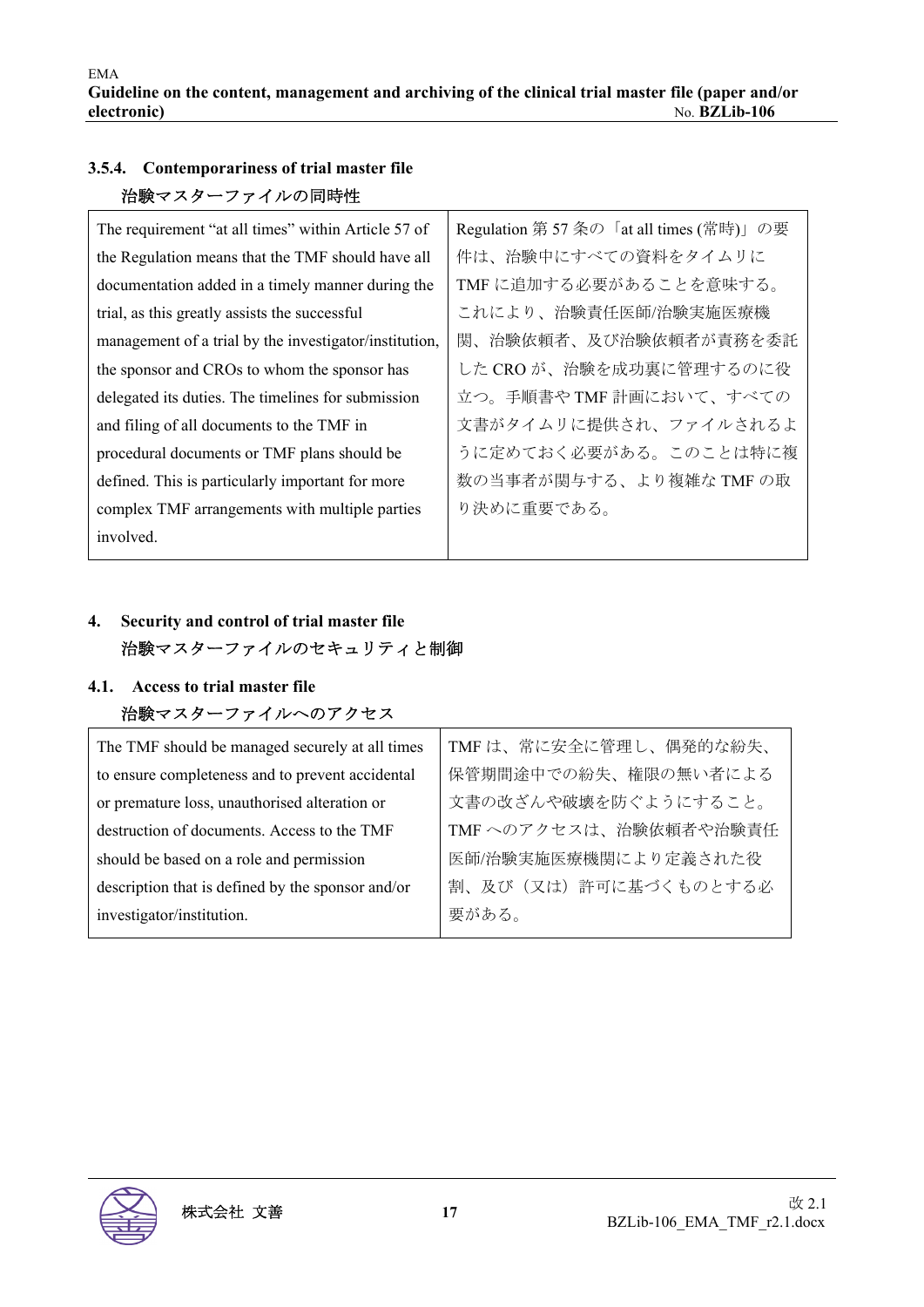## **3.5.4. Contemporariness of trial master file**  治験マスターファイルの同時性

| The requirement "at all times" within Article 57 of    | Regulation 第57条の「at all times (常時)」の要 |
|--------------------------------------------------------|---------------------------------------|
| the Regulation means that the TMF should have all      | 件は、治験中にすべての資料をタイムリに                   |
| documentation added in a timely manner during the      | TMF に追加する必要があることを意味する。                |
| trial, as this greatly assists the successful          | これにより、治験責任医師/治験実施医療機                  |
| management of a trial by the investigator/institution, | 関、治験依頼者、及び治験依頼者が責務を委託                 |
| the sponsor and CROs to whom the sponsor has           | した CRO が、治験を成功裏に管理するのに役               |
| delegated its duties. The timelines for submission     | 立つ。手順書やTMF計画において、すべての                 |
| and filing of all documents to the TMF in              | 文書がタイムリに提供され、ファイルされるよ                 |
| procedural documents or TMF plans should be            | うに定めておく必要がある。このことは特に複                 |
| defined. This is particularly important for more       | 数の当事者が関与する、より複雑な TMF の取               |
| complex TMF arrangements with multiple parties         | り決めに重要である。                            |
| involved.                                              |                                       |

## **4. Security and control of trial master file**  治験マスターファイルのセキュリティと制御

## **4.1. Access to trial master file**  治験マスターファイルへのアクセス

| The TMF should be managed securely at all times   | TMFは、常に安全に管理し、偶発的な紛失、  |
|---------------------------------------------------|------------------------|
| to ensure completeness and to prevent accidental  | 保管期間途中での紛失、権限の無い者による   |
| or premature loss, unauthorised alteration or     | 文書の改ざんや破壊を防ぐようにすること。   |
| destruction of documents. Access to the TMF       | TMF へのアクセスは、治験依頼者や治験責任 |
| should be based on a role and permission          | 医師/治験実施医療機関により定義された役   |
| description that is defined by the sponsor and/or | 割、及び(又は)許可に基づくものとする必   |
| investigator/institution.                         | 要がある。                  |
|                                                   |                        |

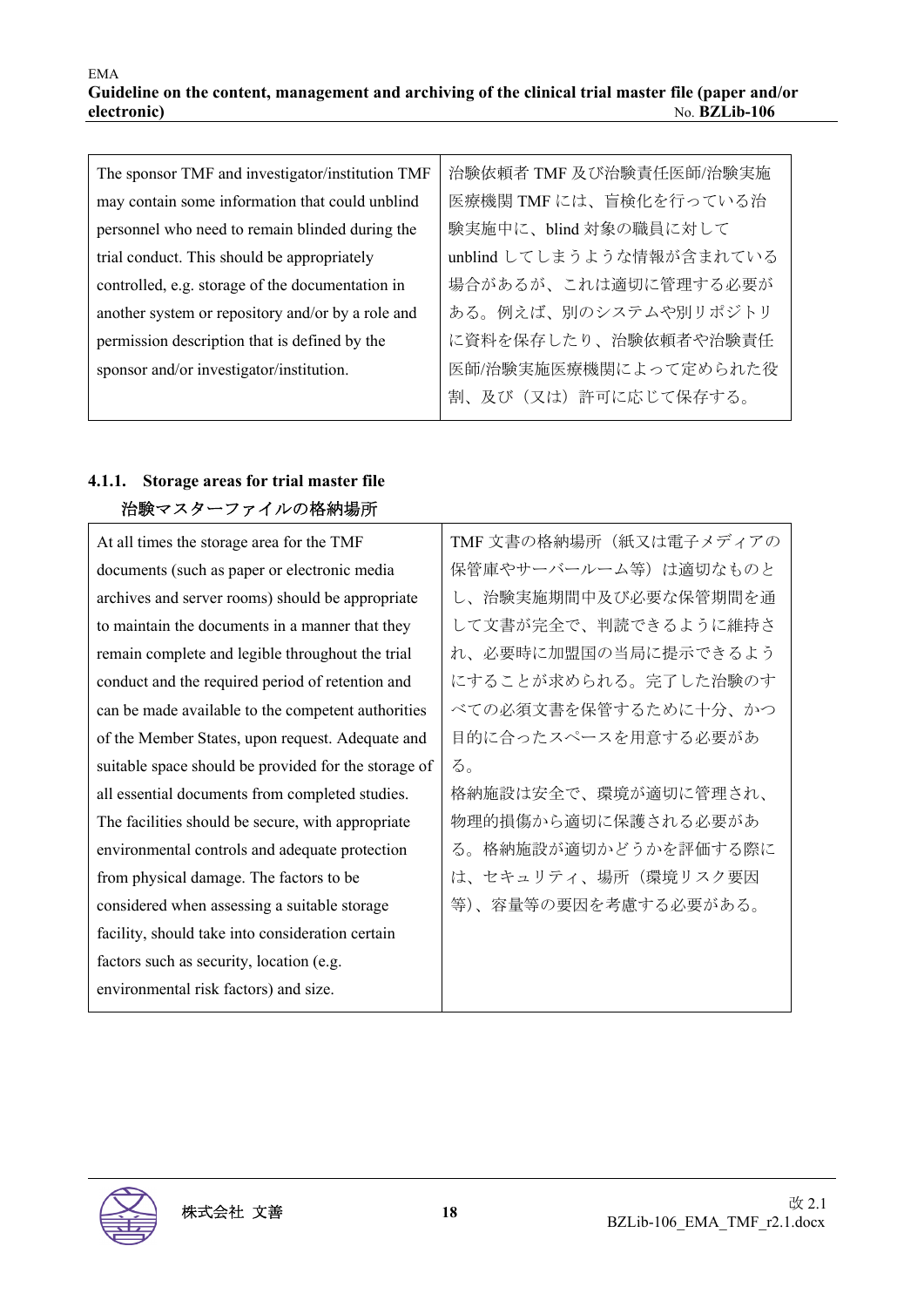#### EMA **Guideline on the content, management and archiving of the clinical trial master file (paper and/or electronic)** No. **BZLib-106**

| The sponsor TMF and investigator/institution TMF  | 治験依頼者 TMF 及び治験責任医師/治験実施   |
|---------------------------------------------------|---------------------------|
| may contain some information that could unblind   | 医療機関 TMF には、盲検化を行っている治    |
| personnel who need to remain blinded during the   | 験実施中に、blind 対象の職員に対して     |
| trial conduct. This should be appropriately       | unblind してしまうような情報が含まれている |
| controlled, e.g. storage of the documentation in  | 場合があるが、これは適切に管理する必要が      |
| another system or repository and/or by a role and | ある。例えば、別のシステムや別リポジトリ      |
| permission description that is defined by the     | に資料を保存したり、治験依頼者や治験責任      |
| sponsor and/or investigator/institution.          | 医師/治験実施医療機関によって定められた役     |
|                                                   | 割、及び(又は)許可に応じて保存する。       |

## **4.1.1. Storage areas for trial master file**  治験マスターファイルの格納場所

At all times the storage area for the TMF documents (such as paper or electronic media archives and server rooms) should be appropriate to maintain the documents in a manner that they remain complete and legible throughout the trial conduct and the required period of retention and can be made available to the competent authorities of the Member States, upon request. Adequate and suitable space should be provided for the storage of all essential documents from completed studies. The facilities should be secure, with appropriate environmental controls and adequate protection from physical damage. The factors to be considered when assessing a suitable storage facility, should take into consideration certain factors such as security, location (e.g. environmental risk factors) and size. る。

TMF 文書の格納場所(紙又は電子メディアの 保管庫やサーバールーム等)は適切なものと し、治験実施期間中及び必要な保管期間を通 して文書が完全で、判読できるように維持さ れ、必要時に加盟国の当局に提示できるよう にすることが求められる。完了した治験のす べての必須文書を保管するために十分、かつ 目的に合ったスペースを用意する必要があ 格納施設は安全で、環境が適切に管理され、 物理的損傷から適切に保護される必要があ る。格納施設が適切かどうかを評価する際に は、セキュリティ、場所(環境リスク要因 等)、容量等の要因を考慮する必要がある。

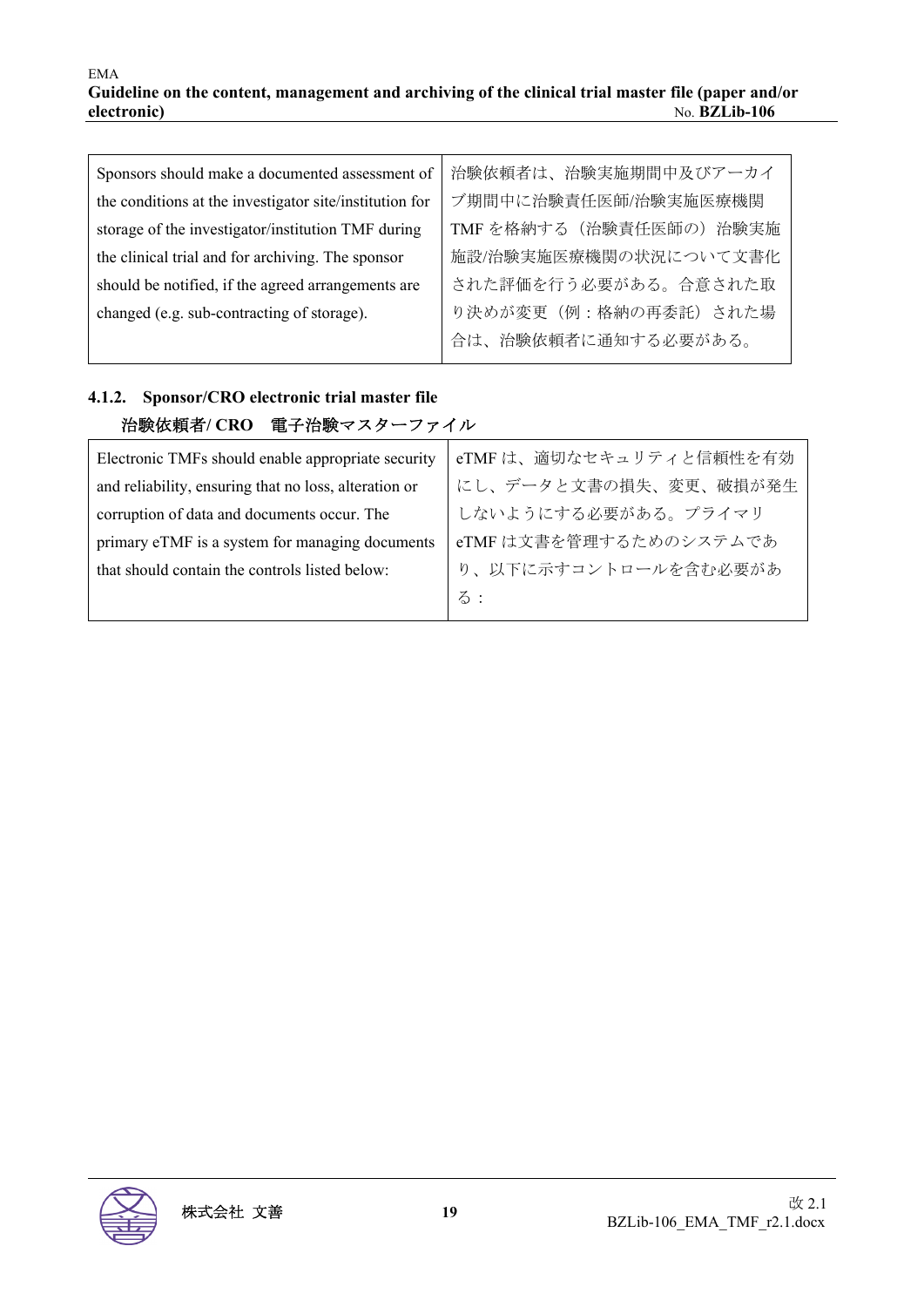| Sponsors should make a documented assessment of         | 治験依頼者は、治験実施期間中及びアーカイ    |
|---------------------------------------------------------|-------------------------|
| the conditions at the investigator site/institution for | ブ期間中に治験責任医師/治験実施医療機関    |
| storage of the investigator/institution TMF during      | TMFを格納する (治験責任医師の) 治験実施 |
| the clinical trial and for archiving. The sponsor       | 施設/治験実施医療機関の状況について文書化   |
| should be notified, if the agreed arrangements are      | された評価を行う必要がある。合意された取    |
| changed (e.g. sub-contracting of storage).              | り決めが変更(例:格納の再委託)された場    |
|                                                         | 合は、治験依頼者に通知する必要がある。     |

## **4.1.2. Sponsor/CRO electronic trial master file**  治験依頼者**/ CRO** 電子治験マスターファイル

| Electronic TMFs should enable appropriate security    | eTMFは、適切なセキュリティと信頼性を有効 |
|-------------------------------------------------------|------------------------|
| and reliability, ensuring that no loss, alteration or | にし、データと文書の損失、変更、破損が発生  |
| corruption of data and documents occur. The           | しないようにする必要がある。プライマリ    |
| primary eTMF is a system for managing documents       | eTMF は文書を管理するためのシステムであ |
| that should contain the controls listed below:        | り、以下に示すコントロールを含む必要があ   |
|                                                       | る:                     |
|                                                       |                        |

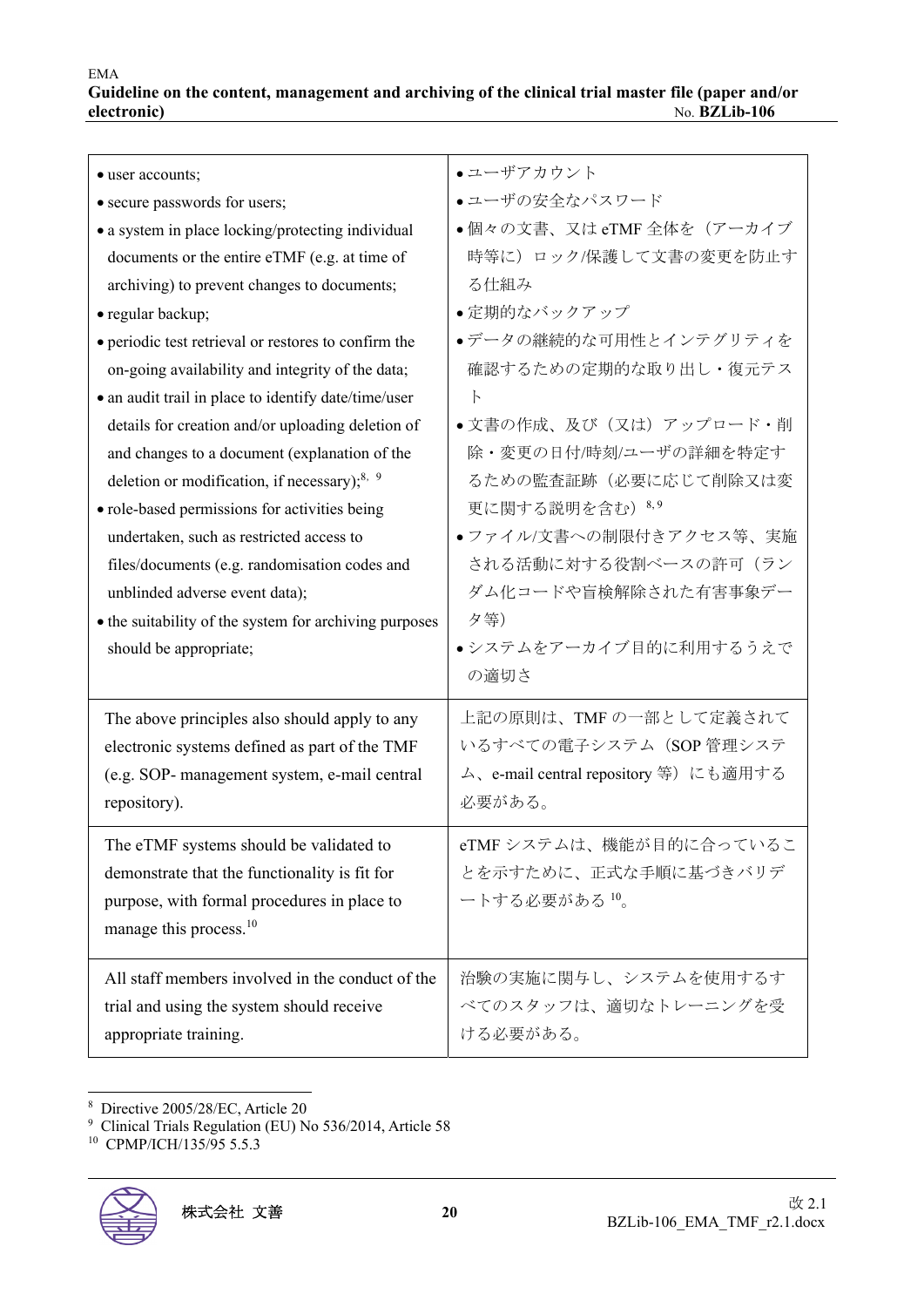| • user accounts;<br>• secure passwords for users;<br>• a system in place locking/protecting individual<br>documents or the entire eTMF (e.g. at time of<br>archiving) to prevent changes to documents;<br>· regular backup;<br>• periodic test retrieval or restores to confirm the<br>on-going availability and integrity of the data;<br>• an audit trail in place to identify date/time/user<br>details for creation and/or uploading deletion of<br>and changes to a document (explanation of the<br>deletion or modification, if necessary); $8, 9$<br>· role-based permissions for activities being<br>undertaken, such as restricted access to<br>files/documents (e.g. randomisation codes and<br>unblinded adverse event data);<br>• the suitability of the system for archiving purposes | • ユーザアカウント<br>●ユーザの安全なパスワード<br>●個々の文書、又は eTMF 全体を(アーカイブ<br>時等に)ロック/保護して文書の変更を防止す<br>る仕組み<br>●定期的なバックアップ<br>●データの継続的な可用性とインテグリティを<br>確認するための定期的な取り出し・復元テス<br>$\mathsf{F}$<br>• 文書の作成、及び(又は)アップロード・削<br>除・変更の日付/時刻/ユーザの詳細を特定す<br>るための監査証跡(必要に応じて削除又は変<br>更に関する説明を含む) 8,9<br>●ファイル/文書への制限付きアクセス等、実施<br>される活動に対する役割ベースの許可(ラン<br>ダム化コードや盲検解除された有害事象デー<br>夕等) |
|----------------------------------------------------------------------------------------------------------------------------------------------------------------------------------------------------------------------------------------------------------------------------------------------------------------------------------------------------------------------------------------------------------------------------------------------------------------------------------------------------------------------------------------------------------------------------------------------------------------------------------------------------------------------------------------------------------------------------------------------------------------------------------------------------|---------------------------------------------------------------------------------------------------------------------------------------------------------------------------------------------------------------------------------------------------------------------------------------------------------------------------------------------------------|
| The above principles also should apply to any<br>electronic systems defined as part of the TMF<br>(e.g. SOP- management system, e-mail central<br>repository).                                                                                                                                                                                                                                                                                                                                                                                                                                                                                                                                                                                                                                     | の適切さ<br>上記の原則は、TMF の一部として定義されて<br>いるすべての電子システム (SOP 管理システ<br>ム、e-mail central repository 等)にも適用する<br>必要がある。                                                                                                                                                                                                                                             |
| The eTMF systems should be validated to<br>demonstrate that the functionality is fit for<br>purpose, with formal procedures in place to<br>manage this process. <sup>10</sup>                                                                                                                                                                                                                                                                                                                                                                                                                                                                                                                                                                                                                      | eTMF システムは、機能が目的に合っているこ<br>とを示すために、正式な手順に基づきバリデ<br>ートする必要がある 10。                                                                                                                                                                                                                                                                                        |
| All staff members involved in the conduct of the<br>trial and using the system should receive<br>appropriate training.                                                                                                                                                                                                                                                                                                                                                                                                                                                                                                                                                                                                                                                                             | 治験の実施に関与し、システムを使用するす<br>べてのスタッフは、適切なトレーニングを受<br>ける必要がある。                                                                                                                                                                                                                                                                                                |

8 Directive 2005/28/EC, Article 20

<sup>&</sup>lt;sup>10</sup> CPMP/ICH/135/95 5.5.3



<sup>9</sup> Clinical Trials Regulation (EU) No 536/2014, Article 58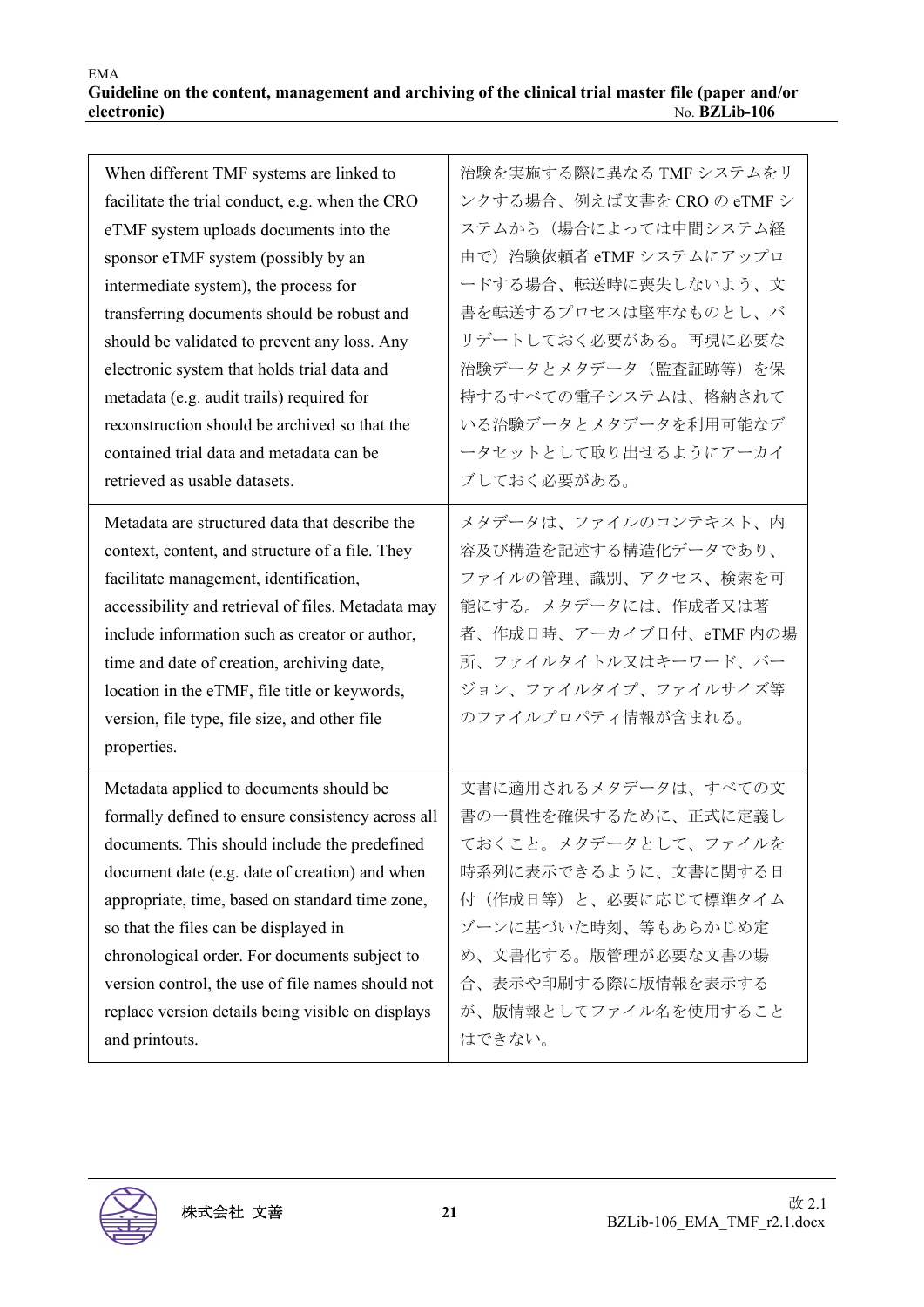| When different TMF systems are linked to           | 治験を実施する際に異なる TMF システムをリ    |
|----------------------------------------------------|----------------------------|
| facilitate the trial conduct, e.g. when the CRO    | ンクする場合、例えば文書を CRO の eTMF シ |
| eTMF system uploads documents into the             | ステムから(場合によっては中間システム経       |
| sponsor eTMF system (possibly by an                | 由で)治験依頼者 eTMF システムにアップロ    |
| intermediate system), the process for              | ードする場合、転送時に喪失しないよう、文       |
| transferring documents should be robust and        | 書を転送するプロセスは堅牢なものとし、バ       |
| should be validated to prevent any loss. Any       | リデートしておく必要がある。再現に必要な       |
| electronic system that holds trial data and        | 治験データとメタデータ (監査証跡等)を保      |
| metadata (e.g. audit trails) required for          | 持するすべての電子システムは、格納されて       |
| reconstruction should be archived so that the      | いる治験データとメタデータを利用可能なデ       |
| contained trial data and metadata can be           | ータセットとして取り出せるようにアーカイ       |
| retrieved as usable datasets.                      | ブしておく必要がある。                |
| Metadata are structured data that describe the     | メタデータは、ファイルのコンテキスト、内       |
| context, content, and structure of a file. They    | 容及び構造を記述する構造化データであり、       |
| facilitate management, identification,             | ファイルの管理、識別、アクセス、検索を可       |
| accessibility and retrieval of files. Metadata may | 能にする。メタデータには、作成者又は著        |
| include information such as creator or author,     | 者、作成日時、アーカイブ日付、eTMF 内の場    |
| time and date of creation, archiving date,         | 所、ファイルタイトル又はキーワード、バー       |
| location in the eTMF, file title or keywords,      | ジョン、ファイルタイプ、ファイルサイズ等       |
| version, file type, file size, and other file      | のファイルプロパティ情報が含まれる。         |
| properties.                                        |                            |
|                                                    |                            |
| Metadata applied to documents should be            | 文書に適用されるメタデータは、すべての文       |
| formally defined to ensure consistency across all  | 書の一貫性を確保するために、正式に定義し       |
| documents. This should include the predefined      | ておくこと。メタデータとして、ファイルを       |
| document date (e.g. date of creation) and when     | 時系列に表示できるように、文書に関する日       |
| appropriate, time, based on standard time zone,    | 付(作成日等)と、必要に応じて標準タイム       |
| so that the files can be displayed in              | ゾーンに基づいた時刻、等もあらかじめ定        |
| chronological order. For documents subject to      | め、文書化する。版管理が必要な文書の場        |
| version control, the use of file names should not  | 合、表示や印刷する際に版情報を表示する        |
| replace version details being visible on displays  | が、版情報としてファイル名を使用すること       |
| and printouts.                                     | はできない。                     |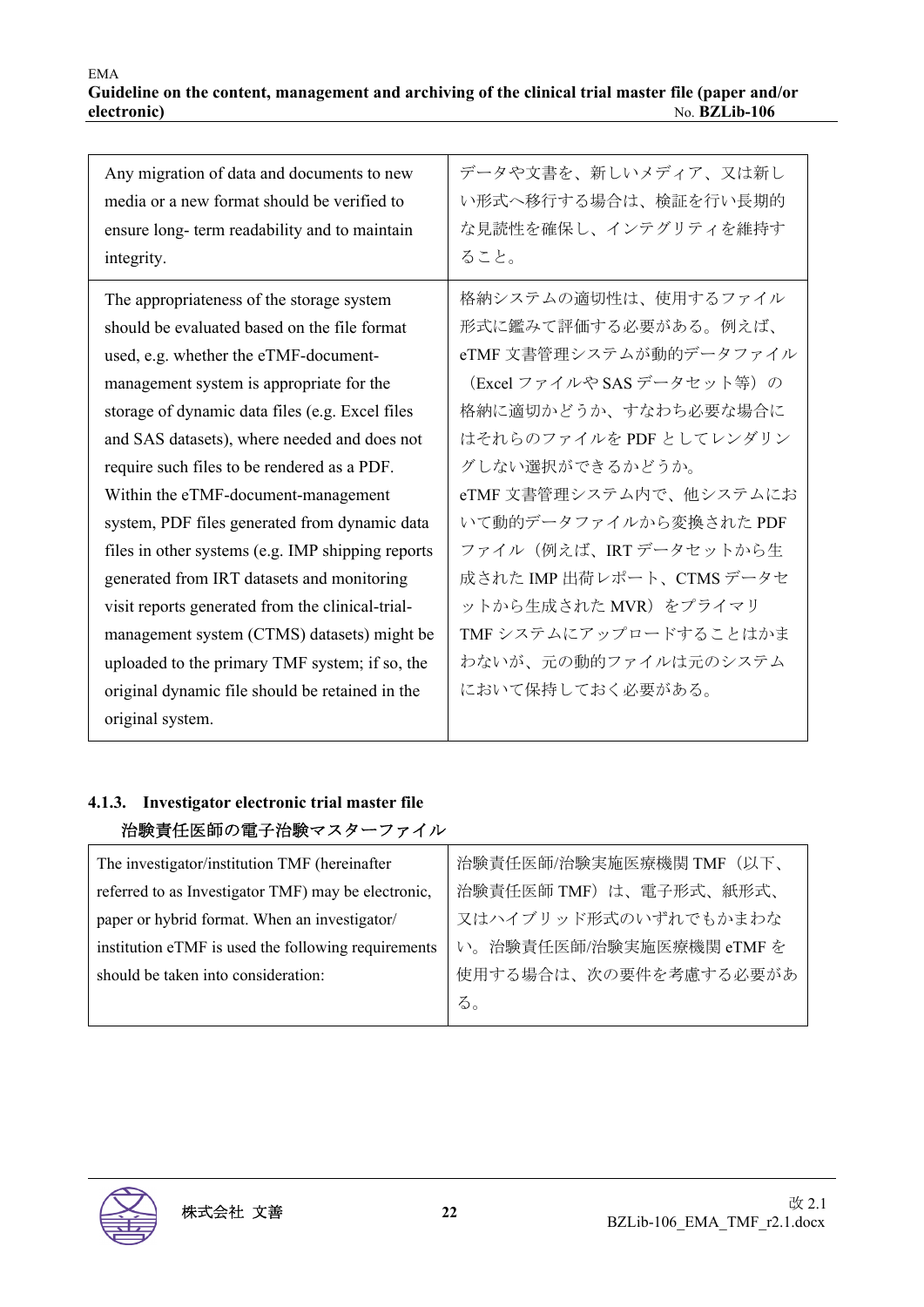| Any migration of data and documents to new<br>media or a new format should be verified to<br>ensure long- term readability and to maintain<br>integrity. | データや文書を、新しいメディア、又は新し<br>い形式へ移行する場合は、検証を行い長期的<br>な見読性を確保し、インテグリティを維持す<br>ること。 |
|----------------------------------------------------------------------------------------------------------------------------------------------------------|------------------------------------------------------------------------------|
| The appropriateness of the storage system                                                                                                                | 格納システムの適切性は、使用するファイル                                                         |
| should be evaluated based on the file format                                                                                                             | 形式に鑑みて評価する必要がある。例えば、                                                         |
| used, e.g. whether the eTMF-document-                                                                                                                    | eTMF 文書管理システムが動的データファイル                                                      |
| management system is appropriate for the                                                                                                                 | (Excel ファイルや SAS データセット等)の                                                   |
| storage of dynamic data files (e.g. Excel files                                                                                                          | 格納に適切かどうか、すなわち必要な場合に                                                         |
| and SAS datasets), where needed and does not                                                                                                             | はそれらのファイルを PDF としてレンダリン                                                      |
| require such files to be rendered as a PDF.                                                                                                              | グしない選択ができるかどうか。                                                              |
| Within the eTMF-document-management                                                                                                                      | eTMF 文書管理システム内で、他システムにお                                                      |
| system, PDF files generated from dynamic data                                                                                                            | いて動的データファイルから変換された PDF                                                       |
| files in other systems (e.g. IMP shipping reports                                                                                                        | ファイル(例えば、IRT データセットから生                                                       |
| generated from IRT datasets and monitoring                                                                                                               | 成された IMP 出荷レポート、CTMS データセ                                                    |
| visit reports generated from the clinical-trial-                                                                                                         | ットから生成された MVR)をプライマリ                                                         |
| management system (CTMS) datasets) might be                                                                                                              | TMF システムにアップロードすることはかま                                                       |
| uploaded to the primary TMF system; if so, the                                                                                                           | わないが、元の動的ファイルは元のシステム                                                         |
| original dynamic file should be retained in the                                                                                                          | において保持しておく必要がある。                                                             |
| original system.                                                                                                                                         |                                                                              |

## **4.1.3. Investigator electronic trial master file**  治験責任医師の電子治験マスターファイル

| The investigator/institution TMF (hereinafter       | 治験責任医師/治験実施医療機関 TMF (以下、 |
|-----------------------------------------------------|--------------------------|
| referred to as Investigator TMF) may be electronic, | 治験責任医師 TMF) は、電子形式、紙形式、  |
| paper or hybrid format. When an investigator/       | 又はハイブリッド形式のいずれでもかまわな     |
| institution eTMF is used the following requirements | い。治験責任医師/治験実施医療機関 eTMF を |
| should be taken into consideration:                 | 使用する場合は、次の要件を考慮する必要があ    |
|                                                     | る。                       |

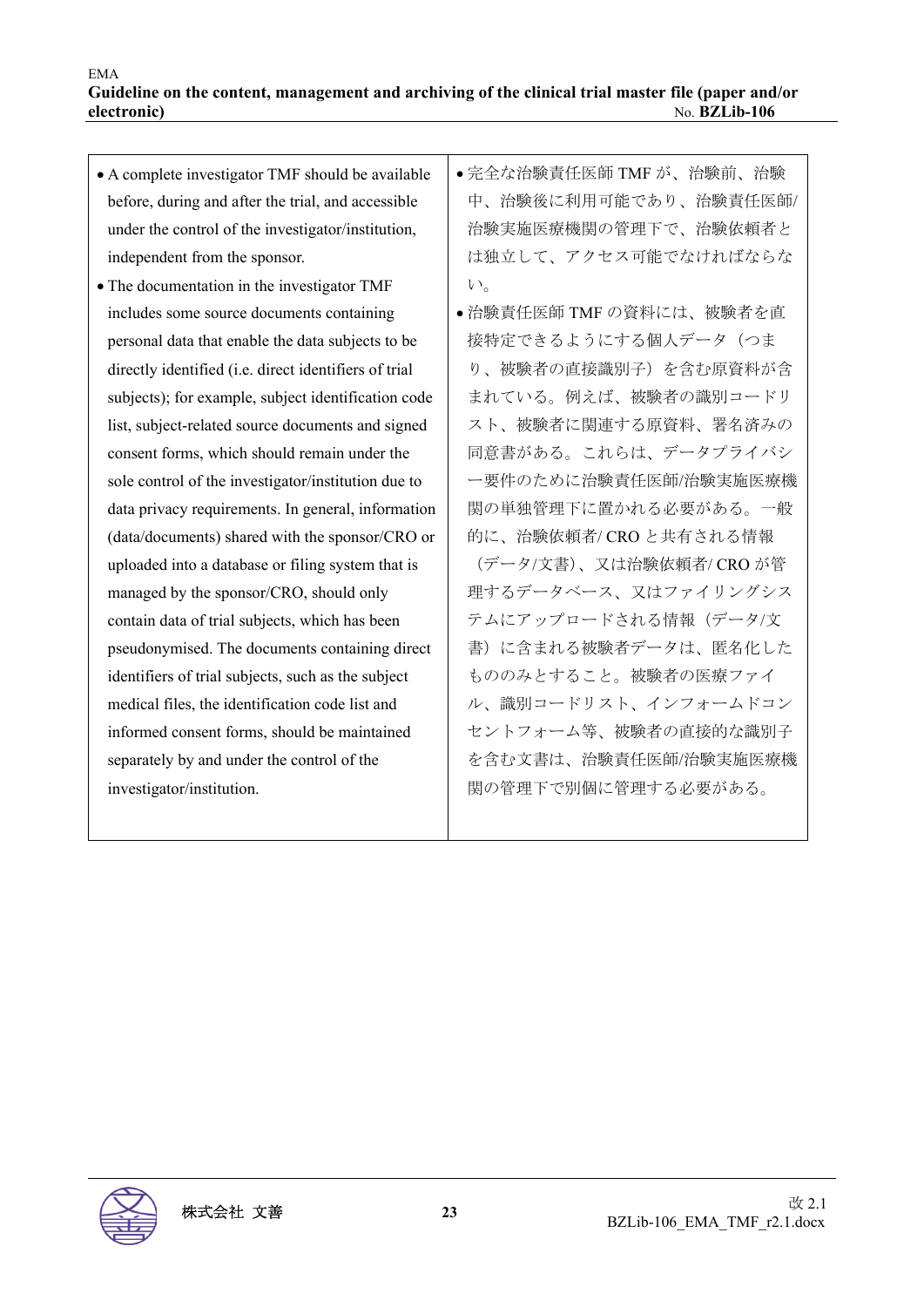| • A complete investigator TMF should be available     | ●完全な治験責任医師 TMF が、治験前、治験  |
|-------------------------------------------------------|--------------------------|
| before, during and after the trial, and accessible    | 中、治験後に利用可能であり、治験責任医師/    |
| under the control of the investigator/institution,    | 治験実施医療機関の管理下で、治験依頼者と     |
| independent from the sponsor.                         | は独立して、アクセス可能でなければならな     |
| • The documentation in the investigator TMF           | $V_{\alpha}$             |
| includes some source documents containing             | ● 治験責任医師 TMF の資料には、被験者を直 |
| personal data that enable the data subjects to be     | 接特定できるようにする個人データ(つま      |
| directly identified (i.e. direct identifiers of trial | り、被験者の直接識別子)を含む原資料が含     |
| subjects); for example, subject identification code   | まれている。例えば、被験者の識別コードリ     |
| list, subject-related source documents and signed     | スト、被験者に関連する原資料、署名済みの     |
| consent forms, which should remain under the          | 同意書がある。これらは、データプライバシ     |
| sole control of the investigator/institution due to   | ー要件のために治験責任医師/治験実施医療機    |
| data privacy requirements. In general, information    | 関の単独管理下に置かれる必要がある。一般     |
| (data/documents) shared with the sponsor/CRO or       | 的に、治験依頼者/CROと共有される情報     |
| uploaded into a database or filing system that is     | (データ/文書)、又は治験依頼者/ CRO が管 |
| managed by the sponsor/CRO, should only               | 理するデータベース、又はファイリングシス     |
| contain data of trial subjects, which has been        | テムにアップロードされる情報(データ/文     |
| pseudonymised. The documents containing direct        | 書)に含まれる被験者データは、匿名化した     |
| identifiers of trial subjects, such as the subject    | もののみとすること。被験者の医療ファイ      |
| medical files, the identification code list and       | ル、識別コードリスト、インフォームドコン     |
| informed consent forms, should be maintained          | セントフォーム等、被験者の直接的な識別子     |
| separately by and under the control of the            | を含む文書は、治験責任医師/治験実施医療機    |
| investigator/institution.                             | 関の管理下で別個に管理する必要がある。      |
|                                                       |                          |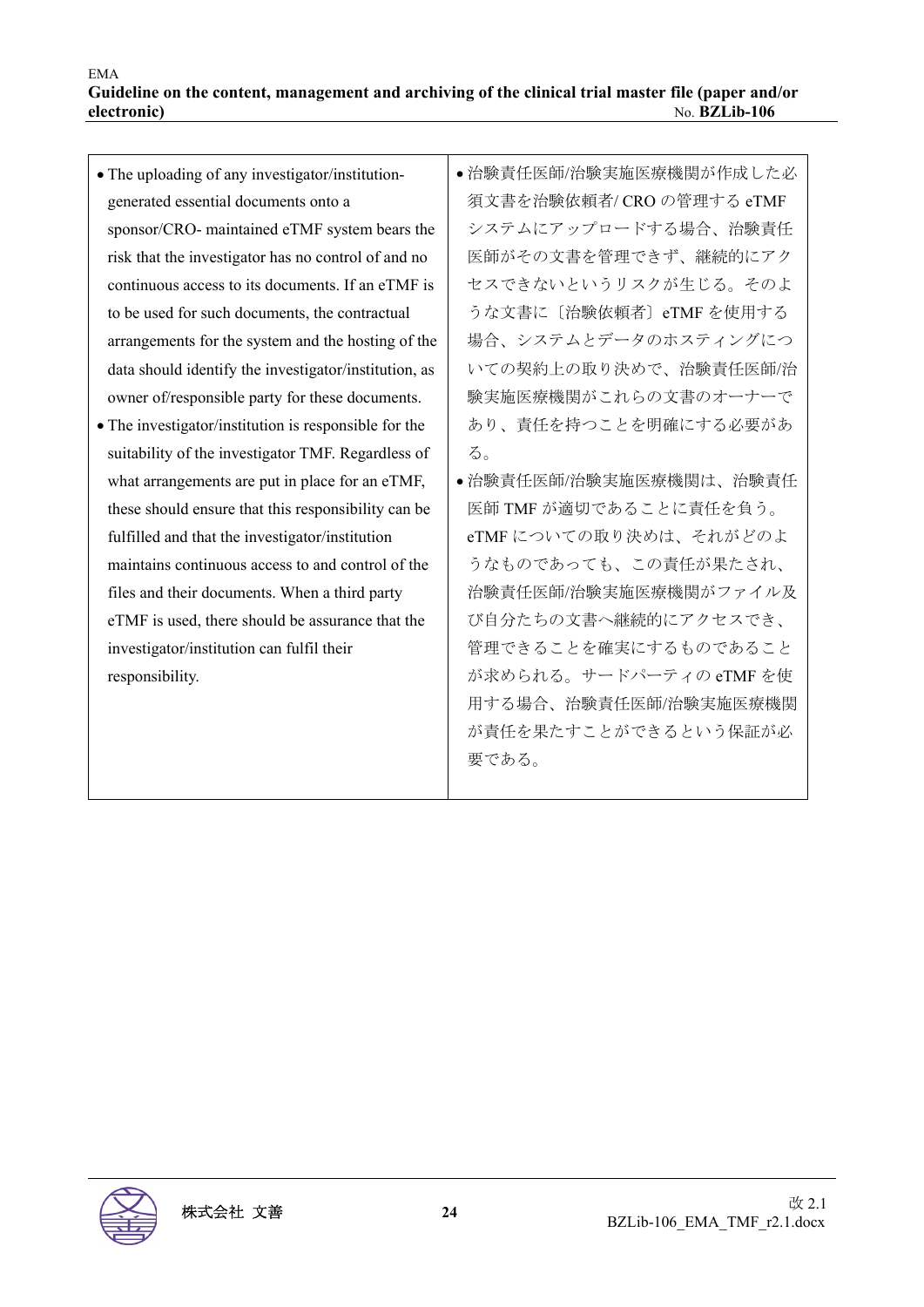| • The uploading of any investigator/institution-      | ● 治験責任医師/治験実施医療機関が作成した必   |
|-------------------------------------------------------|---------------------------|
| generated essential documents onto a                  | 須文書を治験依頼者/ CRO の管理する eTMF |
| sponsor/CRO- maintained eTMF system bears the         | システムにアップロードする場合、治験責任      |
| risk that the investigator has no control of and no   | 医師がその文書を管理できず、継続的にアク      |
| continuous access to its documents. If an eTMF is     | セスできないというリスクが生じる。そのよ      |
| to be used for such documents, the contractual        | うな文書に〔治験依頼者〕eTMF を使用する    |
| arrangements for the system and the hosting of the    | 場合、システムとデータのホスティングにつ      |
| data should identify the investigator/institution, as | いての契約上の取り決めで、治験責任医師/治     |
| owner of/responsible party for these documents.       | 験実施医療機関がこれらの文書のオーナーで      |
| • The investigator/institution is responsible for the | あり、責任を持つことを明確にする必要があ      |
| suitability of the investigator TMF. Regardless of    | る。                        |
| what arrangements are put in place for an eTMF,       | ● 治験責任医師/治験実施医療機関は、治験責任   |
| these should ensure that this responsibility can be   | 医師 TMF が適切であることに責任を負う。    |
| fulfilled and that the investigator/institution       | eTMF についての取り決めは、それがどのよ    |
| maintains continuous access to and control of the     | うなものであっても、この責任が果たされ、      |
| files and their documents. When a third party         | 治験責任医師/治験実施医療機関がファイル及     |
| eTMF is used, there should be assurance that the      | び自分たちの文書へ継続的にアクセスでき、      |
| investigator/institution can fulfil their             | 管理できることを確実にするものであること      |
| responsibility.                                       | が求められる。サードパーティの eTMF を使   |
|                                                       | 用する場合、治験責任医師/治験実施医療機関     |
|                                                       | が責任を果たすことができるという保証が必      |
|                                                       | 要である。                     |
|                                                       |                           |

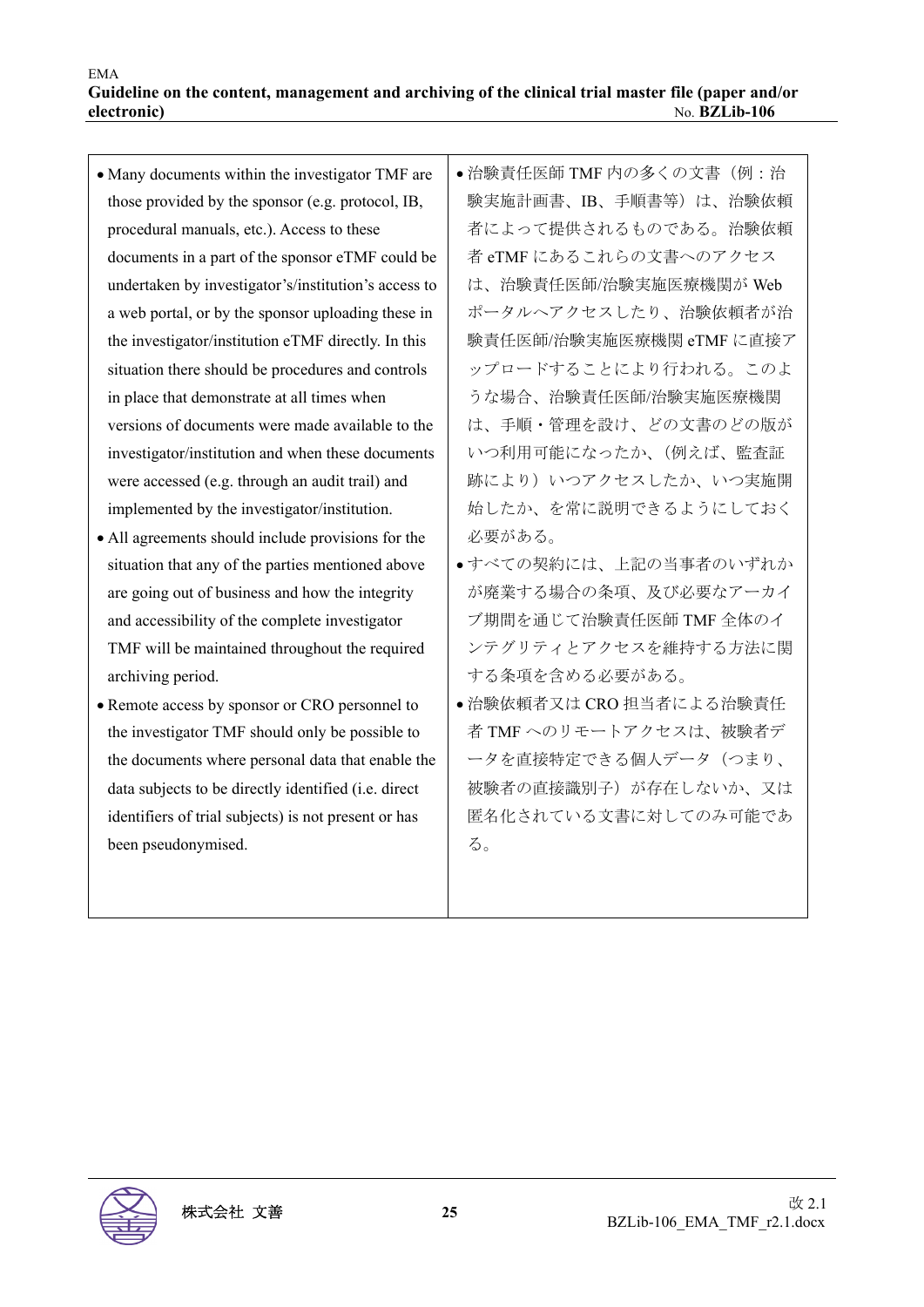• Many documents within the investigator TMF are those provided by the sponsor (e.g. protocol, IB, procedural manuals, etc.). Access to these documents in a part of the sponsor eTMF could be undertaken by investigator's/institution's access to a web portal, or by the sponsor uploading these in the investigator/institution eTMF directly. In this situation there should be procedures and controls in place that demonstrate at all times when versions of documents were made available to the investigator/institution and when these documents were accessed (e.g. through an audit trail) and implemented by the investigator/institution. All agreements should include provisions for the situation that any of the parties mentioned above are going out of business and how the integrity and accessibility of the complete investigator TMF will be maintained throughout the required archiving period. • Remote access by sponsor or CRO personnel to the investigator TMF should only be possible to the documents where personal data that enable the data subjects to be directly identified (i.e. direct identifiers of trial subjects) is not present or has been pseudonymised. 治験責任医師 TMF 内の多くの文書(例:治 験実施計画書、IB、手順書等)は、治験依頼 者によって提供されるものである。治験依頼 者 eTMF にあるこれらの文書へのアクセス は、治験責任医師/治験実施医療機関が Web ポータルへアクセスしたり、治験依頼者が治 験責任医師/治験実施医療機関 eTMF に直接ア ップロードすることにより行われる。このよ うな場合、治験責任医師/治験実施医療機関 は、手順・管理を設け、どの文書のどの版が いつ利用可能になったか、(例えば、監査証 跡により)いつアクセスしたか、いつ実施開 始したか、を常に説明できるようにしておく 必要がある。 すべての契約には、上記の当事者のいずれか が廃業する場合の条項、及び必要なアーカイ ブ期間を通じて治験責任医師 TMF 全体のイ ンテグリティとアクセスを維持する方法に関 する条項を含める必要がある。 治験依頼者又は CRO 担当者による治験責任 者 TMF へのリモートアクセスは、被験者デ ータを直接特定できる個人データ(つまり、 被験者の直接識別子)が存在しないか、又は 匿名化されている文書に対してのみ可能であ る。

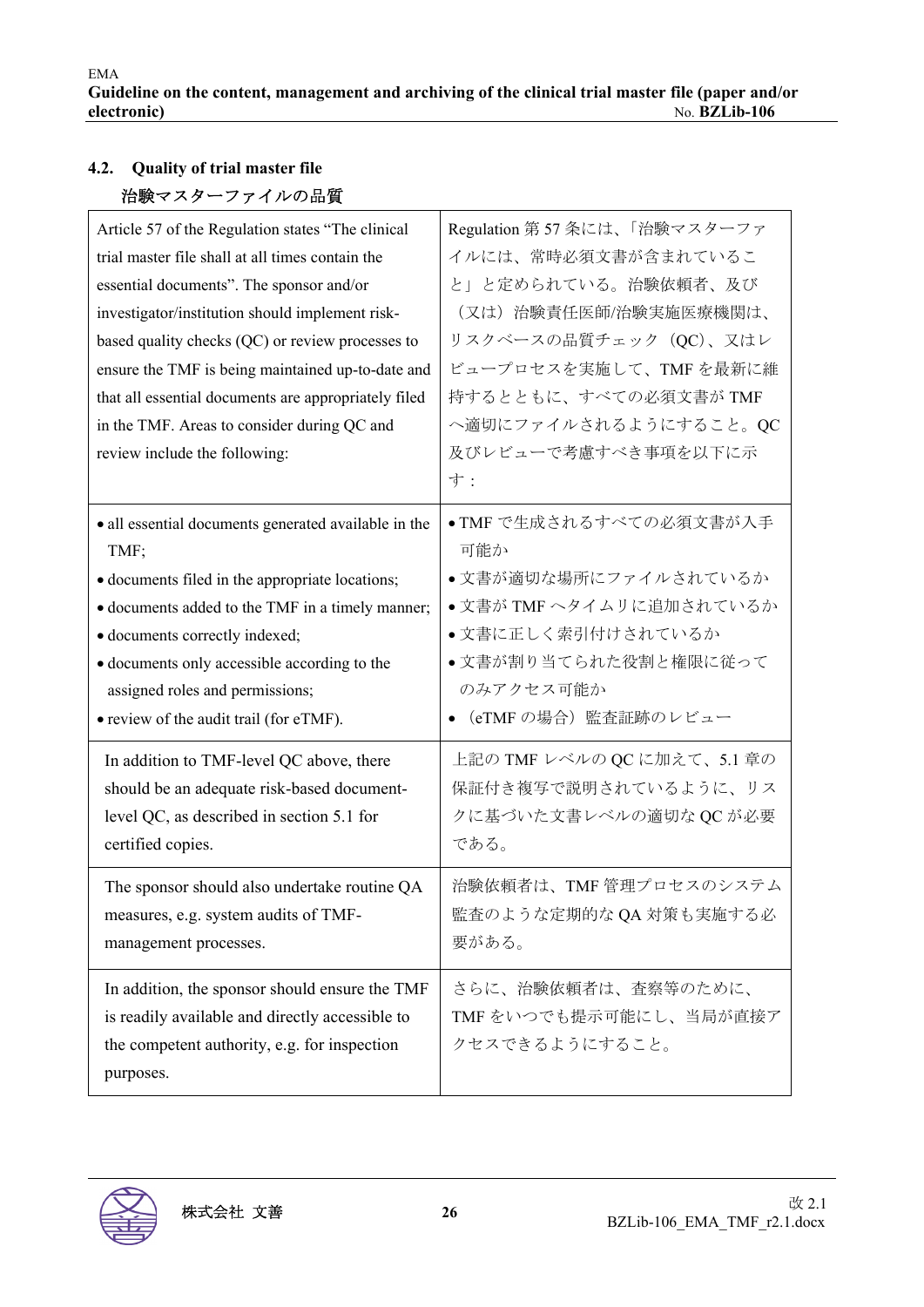## **4.2. Quality of trial master file**  治験マスターファイルの品質

| Article 57 of the Regulation states "The clinical<br>trial master file shall at all times contain the<br>essential documents". The sponsor and/or<br>investigator/institution should implement risk-<br>based quality checks (QC) or review processes to<br>ensure the TMF is being maintained up-to-date and<br>that all essential documents are appropriately filed<br>in the TMF. Areas to consider during QC and<br>review include the following: | Regulation 第57条には、「治験マスターファ<br>イルには、常時必須文書が含まれているこ<br>と」と定められている。治験依頼者、及び<br>(又は)治験責任医師/治験実施医療機関は、<br>リスクベースの品質チェック (QC)、又はレ<br>ビュープロセスを実施して、TMFを最新に維<br>持するとともに、すべての必須文書が TMF<br>へ適切にファイルされるようにすること。QC<br>及びレビューで考慮すべき事項を以下に示<br>寸: |
|-------------------------------------------------------------------------------------------------------------------------------------------------------------------------------------------------------------------------------------------------------------------------------------------------------------------------------------------------------------------------------------------------------------------------------------------------------|--------------------------------------------------------------------------------------------------------------------------------------------------------------------------------------------------------------------------------------|
| · all essential documents generated available in the                                                                                                                                                                                                                                                                                                                                                                                                  | ●TMF で生成されるすべての必須文書が入手                                                                                                                                                                                                               |
| TMF;                                                                                                                                                                                                                                                                                                                                                                                                                                                  | 可能か                                                                                                                                                                                                                                  |
| • documents filed in the appropriate locations;                                                                                                                                                                                                                                                                                                                                                                                                       | ●文書が適切な場所にファイルされているか                                                                                                                                                                                                                 |
| • documents added to the TMF in a timely manner;                                                                                                                                                                                                                                                                                                                                                                                                      | ●文書が TMF ヘタイムリに追加されているか                                                                                                                                                                                                              |
| • documents correctly indexed;                                                                                                                                                                                                                                                                                                                                                                                                                        | ●文書に正しく索引付けされているか                                                                                                                                                                                                                    |
| • documents only accessible according to the                                                                                                                                                                                                                                                                                                                                                                                                          | ●文書が割り当てられた役割と権限に従って                                                                                                                                                                                                                 |
| assigned roles and permissions;                                                                                                                                                                                                                                                                                                                                                                                                                       | のみアクセス可能か                                                                                                                                                                                                                            |
| • review of the audit trail (for eTMF).                                                                                                                                                                                                                                                                                                                                                                                                               | (eTMF の場合)監査証跡のレビュー                                                                                                                                                                                                                  |
| In addition to TMF-level QC above, there                                                                                                                                                                                                                                                                                                                                                                                                              | 上記の TMF レベルの QC に加えて、5.1 章の                                                                                                                                                                                                          |
| should be an adequate risk-based document-                                                                                                                                                                                                                                                                                                                                                                                                            | 保証付き複写で説明されているように、リス                                                                                                                                                                                                                 |
| level QC, as described in section 5.1 for                                                                                                                                                                                                                                                                                                                                                                                                             | クに基づいた文書レベルの適切な QC が必要                                                                                                                                                                                                               |
| certified copies.                                                                                                                                                                                                                                                                                                                                                                                                                                     | である。                                                                                                                                                                                                                                 |
| The sponsor should also undertake routine QA                                                                                                                                                                                                                                                                                                                                                                                                          | 治験依頼者は、TMF 管理プロセスのシステム                                                                                                                                                                                                               |
| measures, e.g. system audits of TMF-                                                                                                                                                                                                                                                                                                                                                                                                                  | 監査のような定期的な QA 対策も実施する必                                                                                                                                                                                                               |
| management processes.                                                                                                                                                                                                                                                                                                                                                                                                                                 | 要がある。                                                                                                                                                                                                                                |
| In addition, the sponsor should ensure the TMF<br>is readily available and directly accessible to<br>the competent authority, e.g. for inspection<br>purposes.                                                                                                                                                                                                                                                                                        | さらに、治験依頼者は、査察等のために、<br>TMFをいつでも提示可能にし、当局が直接ア<br>クセスできるようにすること。                                                                                                                                                                       |

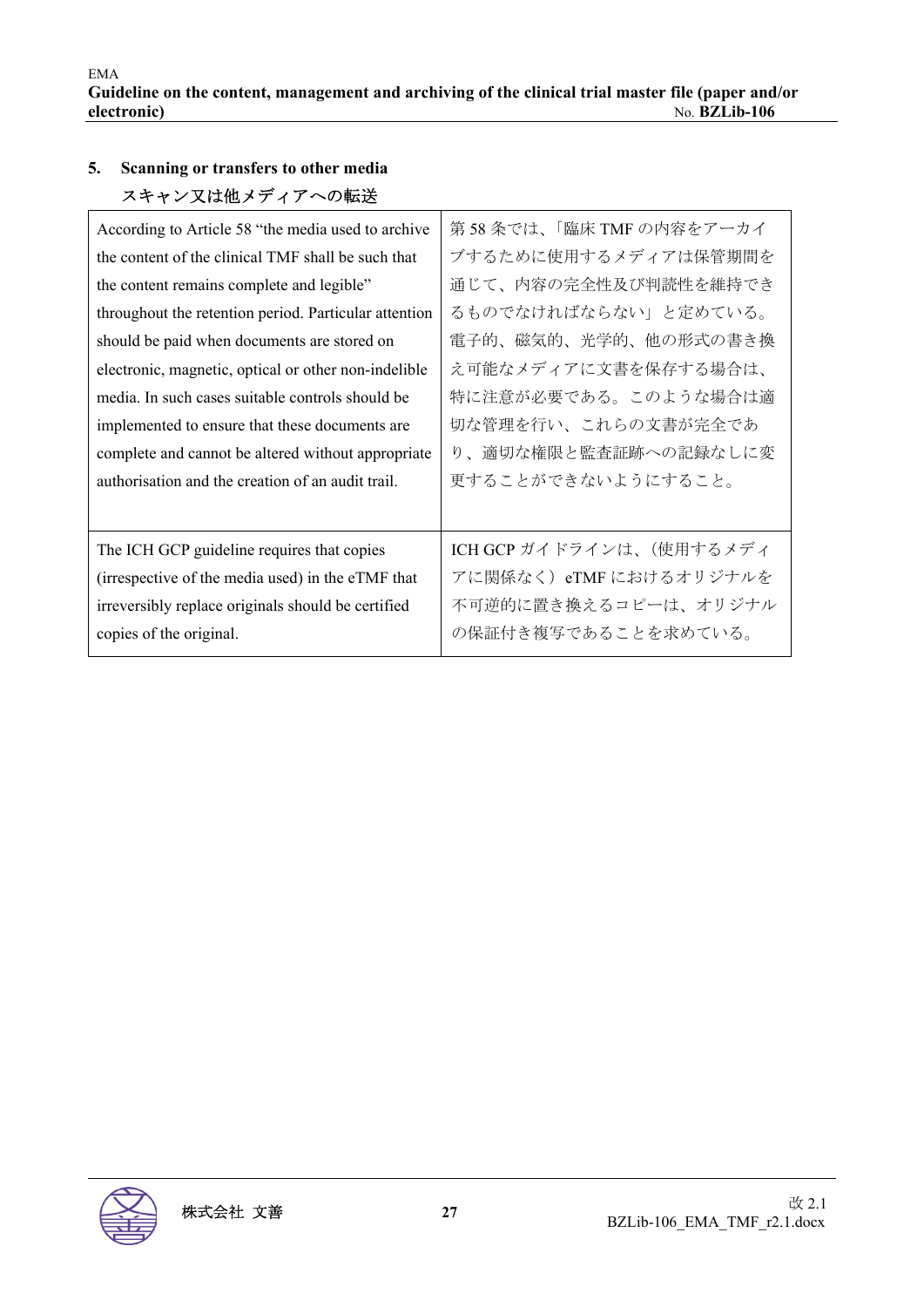## **5. Scanning or transfers to other media**  スキャン又は他メディアへの転送

| According to Article 58 "the media used to archive    | 第58条では、「臨床 TMF の内容をアーカイ  |
|-------------------------------------------------------|--------------------------|
| the content of the clinical TMF shall be such that    | ブするために使用するメディアは保管期間を     |
| the content remains complete and legible"             | 通じて、内容の完全性及び判読性を維持でき     |
| throughout the retention period. Particular attention | るものでなければならない」と定めている。     |
| should be paid when documents are stored on           | 電子的、磁気的、光学的、他の形式の書き換     |
| electronic, magnetic, optical or other non-indelible  | え可能なメディアに文書を保存する場合は、     |
| media. In such cases suitable controls should be      | 特に注意が必要である。このような場合は適     |
| implemented to ensure that these documents are        | 切な管理を行い、これらの文書が完全であ      |
| complete and cannot be altered without appropriate    | り、適切な権限と監査証跡への記録なしに変     |
| authorisation and the creation of an audit trail.     | 更することができないようにすること。       |
|                                                       |                          |
| The ICH GCP guideline requires that copies            | ICH GCP ガイドラインは、(使用するメディ |
| (irrespective of the media used) in the eTMF that     | アに関係なく)eTMF におけるオリジナルを   |
| irreversibly replace originals should be certified    | 不可逆的に置き換えるコピーは、オリジナル     |
| copies of the original.                               | の保証付き複写であることを求めている。      |
|                                                       |                          |

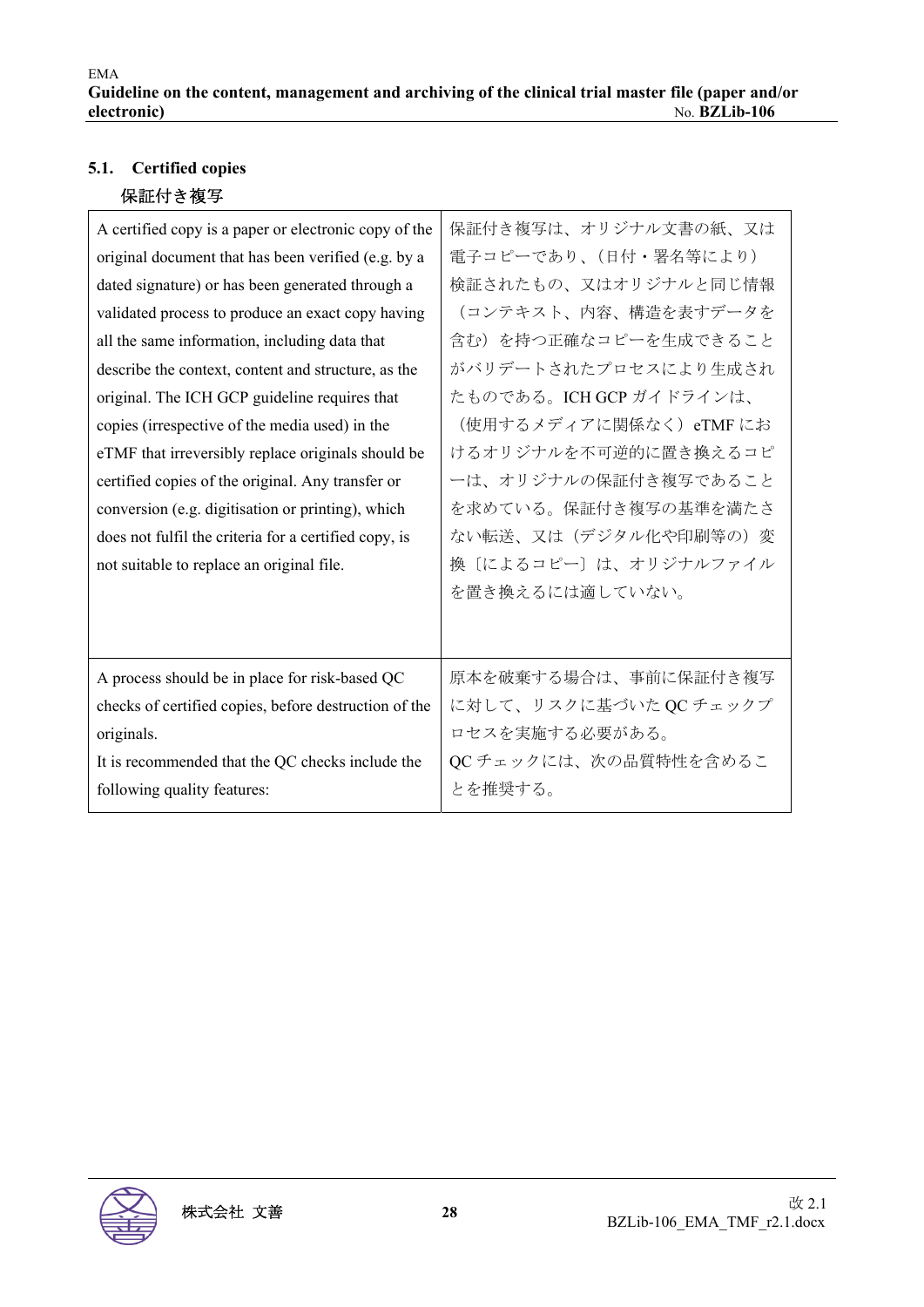## **5.1. Certified copies**  保証付き複写

| A certified copy is a paper or electronic copy of the<br>original document that has been verified (e.g. by a<br>dated signature) or has been generated through a<br>validated process to produce an exact copy having<br>all the same information, including data that<br>describe the context, content and structure, as the<br>original. The ICH GCP guideline requires that<br>copies (irrespective of the media used) in the<br>eTMF that irreversibly replace originals should be<br>certified copies of the original. Any transfer or<br>conversion (e.g. digitisation or printing), which<br>does not fulfil the criteria for a certified copy, is<br>not suitable to replace an original file. | 保証付き複写は、オリジナル文書の紙、又は<br>電子コピーであり、(日付・署名等により)<br>検証されたもの、又はオリジナルと同じ情報<br>(コンテキスト、内容、構造を表すデータを<br>含む)を持つ正確なコピーを生成できること<br>がバリデートされたプロセスにより生成され<br>たものである。ICH GCP ガイドラインは、<br>(使用するメディアに関係なく) eTMF にお<br>けるオリジナルを不可逆的に置き換えるコピ<br>ーは、オリジナルの保証付き複写であること<br>を求めている。保証付き複写の基準を満たさ<br>ない転送、又は(デジタル化や印刷等の)変<br>換〔によるコピー〕は、オリジナルファイル<br>を置き換えるには適していない。 |
|--------------------------------------------------------------------------------------------------------------------------------------------------------------------------------------------------------------------------------------------------------------------------------------------------------------------------------------------------------------------------------------------------------------------------------------------------------------------------------------------------------------------------------------------------------------------------------------------------------------------------------------------------------------------------------------------------------|-----------------------------------------------------------------------------------------------------------------------------------------------------------------------------------------------------------------------------------------------------------------------------------------------------------------------------------------------|
| A process should be in place for risk-based QC                                                                                                                                                                                                                                                                                                                                                                                                                                                                                                                                                                                                                                                         | 原本を破棄する場合は、事前に保証付き複写                                                                                                                                                                                                                                                                                                                          |
| checks of certified copies, before destruction of the                                                                                                                                                                                                                                                                                                                                                                                                                                                                                                                                                                                                                                                  | に対して、リスクに基づいた QC チェックプ                                                                                                                                                                                                                                                                                                                        |
| originals.                                                                                                                                                                                                                                                                                                                                                                                                                                                                                                                                                                                                                                                                                             | ロセスを実施する必要がある。                                                                                                                                                                                                                                                                                                                                |
| It is recommended that the QC checks include the                                                                                                                                                                                                                                                                                                                                                                                                                                                                                                                                                                                                                                                       | QC チェックには、次の品質特性を含めるこ                                                                                                                                                                                                                                                                                                                         |
| following quality features:                                                                                                                                                                                                                                                                                                                                                                                                                                                                                                                                                                                                                                                                            | とを推奨する。                                                                                                                                                                                                                                                                                                                                       |

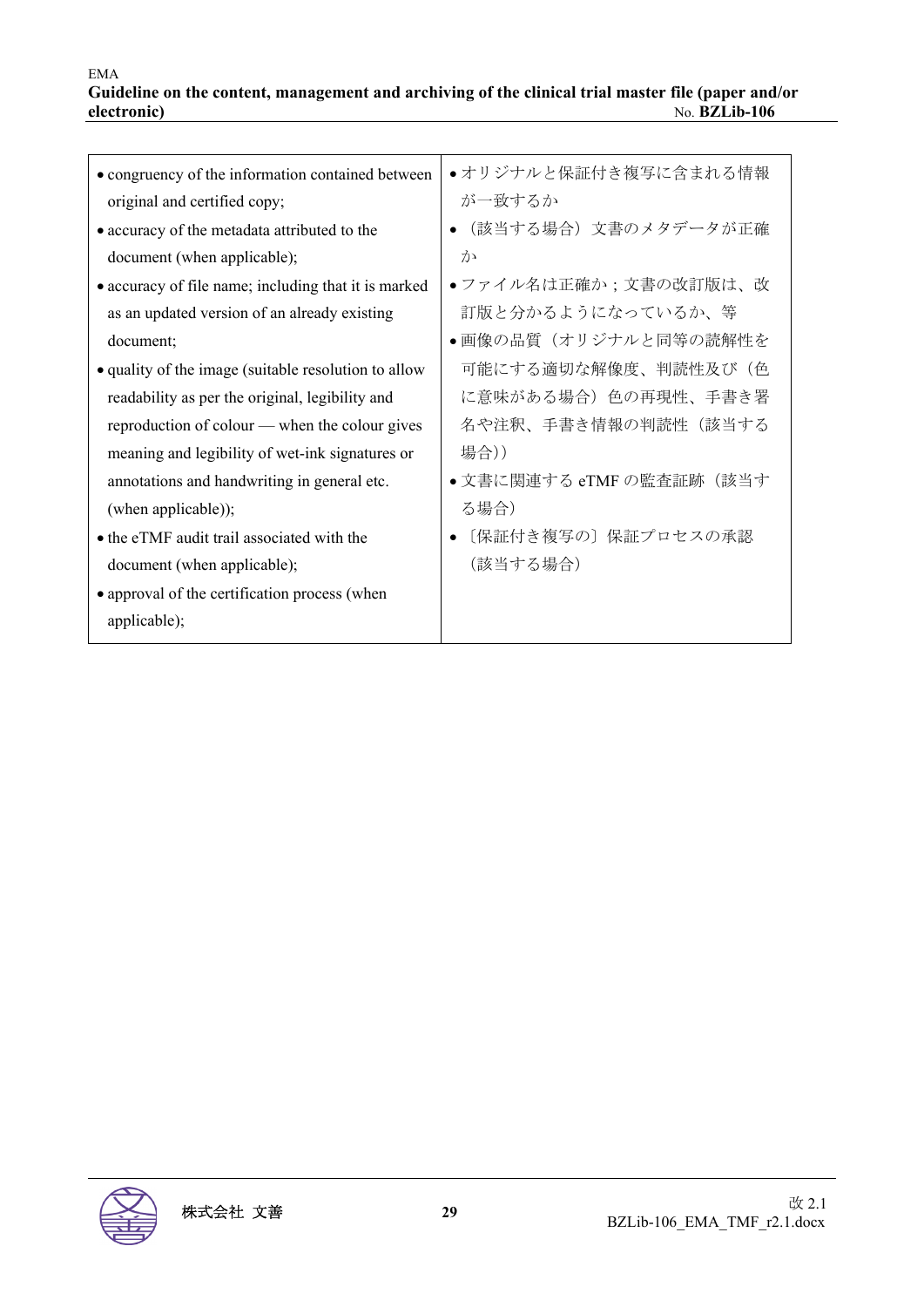| • congruency of the information contained between    | ●オリジナルと保証付き複写に含まれる情報     |
|------------------------------------------------------|--------------------------|
| original and certified copy;                         | が一致するか                   |
| • accuracy of the metadata attributed to the         | ● (該当する場合) 文書のメタデータが正確   |
| document (when applicable);                          | か                        |
| • accuracy of file name; including that it is marked | • ファイル名は正確か;文書の改訂版は、改    |
| as an updated version of an already existing         | 訂版と分かるようになっているか、等        |
| document;                                            | ●画像の品質(オリジナルと同等の読解性を     |
| • quality of the image (suitable resolution to allow | 可能にする適切な解像度、判読性及び(色      |
| readability as per the original, legibility and      | に意味がある場合)色の再現性、手書き署      |
| reproduction of colour — when the colour gives       | 名や注釈、手書き情報の判読性(該当する      |
| meaning and legibility of wet-ink signatures or      | 場合))                     |
| annotations and handwriting in general etc.          | ● 文書に関連する eTMF の監査証跡(該当す |
| (when applicable));                                  | る場合)                     |
| • the eTMF audit trail associated with the           | [保証付き複写の] 保証プロセスの承認      |
| document (when applicable);                          | (該当する場合)                 |
| • approval of the certification process (when        |                          |
| applicable);                                         |                          |
|                                                      |                          |

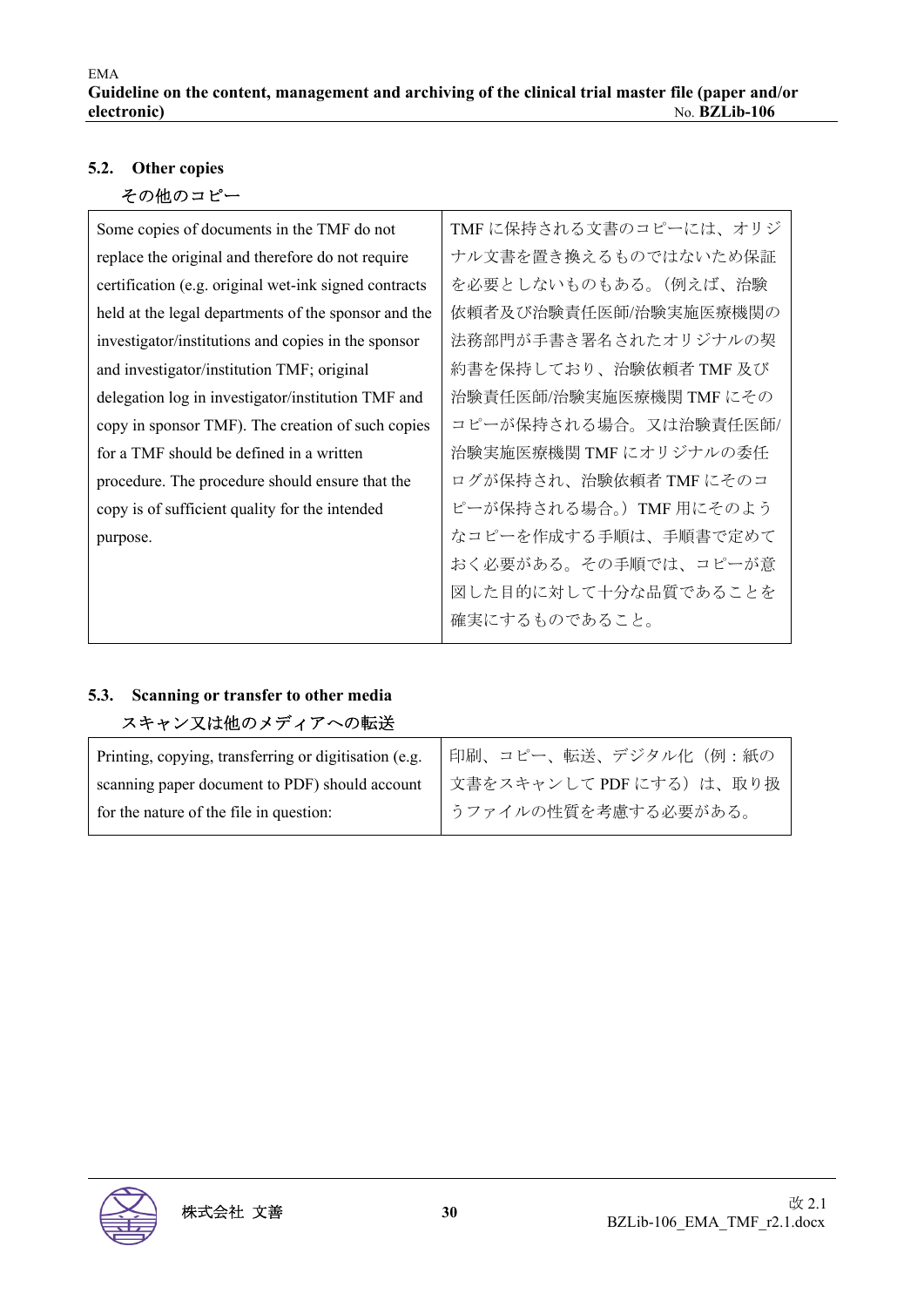## **5.2. Other copies**

その他のコピー

| Some copies of documents in the TMF do not            | TMFに保持される文書のコピーには、オリジ   |
|-------------------------------------------------------|-------------------------|
| replace the original and therefore do not require     | ナル文書を置き換えるものではないため保証    |
| certification (e.g. original wet-ink signed contracts | を必要としないものもある。(例えば、治験    |
| held at the legal departments of the sponsor and the  | 依頼者及び治験責任医師/治験実施医療機関の   |
| investigator/institutions and copies in the sponsor   | 法務部門が手書き署名されたオリジナルの契    |
| and investigator/institution TMF; original            | 約書を保持しており、治験依頼者 TMF 及び  |
| delegation log in investigator/institution TMF and    | 治験責任医師/治験実施医療機関 TMF にその |
| copy in sponsor TMF). The creation of such copies     | コピーが保持される場合。又は治験責任医師/   |
| for a TMF should be defined in a written              | 治験実施医療機関 TMF にオリジナルの委任  |
| procedure. The procedure should ensure that the       | ログが保持され、治験依頼者 TMF にそのコ  |
| copy is of sufficient quality for the intended        | ピーが保持される場合。) TMF 用にそのよう |
| purpose.                                              | なコピーを作成する手順は、手順書で定めて    |
|                                                       | おく必要がある。その手順では、コピーが意    |
|                                                       | 図した目的に対して十分な品質であることを    |
|                                                       | 確実にするものであること。           |

## **5.3. Scanning or transfer to other media**  スキャン又は他のメディアへの転送

| Printing, copying, transferring or digitisation (e.g. | 印刷、コピー、転送、デジタル化(例:紙の    |
|-------------------------------------------------------|-------------------------|
| scanning paper document to PDF) should account        | 文書をスキャンして PDF にする)は、取り扱 |
| for the nature of the file in question:               | うファイルの性質を考慮する必要がある。     |

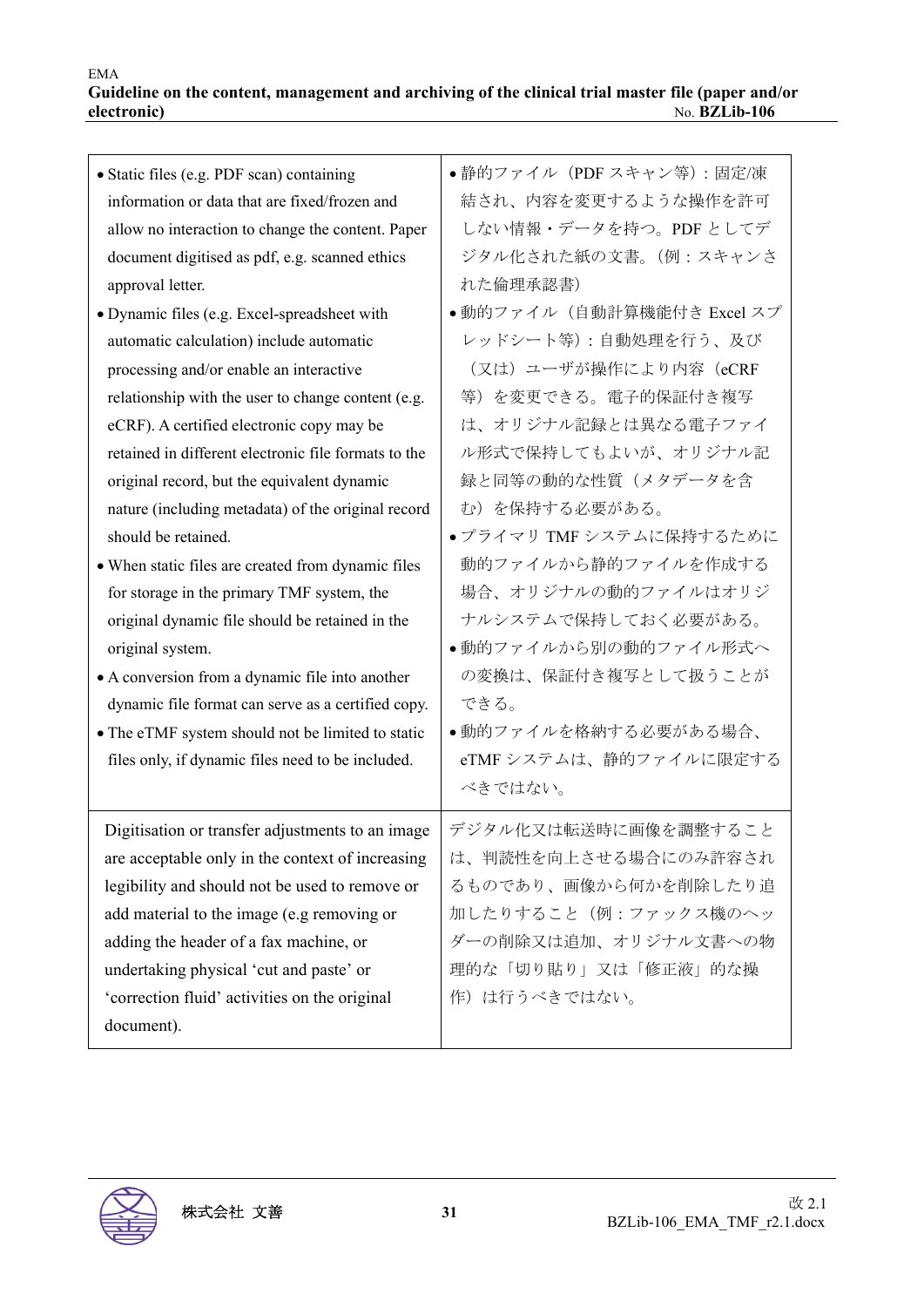| • Static files (e.g. PDF scan) containing<br>information or data that are fixed/frozen and<br>allow no interaction to change the content. Paper<br>document digitised as pdf, e.g. scanned ethics<br>approval letter.<br>• Dynamic files (e.g. Excel-spreadsheet with<br>automatic calculation) include automatic<br>processing and/or enable an interactive<br>relationship with the user to change content (e.g.<br>eCRF). A certified electronic copy may be<br>retained in different electronic file formats to the<br>original record, but the equivalent dynamic<br>nature (including metadata) of the original record<br>should be retained.<br>• When static files are created from dynamic files<br>for storage in the primary TMF system, the<br>original dynamic file should be retained in the<br>original system.<br>• A conversion from a dynamic file into another<br>dynamic file format can serve as a certified copy.<br>• The eTMF system should not be limited to static<br>files only, if dynamic files need to be included. | ●静的ファイル (PDF スキャン等):固定/凍<br>結され、内容を変更するような操作を許可<br>しない情報・データを持つ。PDFとしてデ<br>ジタル化された紙の文書。(例:スキャンさ<br>れた倫理承認書)<br>●動的ファイル(自動計算機能付き Excel スプ<br>レッドシート等):自動処理を行う、及び<br>(又は) ユーザが操作により内容 (eCRF<br>等)を変更できる。電子的保証付き複写<br>は、オリジナル記録とは異なる電子ファイ<br>ル形式で保持してもよいが、オリジナル記<br>録と同等の動的な性質(メタデータを含<br>む)を保持する必要がある。<br>●プライマリ TMF システムに保持するために<br>動的ファイルから静的ファイルを作成する<br>場合、オリジナルの動的ファイルはオリジ<br>ナルシステムで保持しておく必要がある。<br>●動的ファイルから別の動的ファイル形式へ<br>の変換は、保証付き複写として扱うことが<br>できる。<br>●動的ファイルを格納する必要がある場合、<br>eTMFシステムは、静的ファイルに限定する |
|---------------------------------------------------------------------------------------------------------------------------------------------------------------------------------------------------------------------------------------------------------------------------------------------------------------------------------------------------------------------------------------------------------------------------------------------------------------------------------------------------------------------------------------------------------------------------------------------------------------------------------------------------------------------------------------------------------------------------------------------------------------------------------------------------------------------------------------------------------------------------------------------------------------------------------------------------------------------------------------------------------------------------------------------------|--------------------------------------------------------------------------------------------------------------------------------------------------------------------------------------------------------------------------------------------------------------------------------------------------------------------------------------------------------------------------------------------------------------------------------------------------------------------------------------------------------------|
|                                                                                                                                                                                                                                                                                                                                                                                                                                                                                                                                                                                                                                                                                                                                                                                                                                                                                                                                                                                                                                                   | べきではない。                                                                                                                                                                                                                                                                                                                                                                                                                                                                                                      |
| Digitisation or transfer adjustments to an image<br>are acceptable only in the context of increasing<br>legibility and should not be used to remove or<br>add material to the image (e.g removing or<br>adding the header of a fax machine, or<br>undertaking physical 'cut and paste' or<br>'correction fluid' activities on the original<br>document).                                                                                                                                                                                                                                                                                                                                                                                                                                                                                                                                                                                                                                                                                          | デジタル化又は転送時に画像を調整すること<br>は、判読性を向上させる場合にのみ許容され<br>るものであり、画像から何かを削除したり追<br>加したりすること(例:ファックス機のヘッ<br>ダーの削除又は追加、オリジナル文書への物<br>理的な「切り貼り」又は「修正液」的な操<br>作)は行うべきではない。                                                                                                                                                                                                                                                                                                                                                  |
|                                                                                                                                                                                                                                                                                                                                                                                                                                                                                                                                                                                                                                                                                                                                                                                                                                                                                                                                                                                                                                                   |                                                                                                                                                                                                                                                                                                                                                                                                                                                                                                              |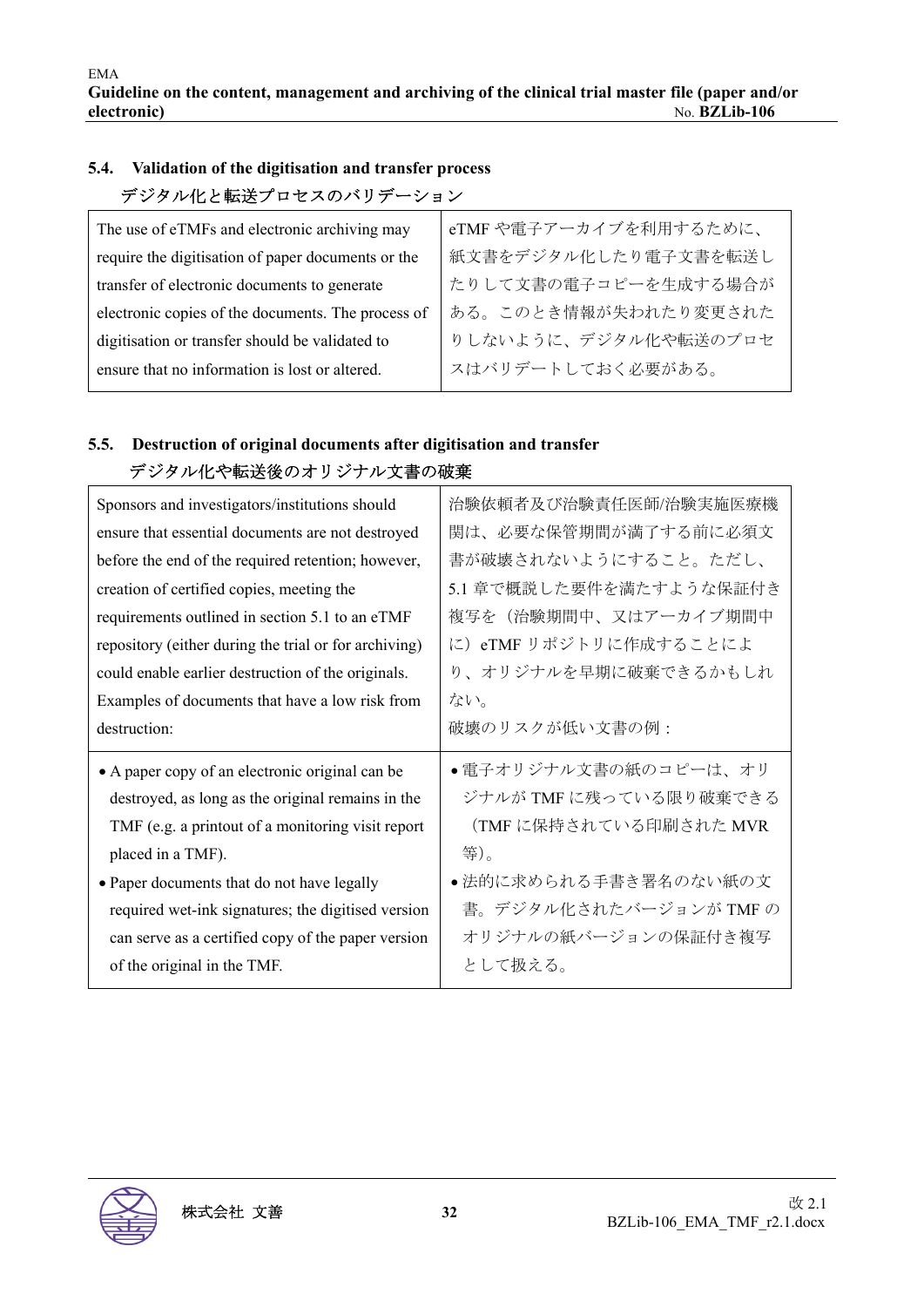## **5.4. Validation of the digitisation and transfer process**  デジタル化と転送プロセスのバリデーション

| The use of eTMFs and electronic archiving may      | eTMF や電子アーカイブを利用するために、 |
|----------------------------------------------------|------------------------|
| require the digitisation of paper documents or the | 紙文書をデジタル化したり電子文書を転送し   |
| transfer of electronic documents to generate       | たりして文書の電子コピーを生成する場合が   |
| electronic copies of the documents. The process of | ある。このとき情報が失われたり変更された   |
| digitisation or transfer should be validated to    | りしないように、デジタル化や転送のプロセ   |
| ensure that no information is lost or altered.     | スはバリデートしておく必要がある。      |
|                                                    |                        |

## **5.5. Destruction of original documents after digitisation and transfer**  デジタル化や転送後のオリジナル文書の破棄

| 治験依頼者及び治験責任医師/治験実施医療機   |
|-------------------------|
| 関は、必要な保管期間が満了する前に必須文    |
| 書が破壊されないようにすること。ただし、    |
| 5.1 章で概説した要件を満たすような保証付き |
| 複写を(治験期間中、又はアーカイブ期間中    |
| に) eTMF リポジトリに作成することによ  |
| り、オリジナルを早期に破棄できるかもしれ    |
| ない。                     |
| 破壊のリスクが低い文書の例:          |
|                         |
| ●電子オリジナル文書の紙のコピーは、オリ    |
| ジナルが TMF に残っている限り破棄できる  |
| (TMF に保持されている印刷された MVR  |
| 等)。                     |
| ●法的に求められる手書き署名のない紙の文    |
| 書。デジタル化されたバージョンが TMF の  |
| オリジナルの紙バージョンの保証付き複写     |
|                         |

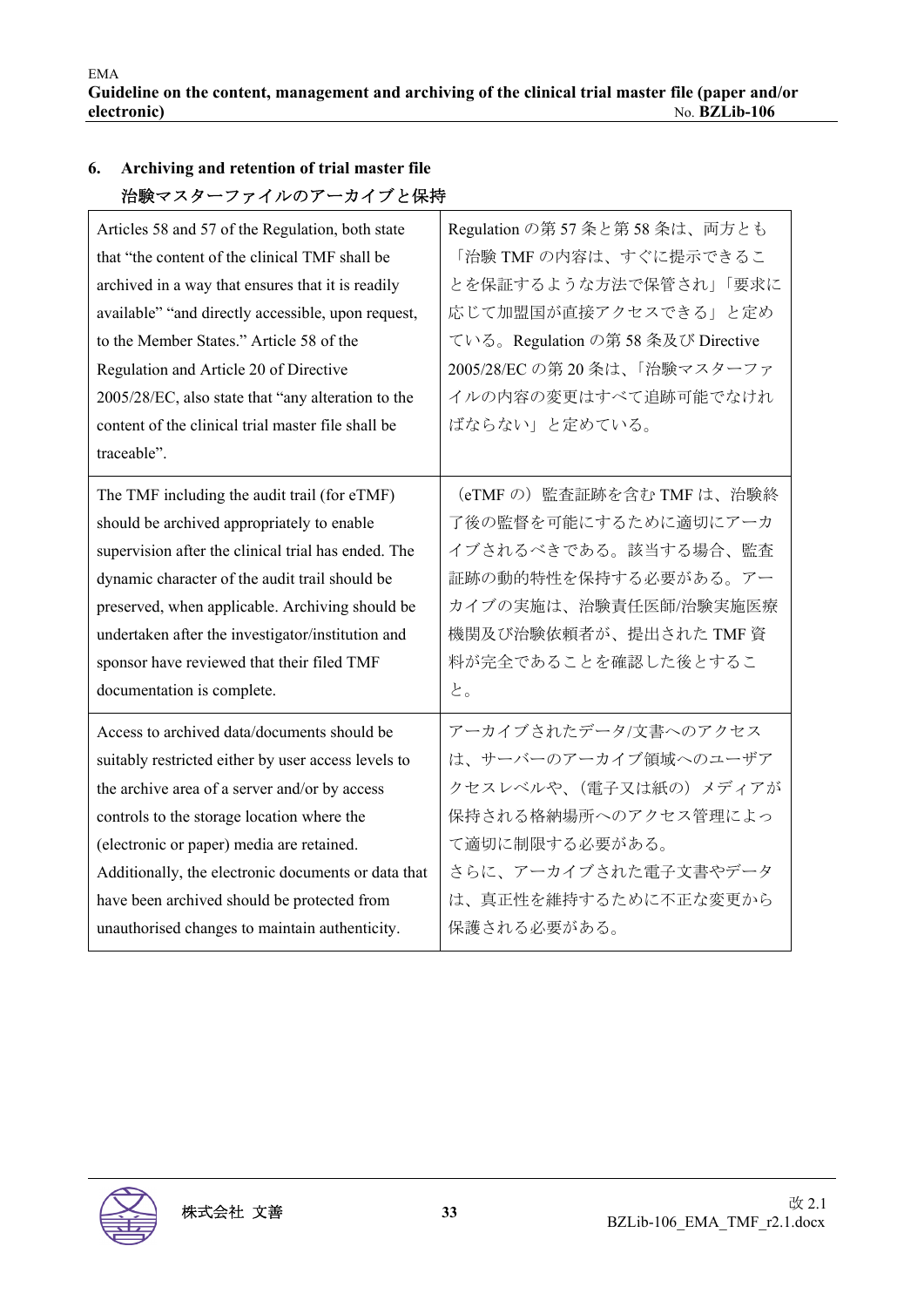| 治験マスターファイルのアーカイブと保持                                 |                                   |
|-----------------------------------------------------|-----------------------------------|
| Articles 58 and 57 of the Regulation, both state    | Regulation の第 57 条と第 58 条は、両方とも   |
| that "the content of the clinical TMF shall be      | 「治験 TMF の内容は、すぐに提示できるこ            |
| archived in a way that ensures that it is readily   | とを保証するような方法で保管され」「要求に             |
| available" "and directly accessible, upon request,  | 応じて加盟国が直接アクセスできる」と定め              |
| to the Member States." Article 58 of the            | ている。Regulation の第58 条及び Directive |
| Regulation and Article 20 of Directive              | 2005/28/EC の第20条は、「治験マスターファ       |
| 2005/28/EC, also state that "any alteration to the  | イルの内容の変更はすべて追跡可能でなけれ              |
| content of the clinical trial master file shall be  | ばならない」と定めている。                     |
| traceable".                                         |                                   |
| The TMF including the audit trail (for eTMF)        | (eTMFの) 監査証跡を含む TMF は、治験終         |
| should be archived appropriately to enable          | 了後の監督を可能にするために適切にアーカ              |
| supervision after the clinical trial has ended. The | イブされるべきである。該当する場合、監査              |
| dynamic character of the audit trail should be      | 証跡の動的特性を保持する必要がある。アー              |
| preserved, when applicable. Archiving should be     | カイブの実施は、治験責任医師/治験実施医療             |
| undertaken after the investigator/institution and   | 機関及び治験依頼者が、提出された TMF 資            |
| sponsor have reviewed that their filed TMF          | 料が完全であることを確認した後とするこ               |
| documentation is complete.                          | と。                                |
| Access to archived data/documents should be         | アーカイブされたデータ/文書へのアクセス              |
| suitably restricted either by user access levels to | は、サーバーのアーカイブ領域へのユーザア              |
| the archive area of a server and/or by access       | クセスレベルや、(電子又は紙の) メディアが            |
| controls to the storage location where the          | 保持される格納場所へのアクセス管理によっ              |
| (electronic or paper) media are retained.           | て適切に制限する必要がある。                    |
| Additionally, the electronic documents or data that | さらに、アーカイブされた電子文書やデータ              |
| have been archived should be protected from         | は、真正性を維持するために不正な変更から              |
| unauthorised changes to maintain authenticity.      | 保護される必要がある。                       |

# **6. Archiving and retention of trial master file**

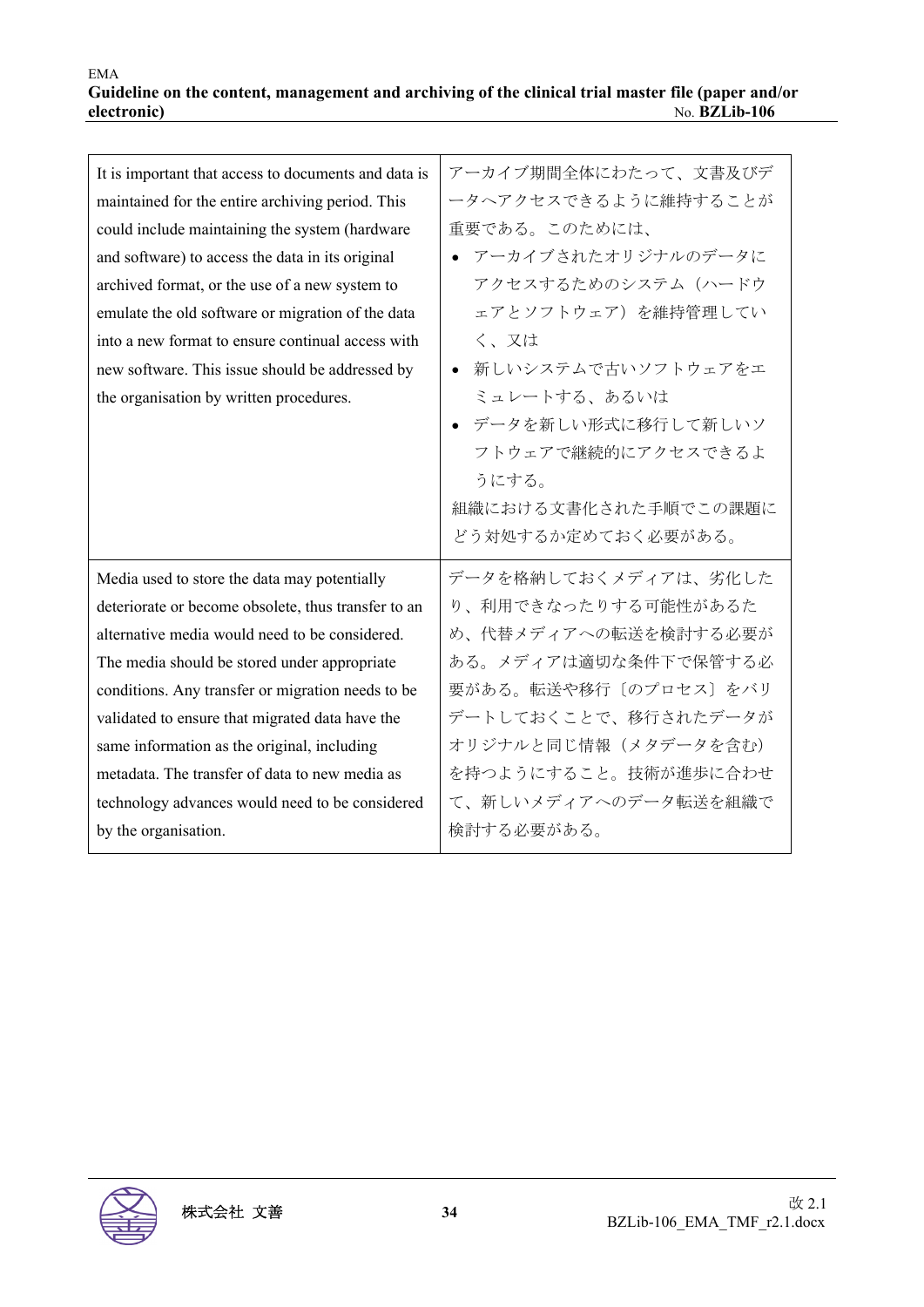| It is important that access to documents and data is | アーカイブ期間全体にわたって、文書及びデ  |
|------------------------------------------------------|-----------------------|
| maintained for the entire archiving period. This     | ータヘアクセスできるように維持することが  |
| could include maintaining the system (hardware       | 重要である。このためには、         |
| and software) to access the data in its original     | • アーカイブされたオリジナルのデータに  |
| archived format, or the use of a new system to       | アクセスするためのシステム (ハードウ   |
| emulate the old software or migration of the data    | ェアとソフトウェア)を維持管理してい    |
| into a new format to ensure continual access with    | く、又は                  |
| new software. This issue should be addressed by      | ● 新しいシステムで古いソフトウェアをエ  |
| the organisation by written procedures.              | ミュレートする、あるいは          |
|                                                      | ● データを新しい形式に移行して新しいソ  |
|                                                      | フトウェアで継続的にアクセスできるよ    |
|                                                      | うにする。                 |
|                                                      | 組織における文書化された手順でこの課題に  |
|                                                      | どう対処するか定めておく必要がある。    |
| Media used to store the data may potentially         | データを格納しておくメディアは、劣化した  |
| deteriorate or become obsolete, thus transfer to an  | り、利用できなったりする可能性があるた   |
| alternative media would need to be considered.       | め、代替メディアへの転送を検討する必要が  |
| The media should be stored under appropriate         | ある。メディアは適切な条件下で保管する必  |
| conditions. Any transfer or migration needs to be    | 要がある。転送や移行〔のプロセス〕をバリ  |
| validated to ensure that migrated data have the      | デートしておくことで、移行されたデータが  |
| same information as the original, including          | オリジナルと同じ情報 (メタデータを含む) |
| metadata. The transfer of data to new media as       | を持つようにすること。技術が進歩に合わせ  |
| technology advances would need to be considered      | て、新しいメディアへのデータ転送を組織で  |
| by the organisation.                                 | 検討する必要がある。            |

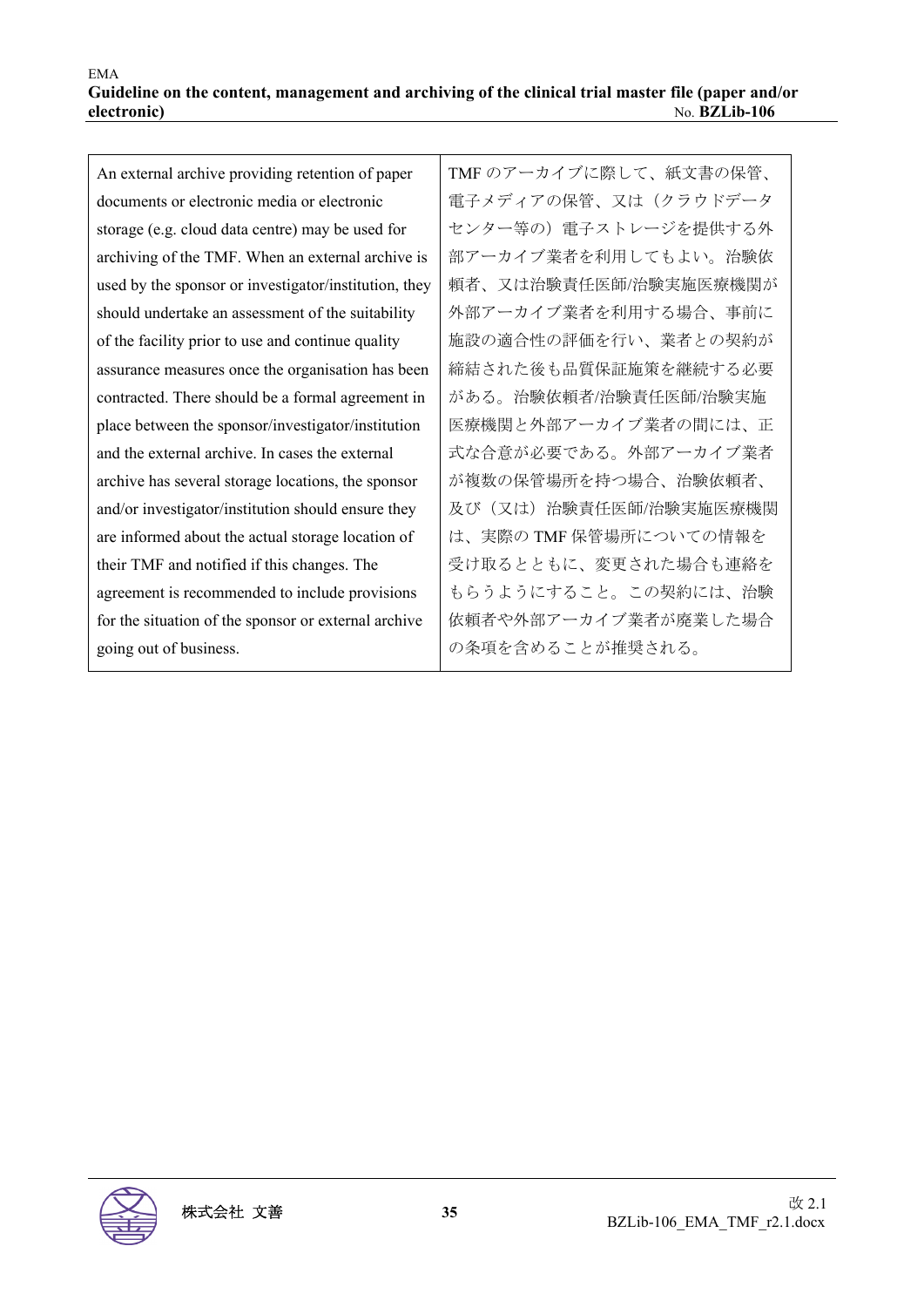#### EMA **Guideline on the content, management and archiving of the clinical trial master file (paper and/or electronic)** No. **BZLib-106**

An external archive providing retention of paper documents or electronic media or electronic storage (e.g. cloud data centre) may be used for archiving of the TMF. When an external archive is used by the sponsor or investigator/institution, they should undertake an assessment of the suitability of the facility prior to use and continue quality assurance measures once the organisation has been contracted. There should be a formal agreement in place between the sponsor/investigator/institution and the external archive. In cases the external archive has several storage locations, the sponsor and/or investigator/institution should ensure they are informed about the actual storage location of their TMF and notified if this changes. The agreement is recommended to include provisions for the situation of the sponsor or external archive going out of business.

TMF のアーカイブに際して、紙文書の保管、 電子メディアの保管、又は(クラウドデータ センター等の)電子ストレージを提供する外 部アーカイブ業者を利用してもよい。治験依 頼者、又は治験責任医師/治験実施医療機関が 外部アーカイブ業者を利用する場合、事前に 施設の適合性の評価を行い、業者との契約が 締結された後も品質保証施策を継続する必要 がある。治験依頼者/治験責任医師/治験実施 医療機関と外部アーカイブ業者の間には、正 式な合意が必要である。外部アーカイブ業者 が複数の保管場所を持つ場合、治験依頼者、 及び(又は)治験責任医師/治験実施医療機関 は、実際の TMF 保管場所についての情報を 受け取るとともに、変更された場合も連絡を もらうようにすること。この契約には、治験 依頼者や外部アーカイブ業者が廃業した場合 の条項を含めることが推奨される。

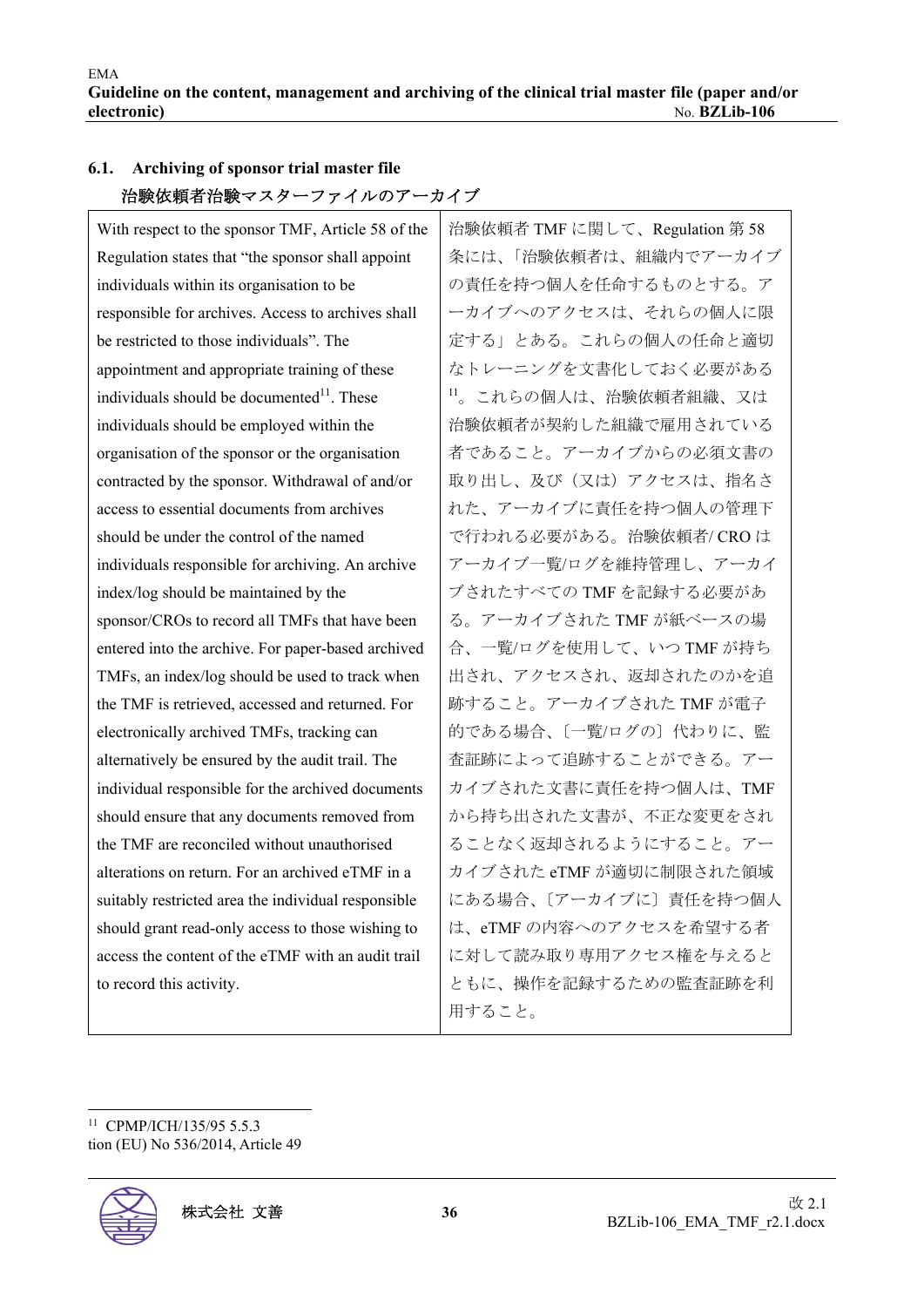| 伯歌似粮伯 伯歌 ヾヘク ニノ ノ イ ノレ シン ノ ニ ノ イ ノ                    |                               |
|--------------------------------------------------------|-------------------------------|
| With respect to the sponsor TMF, Article 58 of the     | 治験依頼者 TMF に関して、Regulation 第58 |
| Regulation states that "the sponsor shall appoint      | 条には、「治験依頼者は、組織内でアーカイブ         |
| individuals within its organisation to be              | の責任を持つ個人を任命するものとする。ア          |
| responsible for archives. Access to archives shall     | ーカイブへのアクセスは、それらの個人に限          |
| be restricted to those individuals". The               | 定する」とある。これらの個人の任命と適切          |
| appointment and appropriate training of these          | なトレーニングを文書化しておく必要がある          |
| individuals should be documented <sup>11</sup> . These | 11。これらの個人は、治験依頼者組織、又は         |
| individuals should be employed within the              | 治験依頼者が契約した組織で雇用されている          |
| organisation of the sponsor or the organisation        | 者であること。アーカイブからの必須文書の          |
| contracted by the sponsor. Withdrawal of and/or        | 取り出し、及び(又は)アクセスは、指名さ          |
| access to essential documents from archives            | れた、アーカイブに責任を持つ個人の管理下          |
| should be under the control of the named               | で行われる必要がある。治験依頼者/ CRO は       |
| individuals responsible for archiving. An archive      | アーカイブ一覧/ログを維持管理し、アーカイ         |
| index/log should be maintained by the                  | ブされたすべての TMF を記録する必要があ        |
| sponsor/CROs to record all TMFs that have been         | る。アーカイブされた TMF が紙ベースの場        |
| entered into the archive. For paper-based archived     | 合、一覧/ログを使用して、いつ TMF が持ち       |
| TMFs, an index/log should be used to track when        | 出され、アクセスされ、返却されたのかを追          |
| the TMF is retrieved, accessed and returned. For       | 跡すること。アーカイブされた TMF が電子        |
| electronically archived TMFs, tracking can             | 的である場合、〔一覧/ログの〕代わりに、監         |
| alternatively be ensured by the audit trail. The       | 査証跡によって追跡することができる。アー          |
| individual responsible for the archived documents      | カイブされた文書に責任を持つ個人は、TMF         |
| should ensure that any documents removed from          | から持ち出された文書が、不正な変更をされ          |
| the TMF are reconciled without unauthorised            | ることなく返却されるようにすること。アー          |
| alterations on return. For an archived eTMF in a       | カイブされた eTMF が適切に制限された領域       |
| suitably restricted area the individual responsible    | にある場合、〔アーカイブに〕 責任を持つ個人        |
| should grant read-only access to those wishing to      | は、eTMFの内容へのアクセスを希望する者         |
| access the content of the eTMF with an audit trail     | に対して読み取り専用アクセス権を与えると          |
| to record this activity.                               | ともに、操作を記録するための監査証跡を利          |
|                                                        | 用すること。                        |

## **6.1. Archiving of sponsor trial master file**  治験依頼者治験マスターファイルのアーカイブ

<sup>11</sup> CPMP/ICH/135/95 5.5.3 tion (EU) No 536/2014, Article 49

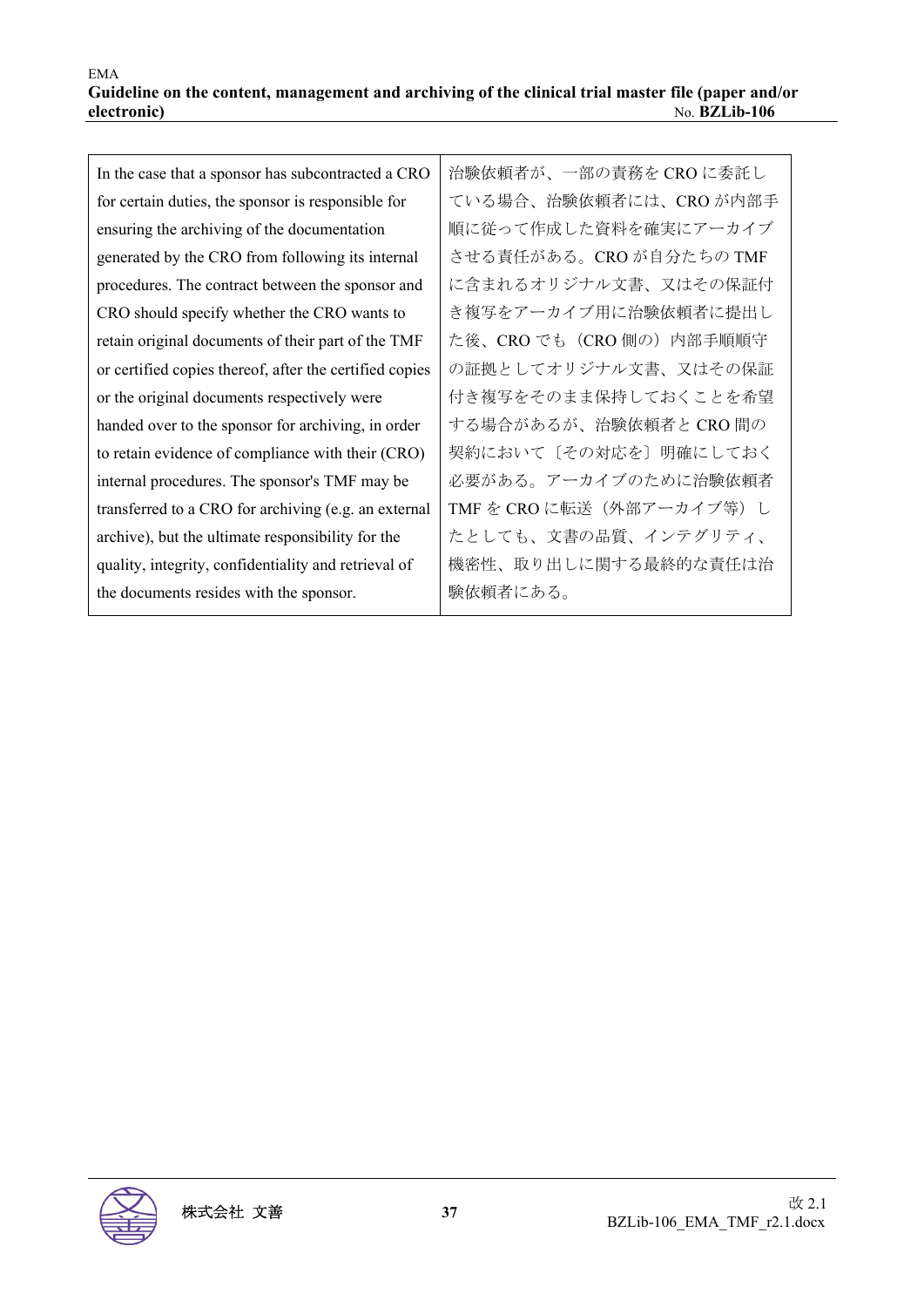| In the case that a sponsor has subcontracted a CRO      | 治験依頼者が、一部の責務を CRO に委託し    |
|---------------------------------------------------------|---------------------------|
| for certain duties, the sponsor is responsible for      | ている場合、治験依頼者には、CRO が内部手    |
| ensuring the archiving of the documentation             | 順に従って作成した資料を確実にアーカイブ      |
| generated by the CRO from following its internal        | させる責任がある。CRO が自分たちの TMF   |
| procedures. The contract between the sponsor and        | に含まれるオリジナル文書、又はその保証付      |
| CRO should specify whether the CRO wants to             | き複写をアーカイブ用に治験依頼者に提出し      |
| retain original documents of their part of the TMF      | た後、CRO でも (CRO 側の) 内部手順順守 |
| or certified copies thereof, after the certified copies | の証拠としてオリジナル文書、又はその保証      |
| or the original documents respectively were             | 付き複写をそのまま保持しておくことを希望      |
| handed over to the sponsor for archiving, in order      | する場合があるが、治験依頼者と CRO 間の    |
| to retain evidence of compliance with their (CRO)       | 契約において〔その対応を〕明確にしておく      |
| internal procedures. The sponsor's TMF may be           | 必要がある。アーカイブのために治験依頼者      |
| transferred to a CRO for archiving (e.g. an external    | TMF を CRO に転送(外部アーカイブ等)し  |
| archive), but the ultimate responsibility for the       | たとしても、文書の品質、インテグリティ、      |
| quality, integrity, confidentiality and retrieval of    | 機密性、取り出しに関する最終的な責任は治      |
| the documents resides with the sponsor.                 | 験依頼者にある。                  |
|                                                         |                           |

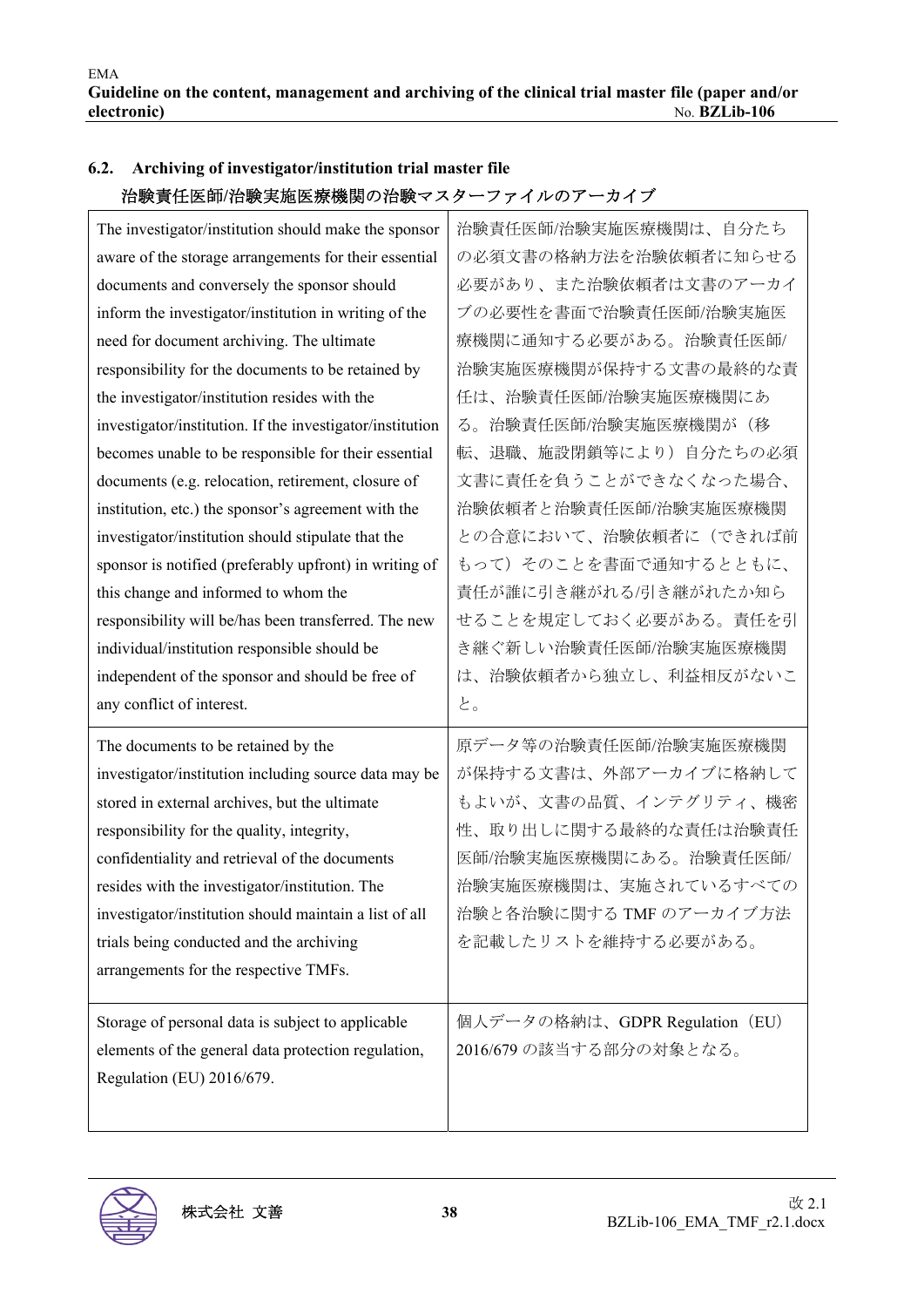| 伯釈貝/正区即/伯釈夫/旭区/狀/傚/閃ソノ伯/訳ヾハク ニノ / イ /レ ソノ / ニカイ ノ         |                                |
|-----------------------------------------------------------|--------------------------------|
| The investigator/institution should make the sponsor      | 治験責任医師/治験実施医療機関は、自分たち          |
| aware of the storage arrangements for their essential     | の必須文書の格納方法を治験依頼者に知らせる          |
| documents and conversely the sponsor should               | 必要があり、また治験依頼者は文書のアーカイ          |
| inform the investigator/institution in writing of the     | ブの必要性を書面で治験責任医師/治験実施医          |
| need for document archiving. The ultimate                 | 療機関に通知する必要がある。治験責任医師/          |
| responsibility for the documents to be retained by        | 治験実施医療機関が保持する文書の最終的な責          |
| the investigator/institution resides with the             | 任は、治験責任医師/治験実施医療機関にあ           |
| investigator/institution. If the investigator/institution | る。治験責任医師/治験実施医療機関が(移           |
| becomes unable to be responsible for their essential      | 転、退職、施設閉鎖等により)自分たちの必須          |
| documents (e.g. relocation, retirement, closure of        | 文書に責任を負うことができなくなった場合、          |
| institution, etc.) the sponsor's agreement with the       | 治験依頼者と治験責任医師/治験実施医療機関          |
| investigator/institution should stipulate that the        | との合意において、治験依頼者に(できれば前          |
| sponsor is notified (preferably upfront) in writing of    | もって)そのことを書面で通知するとともに、          |
| this change and informed to whom the                      | 責任が誰に引き継がれる/引き継がれたか知ら          |
| responsibility will be/has been transferred. The new      | せることを規定しておく必要がある。責任を引          |
| individual/institution responsible should be              | き継ぐ新しい治験責任医師/治験実施医療機関          |
| independent of the sponsor and should be free of          | は、治験依頼者から独立し、利益相反がないこ          |
| any conflict of interest.                                 | と。                             |
| The documents to be retained by the                       | 原データ等の治験責任医師/治験実施医療機関          |
| investigator/institution including source data may be     | が保持する文書は、外部アーカイブに格納して          |
| stored in external archives, but the ultimate             | もよいが、文書の品質、インテグリティ、機密          |
| responsibility for the quality, integrity,                | 性、取り出しに関する最終的な責任は治験責任          |
| confidentiality and retrieval of the documents            | 医師/治験実施医療機関にある。治験責任医師/         |
| resides with the investigator/institution. The            | 治験実施医療機関は、実施されているすべての          |
| investigator/institution should maintain a list of all    | 治験と各治験に関する TMF のアーカイブ方法        |
| trials being conducted and the archiving                  | を記載したリストを維持する必要がある。            |
| arrangements for the respective TMFs.                     |                                |
|                                                           |                                |
| Storage of personal data is subject to applicable         | 個人データの格納は、GDPR Regulation (EU) |
| elements of the general data protection regulation,       | 2016/679 の該当する部分の対象となる。        |
| Regulation (EU) 2016/679.                                 |                                |
|                                                           |                                |

## **6.2. Archiving of investigator/institution trial master file**  治験責任医師**/**治験実施医療機関の治験マスターファイルのアーカイブ

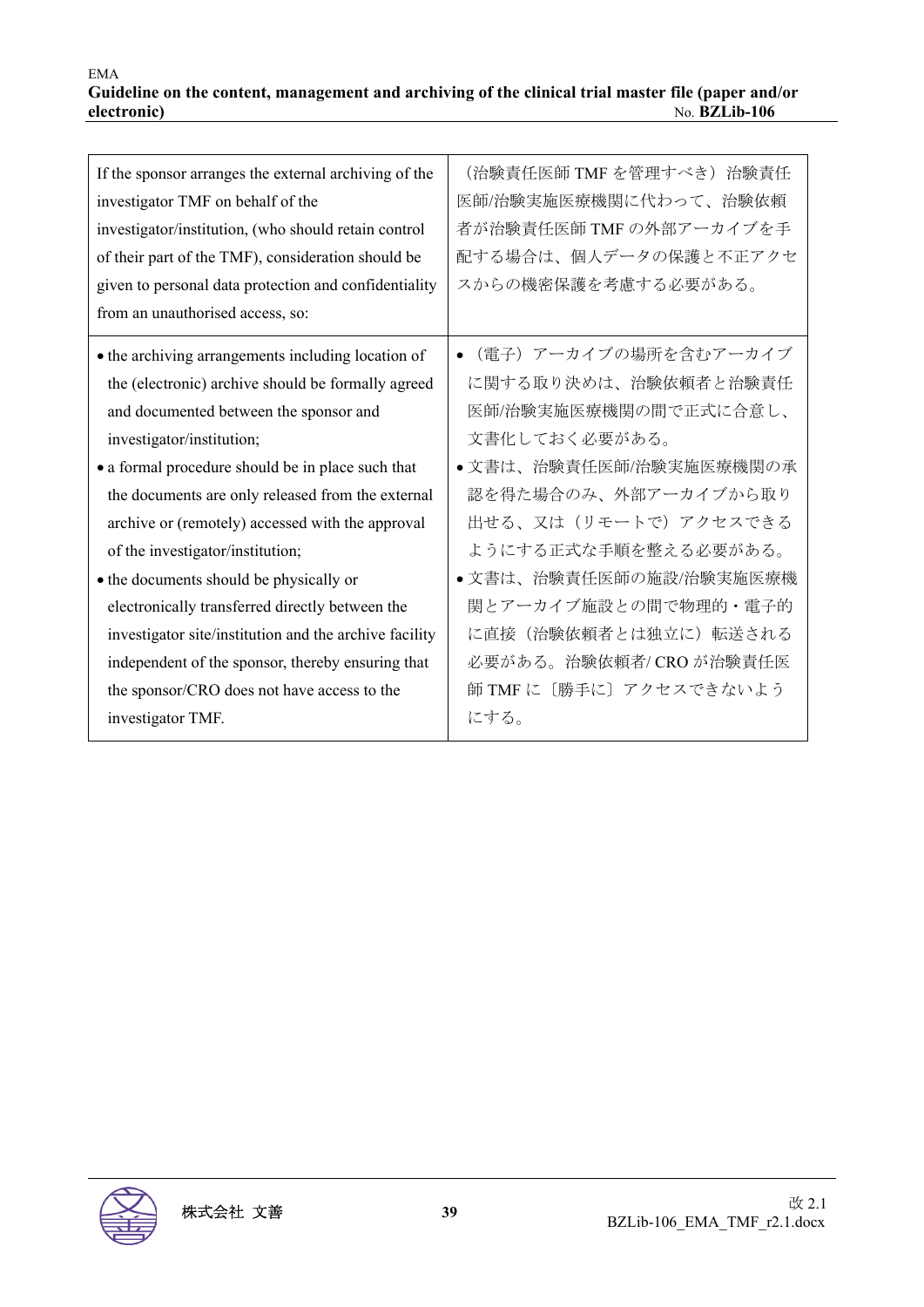| If the sponsor arranges the external archiving of the<br>investigator TMF on behalf of the<br>investigator/institution, (who should retain control<br>of their part of the TMF), consideration should be<br>given to personal data protection and confidentiality<br>from an unauthorised access, so:                                                                                                                                                                                                                                                                                                                                                              | (治験責任医師 TMF を管理すべき)治験責任<br>医師/治験実施医療機関に代わって、治験依頼<br>者が治験責任医師 TMF の外部アーカイブを手<br>配する場合は、個人データの保護と不正アクセ<br>スからの機密保護を考慮する必要がある。                                                                                                                                                                                                                   |
|--------------------------------------------------------------------------------------------------------------------------------------------------------------------------------------------------------------------------------------------------------------------------------------------------------------------------------------------------------------------------------------------------------------------------------------------------------------------------------------------------------------------------------------------------------------------------------------------------------------------------------------------------------------------|-----------------------------------------------------------------------------------------------------------------------------------------------------------------------------------------------------------------------------------------------------------------------------------------------------------------------------------------------|
| • the archiving arrangements including location of<br>the (electronic) archive should be formally agreed<br>and documented between the sponsor and<br>investigator/institution;<br>• a formal procedure should be in place such that<br>the documents are only released from the external<br>archive or (remotely) accessed with the approval<br>of the investigator/institution;<br>• the documents should be physically or<br>electronically transferred directly between the<br>investigator site/institution and the archive facility<br>independent of the sponsor, thereby ensuring that<br>the sponsor/CRO does not have access to the<br>investigator TMF. | (電子) アーカイブの場所を含むアーカイブ<br>$\bullet$<br>に関する取り決めは、治験依頼者と治験責任<br>医師/治験実施医療機関の間で正式に合意し、<br>文書化しておく必要がある。<br>•文書は、治験責任医師/治験実施医療機関の承<br>認を得た場合のみ、外部アーカイブから取り<br>出せる、又は(リモートで)アクセスできる<br>ようにする正式な手順を整える必要がある。<br>●文書は、治験責任医師の施設/治験実施医療機<br>関とアーカイブ施設との間で物理的・電子的<br>に直接(治験依頼者とは独立に)転送される<br>必要がある。治験依頼者/ CRO が治験責任医<br>師 TMF に〔勝手に〕アクセスできないよう<br>にする。 |

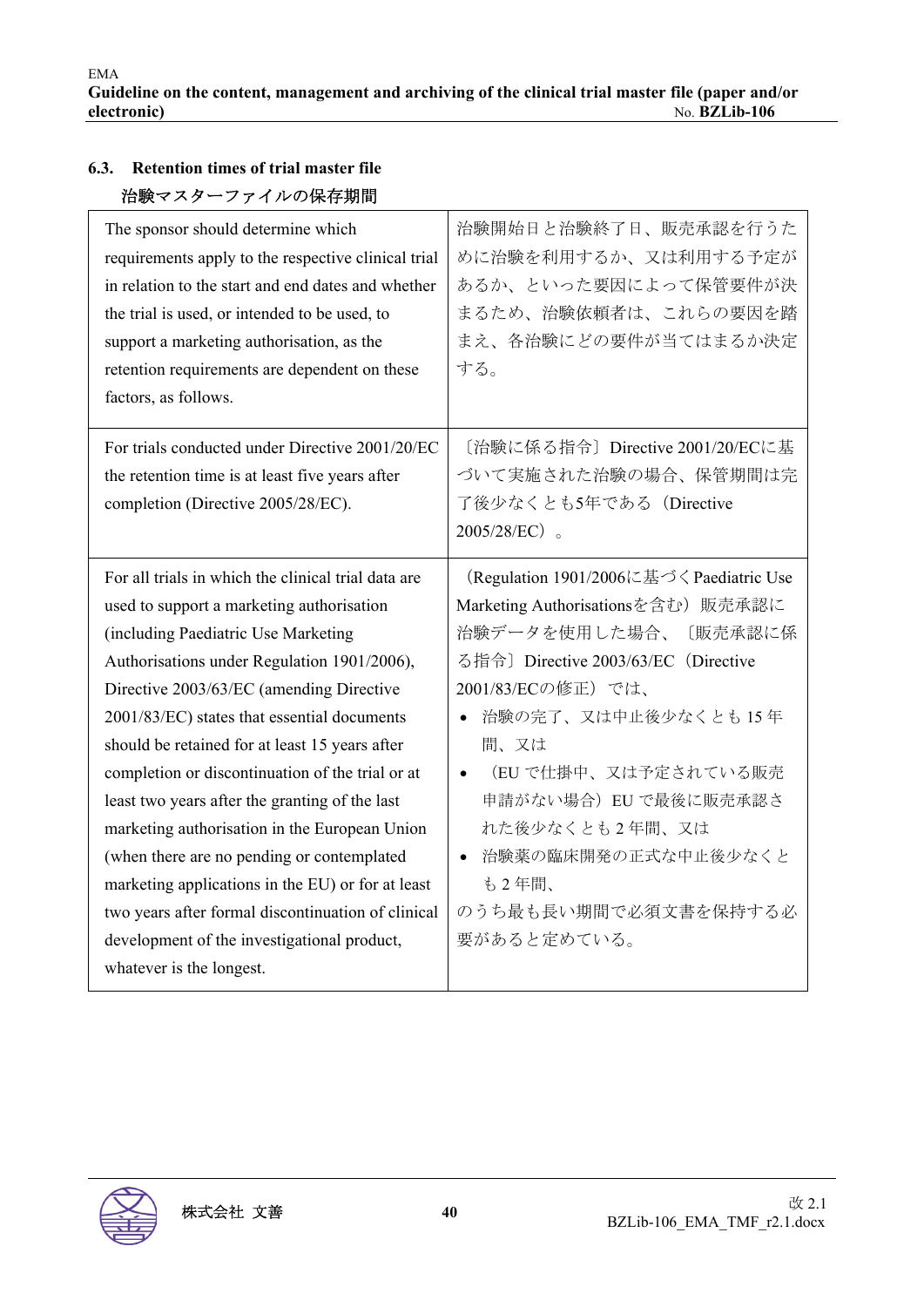| 治験マスターファイルの保存期間                                     |                                         |
|-----------------------------------------------------|-----------------------------------------|
| The sponsor should determine which                  | 治験開始日と治験終了日、販売承認を行うた                    |
| requirements apply to the respective clinical trial | めに治験を利用するか、又は利用する予定が                    |
| in relation to the start and end dates and whether  | あるか、といった要因によって保管要件が決                    |
| the trial is used, or intended to be used, to       | まるため、治験依頼者は、これらの要因を踏                    |
| support a marketing authorisation, as the           | まえ、各治験にどの要件が当てはまるか決定                    |
| retention requirements are dependent on these       | する。                                     |
| factors, as follows.                                |                                         |
|                                                     |                                         |
| For trials conducted under Directive 2001/20/EC     | [治験に係る指令] Directive 2001/20/ECに基        |
| the retention time is at least five years after     | づいて実施された治験の場合、保管期間は完                    |
| completion (Directive 2005/28/EC).                  | 了後少なくとも5年である (Directive                 |
|                                                     | $2005/28/EC$ $_{\circ}$                 |
|                                                     |                                         |
| For all trials in which the clinical trial data are | (Regulation 1901/2006に基づくPaediatric Use |
| used to support a marketing authorisation           | Marketing Authorisationsを含む) 販売承認に      |
| (including Paediatric Use Marketing                 | 治験データを使用した場合、<br>〔販売承認に係                |
| Authorisations under Regulation 1901/2006),         | る指令] Directive 2003/63/EC (Directive    |
| Directive 2003/63/EC (amending Directive            | 2001/83/ECの修正)では、                       |
| 2001/83/EC) states that essential documents         | 治験の完了、又は中止後少なくとも15年<br>$\bullet$        |
| should be retained for at least 15 years after      | 間、又は                                    |
|                                                     |                                         |
| completion or discontinuation of the trial or at    | (EU で仕掛中、又は予定されている販売<br>$\bullet$       |
| least two years after the granting of the last      | 申請がない場合) EU で最後に販売承認さ                   |
| marketing authorisation in the European Union       | れた後少なくとも2年間、又は                          |
| (when there are no pending or contemplated          | 治験薬の臨床開発の正式な中止後少なくと<br>$\bullet$        |
| marketing applications in the EU) or for at least   | も2年間、                                   |
| two years after formal discontinuation of clinical  | のうち最も長い期間で必須文書を保持する必                    |
| development of the investigational product,         | 要があると定めている。                             |
| whatever is the longest.                            |                                         |

# **6.3. Retention times of trial master file**

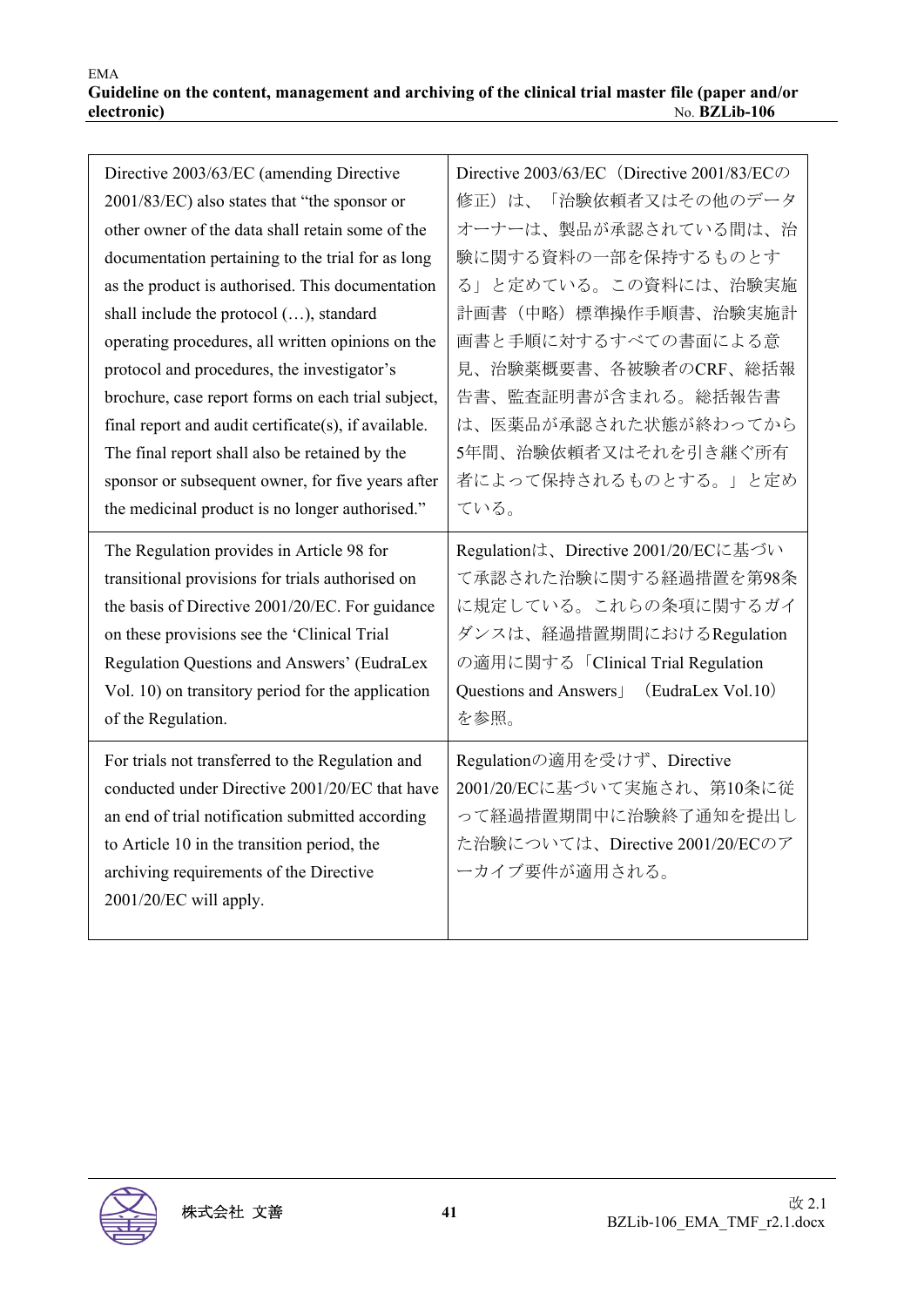| Directive 2003/63/EC (amending Directive             | Directive 2003/63/EC (Directive 2001/83/EC $\oslash$ |
|------------------------------------------------------|------------------------------------------------------|
| 2001/83/EC) also states that "the sponsor or         | 修正)は、「治験依頼者又はその他のデータ                                 |
| other owner of the data shall retain some of the     | オーナーは、製品が承認されている間は、治                                 |
| documentation pertaining to the trial for as long    | 験に関する資料の一部を保持するものとす                                  |
| as the product is authorised. This documentation     | る」と定めている。この資料には、治験実施                                 |
| shall include the protocol (), standard              | 計画書(中略)標準操作手順書、治験実施計                                 |
| operating procedures, all written opinions on the    | 画書と手順に対するすべての書面による意                                  |
| protocol and procedures, the investigator's          | 見、治験薬概要書、各被験者のCRF、総括報                                |
| brochure, case report forms on each trial subject,   | 告書、監査証明書が含まれる。総括報告書                                  |
| final report and audit certificate(s), if available. | は、医薬品が承認された状態が終わってから                                 |
| The final report shall also be retained by the       | 5年間、治験依頼者又はそれを引き継ぐ所有                                 |
| sponsor or subsequent owner, for five years after    | 者によって保持されるものとする。」と定め                                 |
| the medicinal product is no longer authorised."      | ている。                                                 |
| The Regulation provides in Article 98 for            | Regulationは、Directive 2001/20/ECに基づい                 |
| transitional provisions for trials authorised on     | て承認された治験に関する経過措置を第98条                                |
| the basis of Directive 2001/20/EC. For guidance      | に規定している。これらの条項に関するガイ                                 |
| on these provisions see the 'Clinical Trial          | ダンスは、経過措置期間におけるRegulation                            |
| Regulation Questions and Answers' (EudraLex          | の適用に関する「Clinical Trial Regulation                    |
| Vol. 10) on transitory period for the application    | (EudraLex Vol.10)<br>Questions and Answers           |
| of the Regulation.                                   | を参照。                                                 |
| For trials not transferred to the Regulation and     | Regulationの適用を受けず、Directive                          |
| conducted under Directive 2001/20/EC that have       | 2001/20/ECに基づいて実施され、第10条に従                           |
| an end of trial notification submitted according     | って経過措置期間中に治験終了通知を提出し                                 |
| to Article 10 in the transition period, the          | た治験については、Directive 2001/20/ECのア                      |
|                                                      |                                                      |
| archiving requirements of the Directive              | ーカイブ要件が適用される。                                        |
| 2001/20/EC will apply.                               |                                                      |

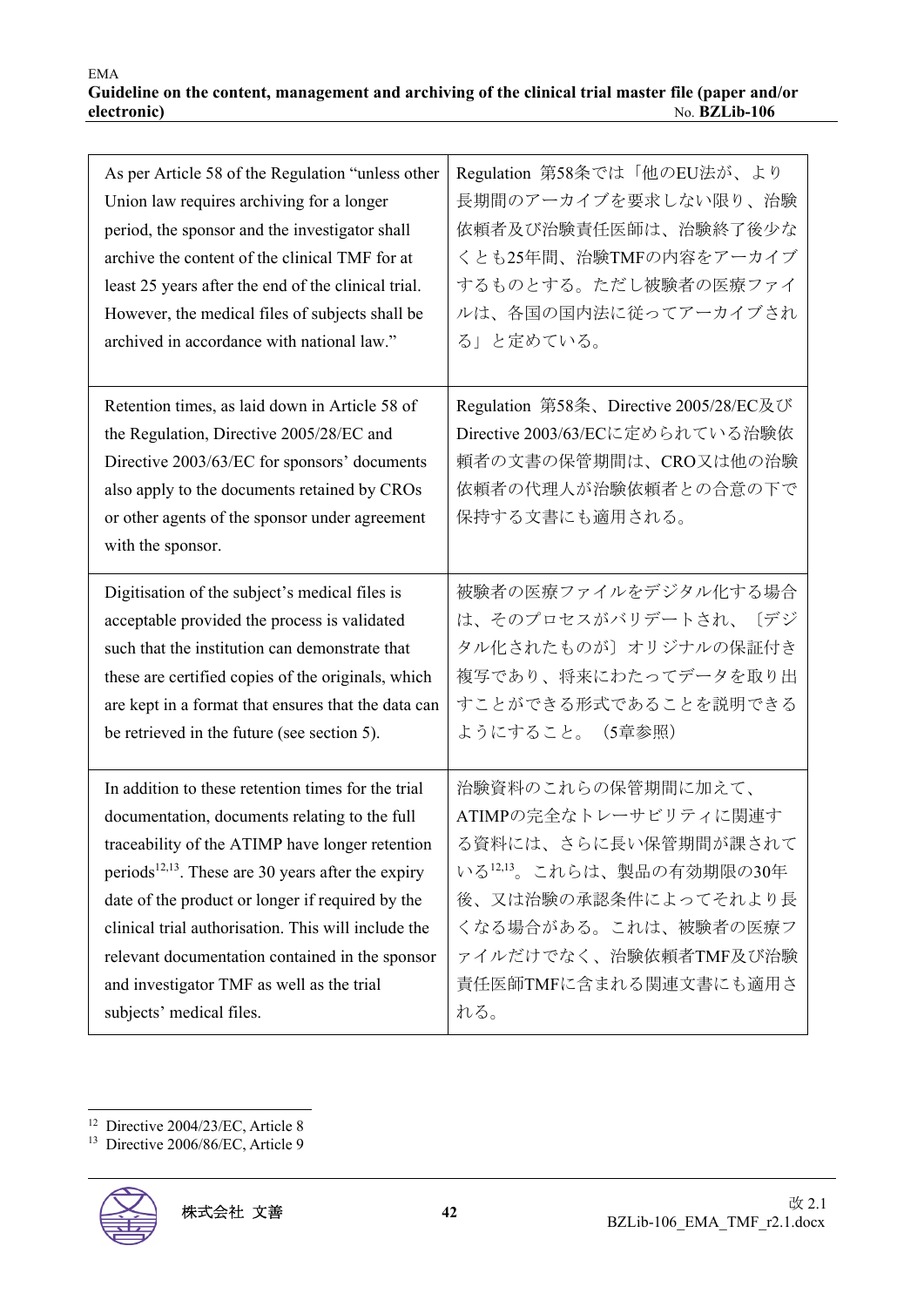| As per Article 58 of the Regulation "unless other<br>Union law requires archiving for a longer<br>period, the sponsor and the investigator shall<br>archive the content of the clinical TMF for at<br>least 25 years after the end of the clinical trial.<br>However, the medical files of subjects shall be<br>archived in accordance with national law."                                                                                                      | Regulation 第58条では「他のEU法が、より<br>長期間のアーカイブを要求しない限り、治験<br>依頼者及び治験責任医師は、治験終了後少な<br>くとも25年間、治験TMFの内容をアーカイブ<br>するものとする。ただし被験者の医療ファイ<br>ルは、各国の国内法に従ってアーカイブされ<br>る」と定めている。                                       |
|-----------------------------------------------------------------------------------------------------------------------------------------------------------------------------------------------------------------------------------------------------------------------------------------------------------------------------------------------------------------------------------------------------------------------------------------------------------------|----------------------------------------------------------------------------------------------------------------------------------------------------------------------------------------------------------|
| Retention times, as laid down in Article 58 of<br>the Regulation, Directive 2005/28/EC and<br>Directive 2003/63/EC for sponsors' documents<br>also apply to the documents retained by CROs<br>or other agents of the sponsor under agreement<br>with the sponsor.                                                                                                                                                                                               | Regulation 第58条、Directive 2005/28/EC及び<br>Directive 2003/63/ECに定められている治験依<br>頼者の文書の保管期間は、CRO又は他の治験<br>依頼者の代理人が治験依頼者との合意の下で<br>保持する文書にも適用される。                                                             |
| Digitisation of the subject's medical files is<br>acceptable provided the process is validated<br>such that the institution can demonstrate that<br>these are certified copies of the originals, which<br>are kept in a format that ensures that the data can<br>be retrieved in the future (see section 5).                                                                                                                                                    | 被験者の医療ファイルをデジタル化する場合<br>は、そのプロセスがバリデートされ、<br>「デジ<br>タル化されたものが〕オリジナルの保証付き<br>複写であり、将来にわたってデータを取り出<br>すことができる形式であることを説明できる<br>ようにすること。 (5章参照)                                                              |
| In addition to these retention times for the trial<br>documentation, documents relating to the full<br>traceability of the ATIMP have longer retention<br>periods <sup>12,13</sup> . These are 30 years after the expiry<br>date of the product or longer if required by the<br>clinical trial authorisation. This will include the<br>relevant documentation contained in the sponsor<br>and investigator TMF as well as the trial<br>subjects' medical files. | 治験資料のこれらの保管期間に加えて、<br>ATIMPの完全なトレーサビリティに関連す<br>る資料には、さらに長い保管期間が課されて<br>いる12,13。これらは、製品の有効期限の30年<br>後、又は治験の承認条件によってそれより長<br>くなる場合がある。これは、被験者の医療フ<br>ァイルだけでなく、治験依頼者TMF及び治験<br>責任医師TMFに含まれる関連文書にも適用さ<br>れる。 |

<sup>12</sup> Directive 2004/23/EC, Article 8

<sup>&</sup>lt;sup>13</sup> Directive 2006/86/EC, Article 9

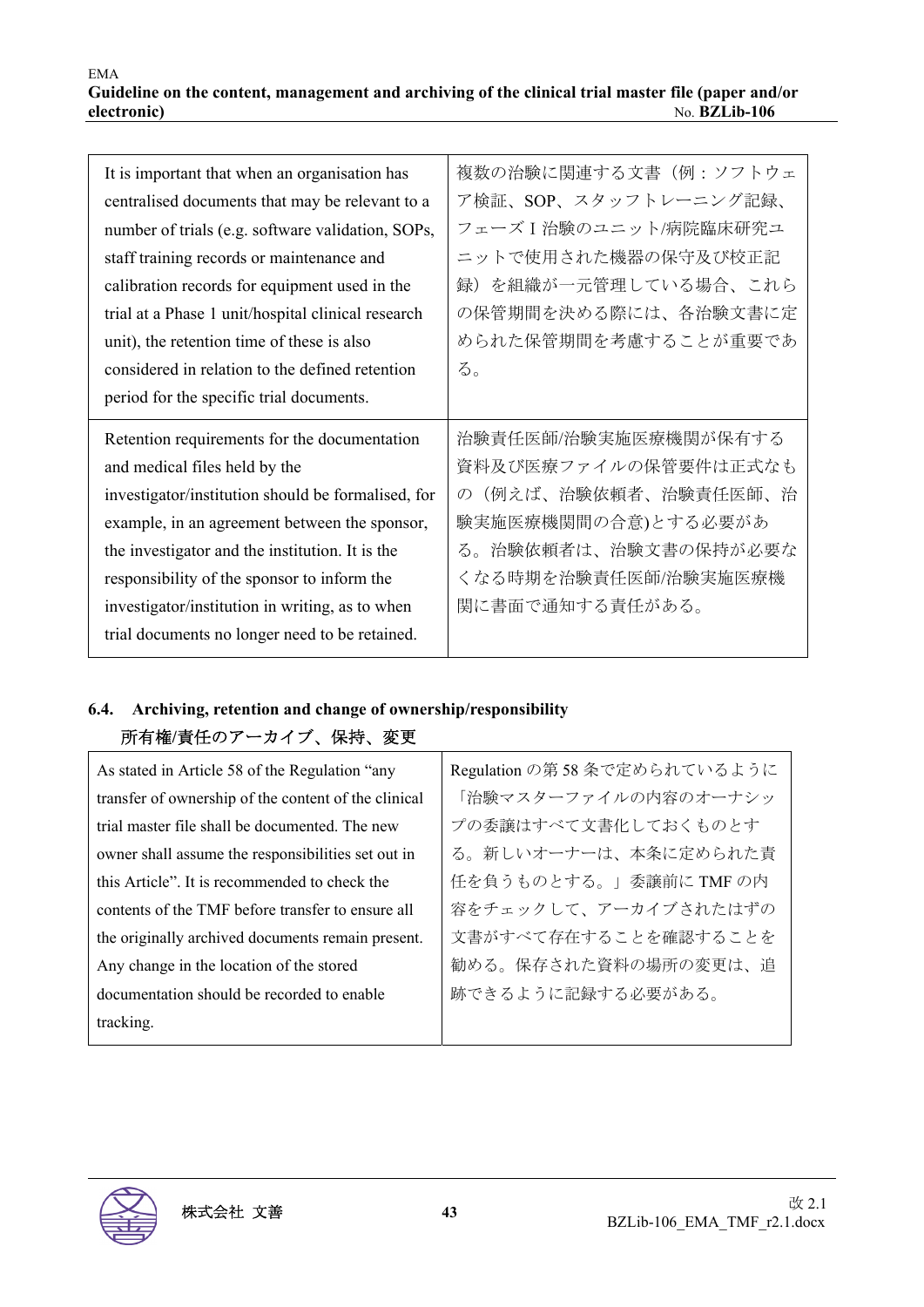| It is important that when an organisation has      | 複数の治験に関連する文書(例:ソフトウェ                 |
|----------------------------------------------------|--------------------------------------|
| centralised documents that may be relevant to a    | ア検証、SOP、スタッフトレーニング記録、                |
| number of trials (e.g. software validation, SOPs,  | フェーズ I 治験のユニット/病院臨床研究ユ               |
| staff training records or maintenance and          | ニットで使用された機器の保守及び校正記                  |
| calibration records for equipment used in the      | 録)を組織が一元管理している場合、これら                 |
| trial at a Phase 1 unit/hospital clinical research | の保管期間を決める際には、各治験文書に定                 |
| unit), the retention time of these is also         | められた保管期間を考慮することが重要であ                 |
| considered in relation to the defined retention    | る。                                   |
| period for the specific trial documents.           |                                      |
|                                                    |                                      |
| Retention requirements for the documentation       | 治験責任医師/治験実施医療機関が保有する                 |
| and medical files held by the                      | 資料及び医療ファイルの保管要件は正式なも                 |
| investigator/institution should be formalised, for | (例えば、治験依頼者、治験責任医師、治<br>$\mathcal{O}$ |
| example, in an agreement between the sponsor,      | 験実施医療機関間の合意)とする必要があ                  |
| the investigator and the institution. It is the    | る。治験依頼者は、治験文書の保持が必要な                 |
| responsibility of the sponsor to inform the        | くなる時期を治験責任医師/治験実施医療機                 |
| investigator/institution in writing, as to when    | 関に書面で通知する責任がある。                      |

## **6.4. Archiving, retention and change of ownership/responsibility**  所有権**/**責任のアーカイブ、保持、変更

| As stated in Article 58 of the Regulation "any       | Regulation の第58 条で定められているように |
|------------------------------------------------------|------------------------------|
| transfer of ownership of the content of the clinical | 「治験マスターファイルの内容のオーナシッ         |
| trial master file shall be documented. The new       | プの委譲はすべて文書化しておくものとす          |
| owner shall assume the responsibilities set out in   | る。新しいオーナーは、本条に定められた責         |
| this Article". It is recommended to check the        | 任を負うものとする。」委譲前に TMF の内       |
| contents of the TMF before transfer to ensure all    | 容をチェックして、アーカイブされたはずの         |
| the originally archived documents remain present.    | 文書がすべて存在することを確認することを         |
| Any change in the location of the stored             | 勧める。保存された資料の場所の変更は、追         |
| documentation should be recorded to enable           | 跡できるように記録する必要がある。            |
| tracking.                                            |                              |
|                                                      |                              |

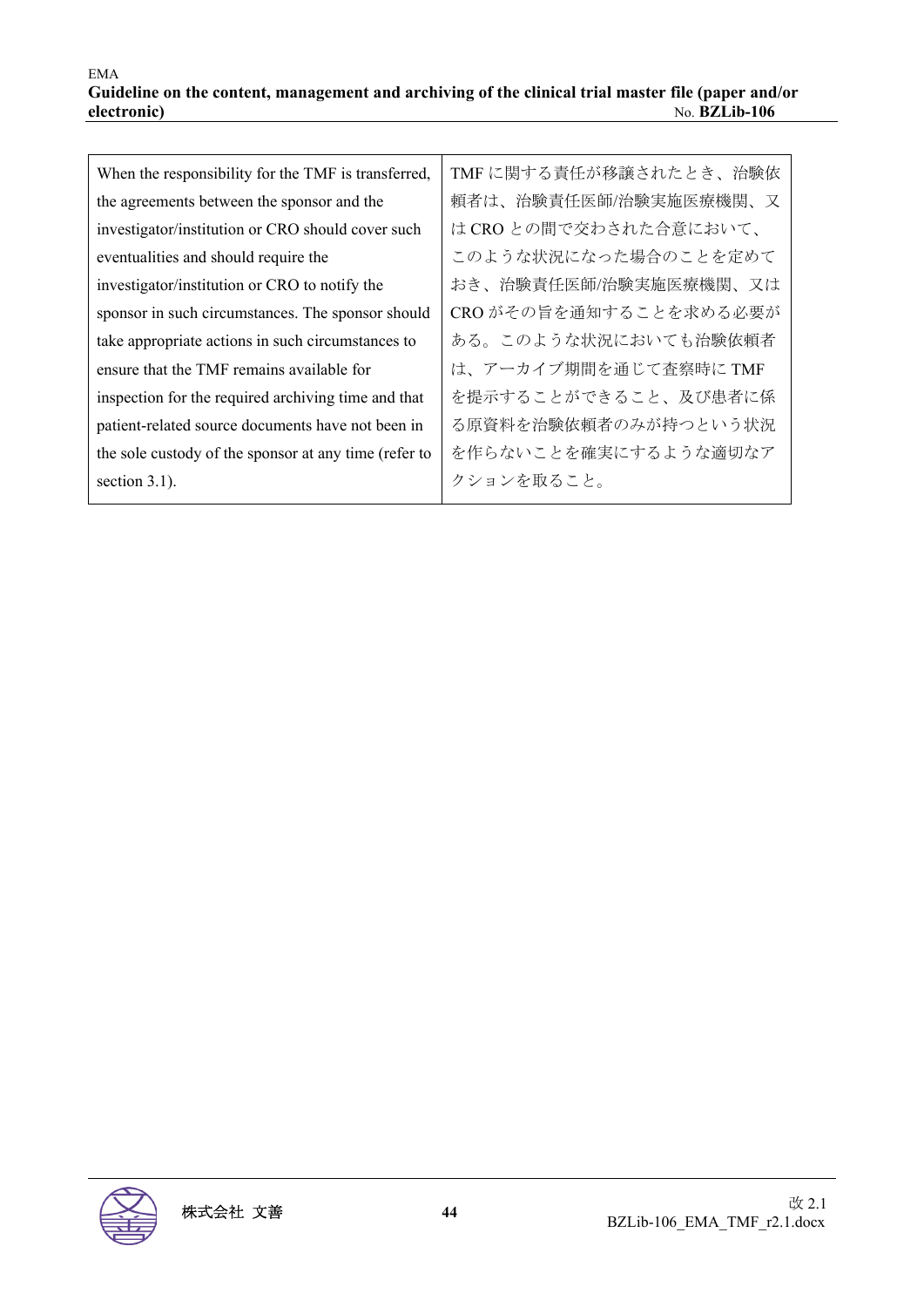| When the responsibility for the TMF is transferred,   | TMF に関する責任が移譲されたとき、治験依 |
|-------------------------------------------------------|------------------------|
| the agreements between the sponsor and the            | 頼者は、治験責任医師/治験実施医療機関、又  |
| investigator/institution or CRO should cover such     | は CRO との間で交わされた合意において、 |
| eventualities and should require the                  | このような状況になった場合のことを定めて   |
| investigator/institution or CRO to notify the         | おき、治験責任医師/治験実施医療機関、又は  |
| sponsor in such circumstances. The sponsor should     | CROがその旨を通知することを求める必要が  |
| take appropriate actions in such circumstances to     | ある。このような状況においても治験依頼者   |
| ensure that the TMF remains available for             | は、アーカイブ期間を通じて査察時にTMF   |
| inspection for the required archiving time and that   | を提示することができること、及び患者に係   |
| patient-related source documents have not been in     | る原資料を治験依頼者のみが持つという状況   |
| the sole custody of the sponsor at any time (refer to | を作らないことを確実にするような適切なア   |
| section $3.1$ ).                                      | クションを取ること。             |